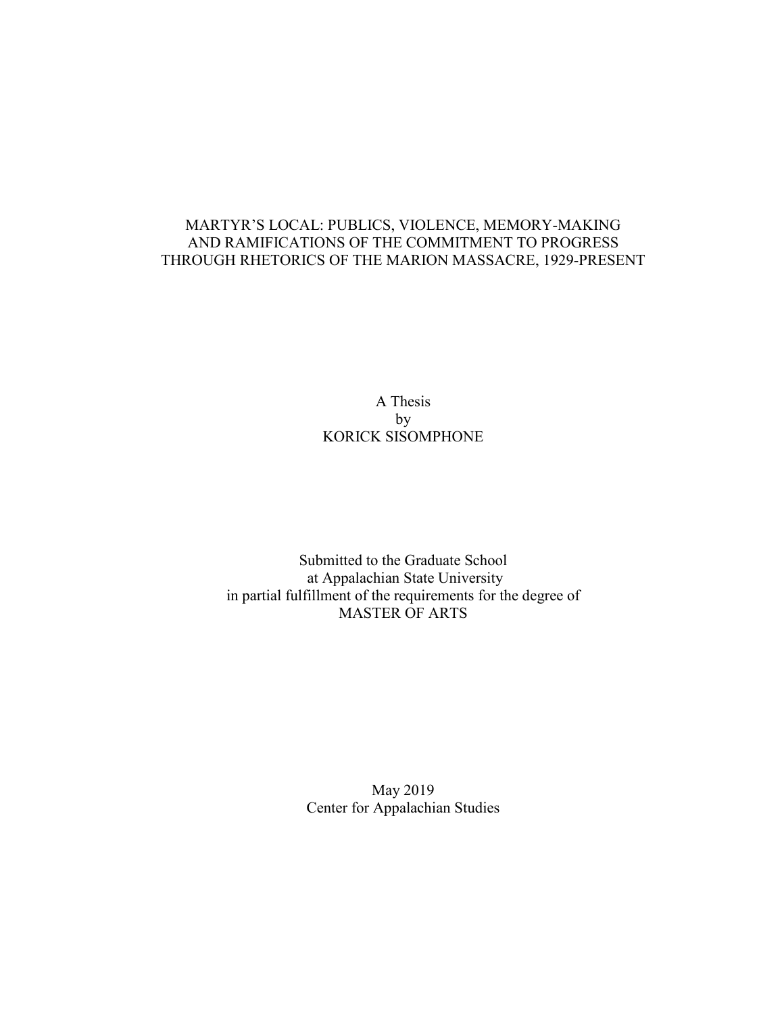## MARTYR'S LOCAL: PUBLICS, VIOLENCE, MEMORY-MAKING AND RAMIFICATIONS OF THE COMMITMENT TO PROGRESS THROUGH RHETORICS OF THE MARION MASSACRE, 1929-PRESENT

A Thesis by KORICK SISOMPHONE

Submitted to the Graduate School at Appalachian State University in partial fulfillment of the requirements for the degree of MASTER OF ARTS

> May 2019 Center for Appalachian Studies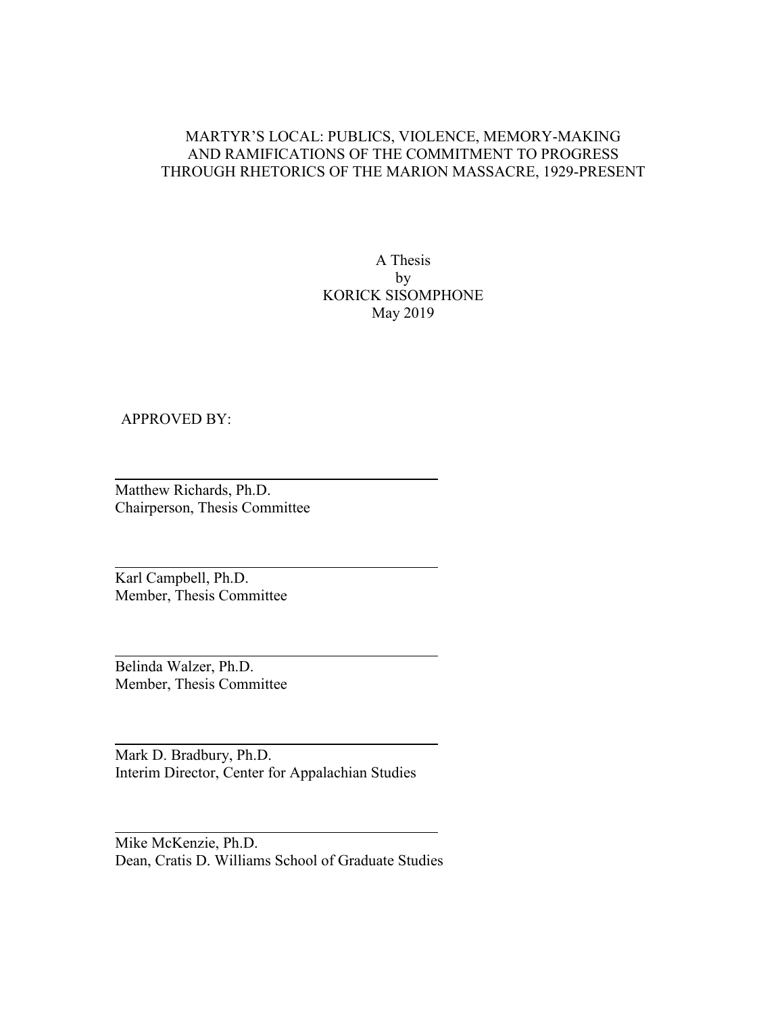## MARTYR'S LOCAL: PUBLICS, VIOLENCE, MEMORY-MAKING AND RAMIFICATIONS OF THE COMMITMENT TO PROGRESS THROUGH RHETORICS OF THE MARION MASSACRE, 1929-PRESENT

A Thesis by KORICK SISOMPHONE May 2019

## APPROVED BY:

Matthew Richards, Ph.D. Chairperson, Thesis Committee

Karl Campbell, Ph.D. Member, Thesis Committee

Belinda Walzer, Ph.D. Member, Thesis Committee

Mark D. Bradbury, Ph.D. Interim Director, Center for Appalachian Studies

Mike McKenzie, Ph.D. Dean, Cratis D. Williams School of Graduate Studies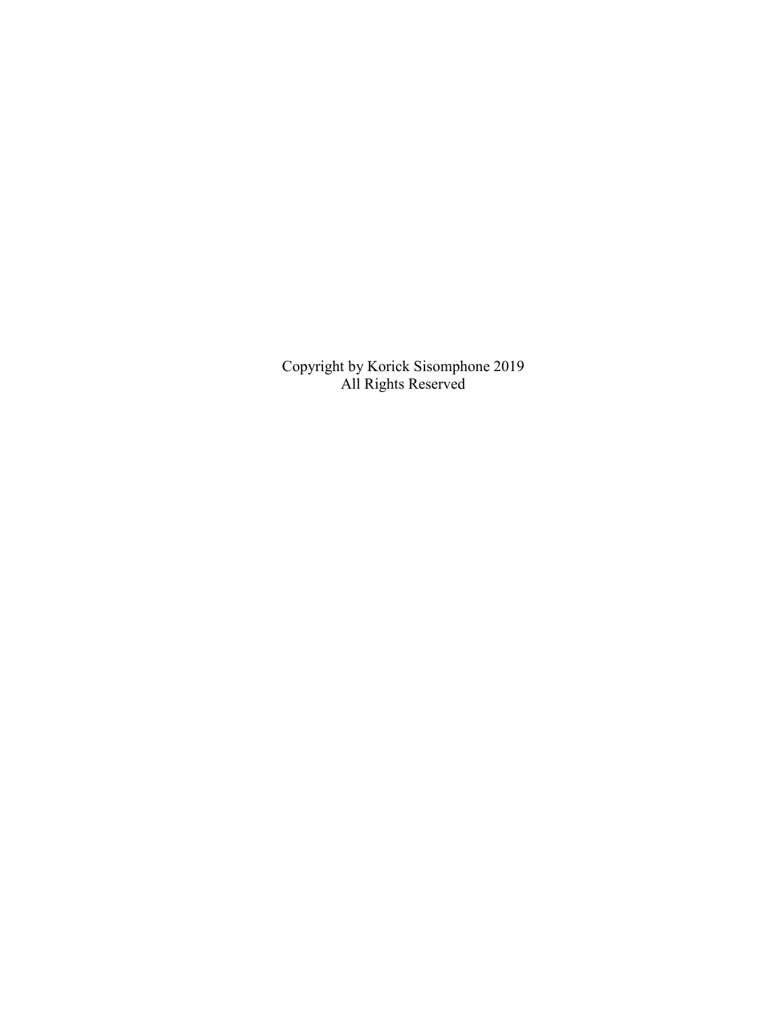Copyright by Korick Sisomphone 2019 All Rights Reserved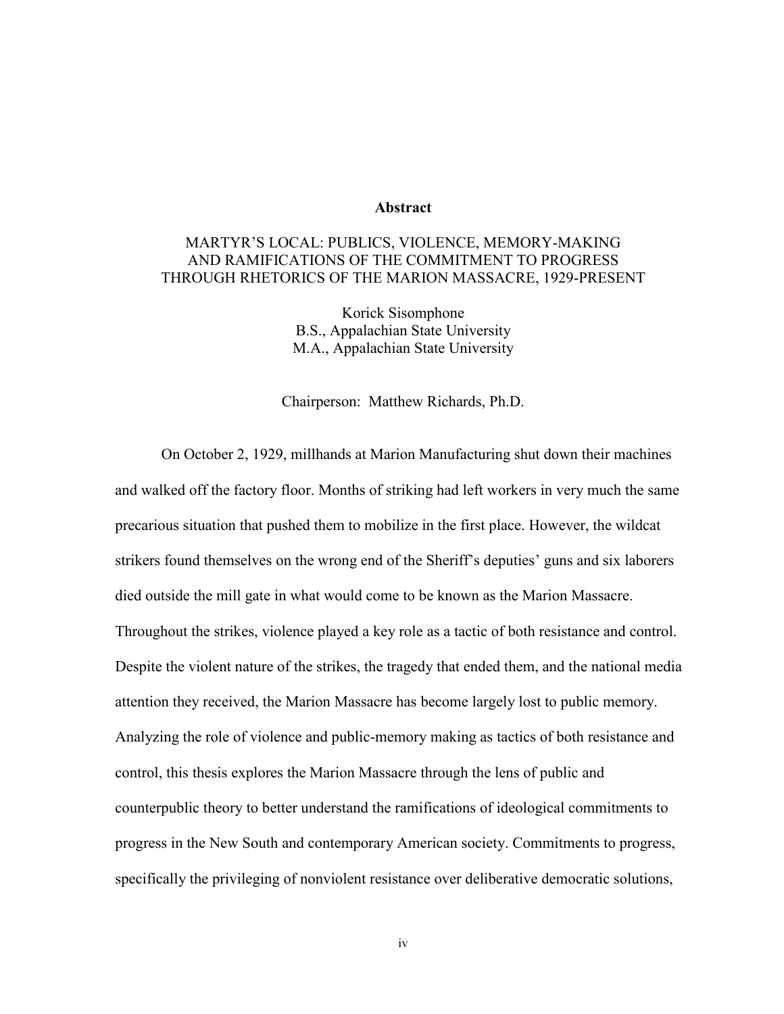## **Abstract**

## MARTYR'S LOCAL: PUBLICS, VIOLENCE, MEMORY-MAKING AND RAMIFICATIONS OF THE COMMITMENT TO PROGRESS THROUGH RHETORICS OF THE MARION MASSACRE, 1929-PRESENT

Korick Sisomphone B.S., Appalachian State University M.A., Appalachian State University

Chairperson: Matthew Richards, Ph.D.

On October 2, 1929, millhands at Marion Manufacturing shut down their machines and walked off the factory floor. Months of striking had left workers in very much the same precarious situation that pushed them to mobilize in the first place. However, the wildcat strikers found themselves on the wrong end of the Sheriff's deputies' guns and six laborers died outside the mill gate in what would come to be known as the Marion Massacre. Throughout the strikes, violence played a key role as a tactic of both resistance and control. Despite the violent nature of the strikes, the tragedy that ended them, and the national media attention they received, the Marion Massacre has become largely lost to public memory. Analyzing the role of violence and public-memory making as tactics of both resistance and control, this thesis explores the Marion Massacre through the lens of public and counterpublic theory to better understand the ramifications of ideological commitments to progress in the New South and contemporary American society. Commitments to progress, specifically the privileging of nonviolent resistance over deliberative democratic solutions,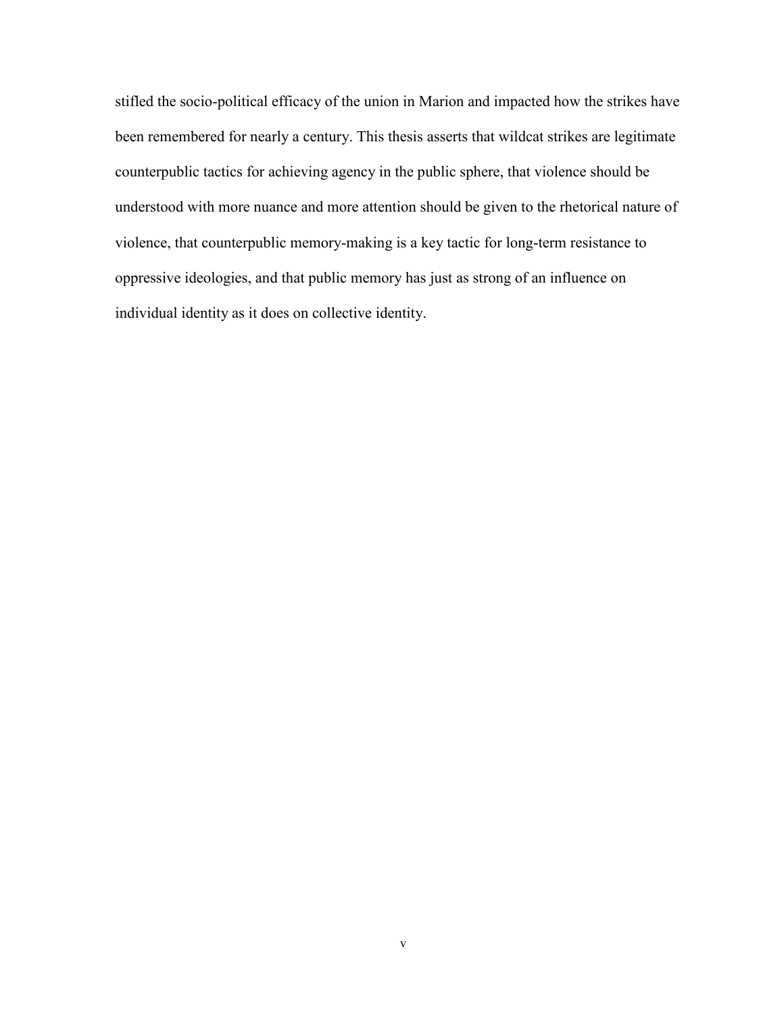stifled the socio-political efficacy of the union in Marion and impacted how the strikes have been remembered for nearly a century. This thesis asserts that wildcat strikes are legitimate counterpublic tactics for achieving agency in the public sphere, that violence should be understood with more nuance and more attention should be given to the rhetorical nature of violence, that counterpublic memory-making is a key tactic for long-term resistance to oppressive ideologies, and that public memory has just as strong of an influence on individual identity as it does on collective identity.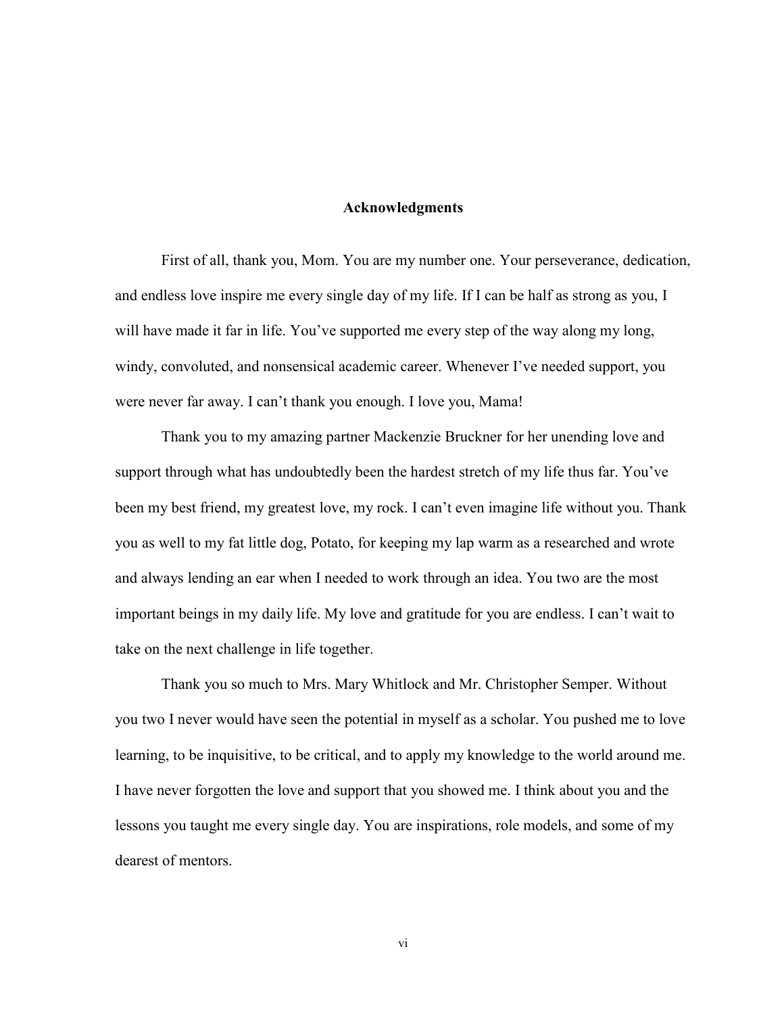## **Acknowledgments**

First of all, thank you, Mom. You are my number one. Your perseverance, dedication, and endless love inspire me every single day of my life. If I can be half as strong as you, I will have made it far in life. You've supported me every step of the way along my long, windy, convoluted, and nonsensical academic career. Whenever I've needed support, you were never far away. I can't thank you enough. I love you, Mama!

Thank you to my amazing partner Mackenzie Bruckner for her unending love and support through what has undoubtedly been the hardest stretch of my life thus far. You've been my best friend, my greatest love, my rock. I can't even imagine life without you. Thank you as well to my fat little dog, Potato, for keeping my lap warm as a researched and wrote and always lending an ear when I needed to work through an idea. You two are the most important beings in my daily life. My love and gratitude for you are endless. I can't wait to take on the next challenge in life together.

Thank you so much to Mrs. Mary Whitlock and Mr. Christopher Semper. Without you two I never would have seen the potential in myself as a scholar. You pushed me to love learning, to be inquisitive, to be critical, and to apply my knowledge to the world around me. I have never forgotten the love and support that you showed me. I think about you and the lessons you taught me every single day. You are inspirations, role models, and some of my dearest of mentors.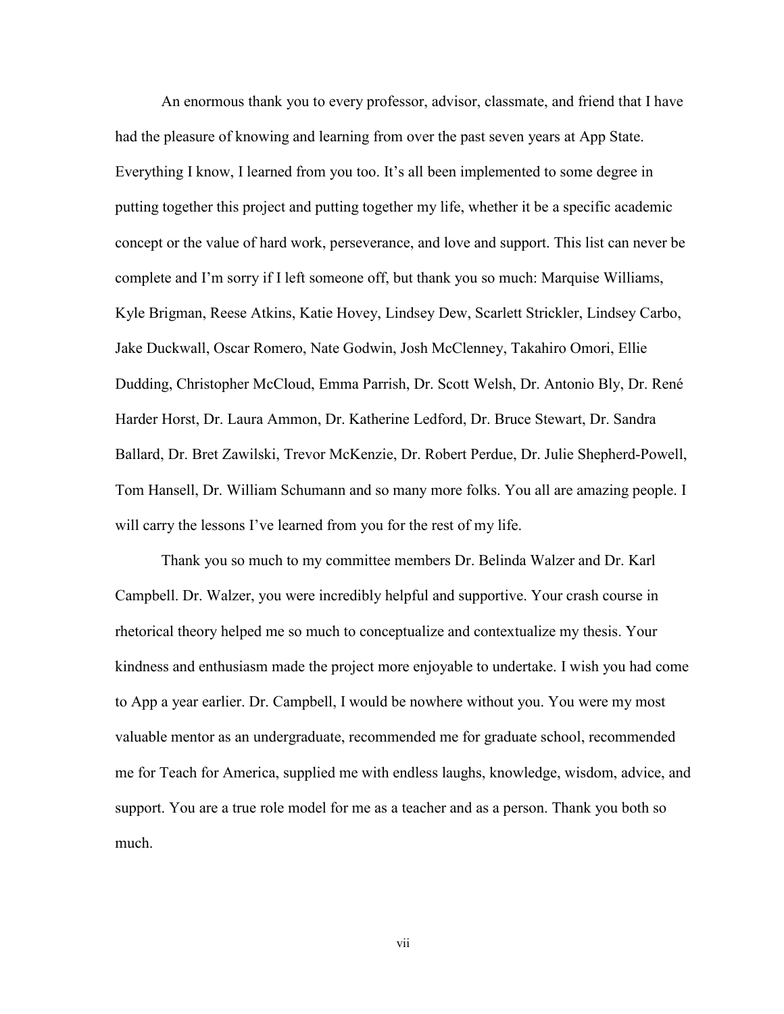An enormous thank you to every professor, advisor, classmate, and friend that I have had the pleasure of knowing and learning from over the past seven years at App State. Everything I know, I learned from you too. It's all been implemented to some degree in putting together this project and putting together my life, whether it be a specific academic concept or the value of hard work, perseverance, and love and support. This list can never be complete and I'm sorry if I left someone off, but thank you so much: Marquise Williams, Kyle Brigman, Reese Atkins, Katie Hovey, Lindsey Dew, Scarlett Strickler, Lindsey Carbo, Jake Duckwall, Oscar Romero, Nate Godwin, Josh McClenney, Takahiro Omori, Ellie Dudding, Christopher McCloud, Emma Parrish, Dr. Scott Welsh, Dr. Antonio Bly, Dr. René Harder Horst, Dr. Laura Ammon, Dr. Katherine Ledford, Dr. Bruce Stewart, Dr. Sandra Ballard, Dr. Bret Zawilski, Trevor McKenzie, Dr. Robert Perdue, Dr. Julie Shepherd-Powell, Tom Hansell, Dr. William Schumann and so many more folks. You all are amazing people. I will carry the lessons I've learned from you for the rest of my life.

Thank you so much to my committee members Dr. Belinda Walzer and Dr. Karl Campbell. Dr. Walzer, you were incredibly helpful and supportive. Your crash course in rhetorical theory helped me so much to conceptualize and contextualize my thesis. Your kindness and enthusiasm made the project more enjoyable to undertake. I wish you had come to App a year earlier. Dr. Campbell, I would be nowhere without you. You were my most valuable mentor as an undergraduate, recommended me for graduate school, recommended me for Teach for America, supplied me with endless laughs, knowledge, wisdom, advice, and support. You are a true role model for me as a teacher and as a person. Thank you both so much.

vii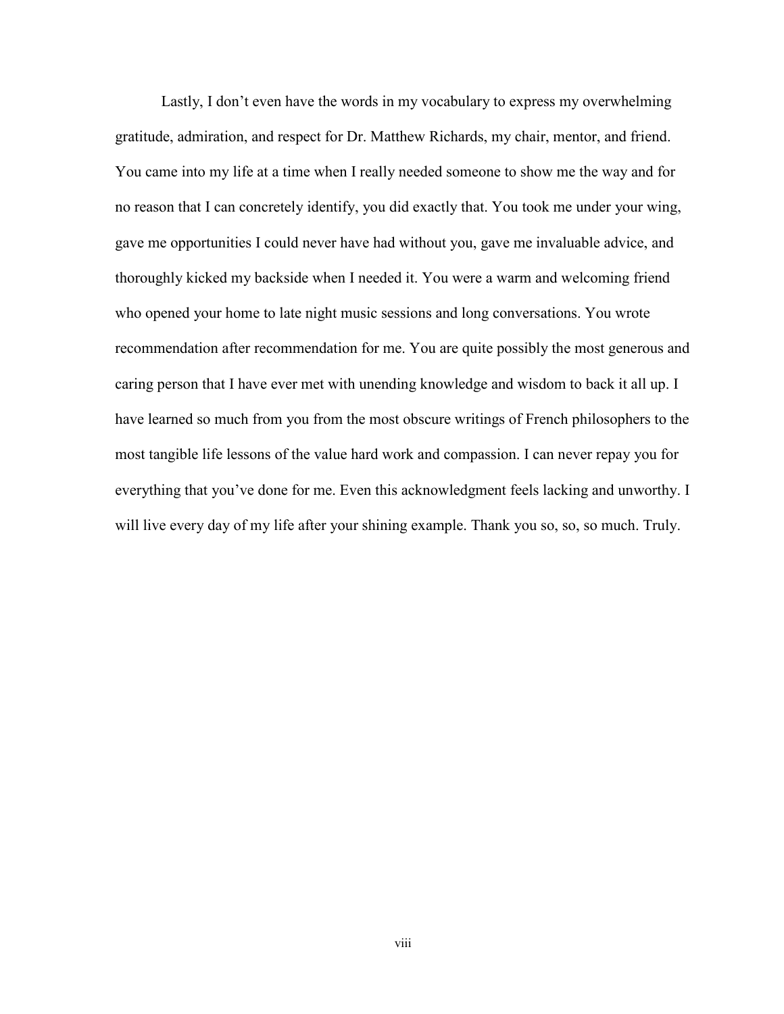Lastly, I don't even have the words in my vocabulary to express my overwhelming gratitude, admiration, and respect for Dr. Matthew Richards, my chair, mentor, and friend. You came into my life at a time when I really needed someone to show me the way and for no reason that I can concretely identify, you did exactly that. You took me under your wing, gave me opportunities I could never have had without you, gave me invaluable advice, and thoroughly kicked my backside when I needed it. You were a warm and welcoming friend who opened your home to late night music sessions and long conversations. You wrote recommendation after recommendation for me. You are quite possibly the most generous and caring person that I have ever met with unending knowledge and wisdom to back it all up. I have learned so much from you from the most obscure writings of French philosophers to the most tangible life lessons of the value hard work and compassion. I can never repay you for everything that you've done for me. Even this acknowledgment feels lacking and unworthy. I will live every day of my life after your shining example. Thank you so, so, so much. Truly.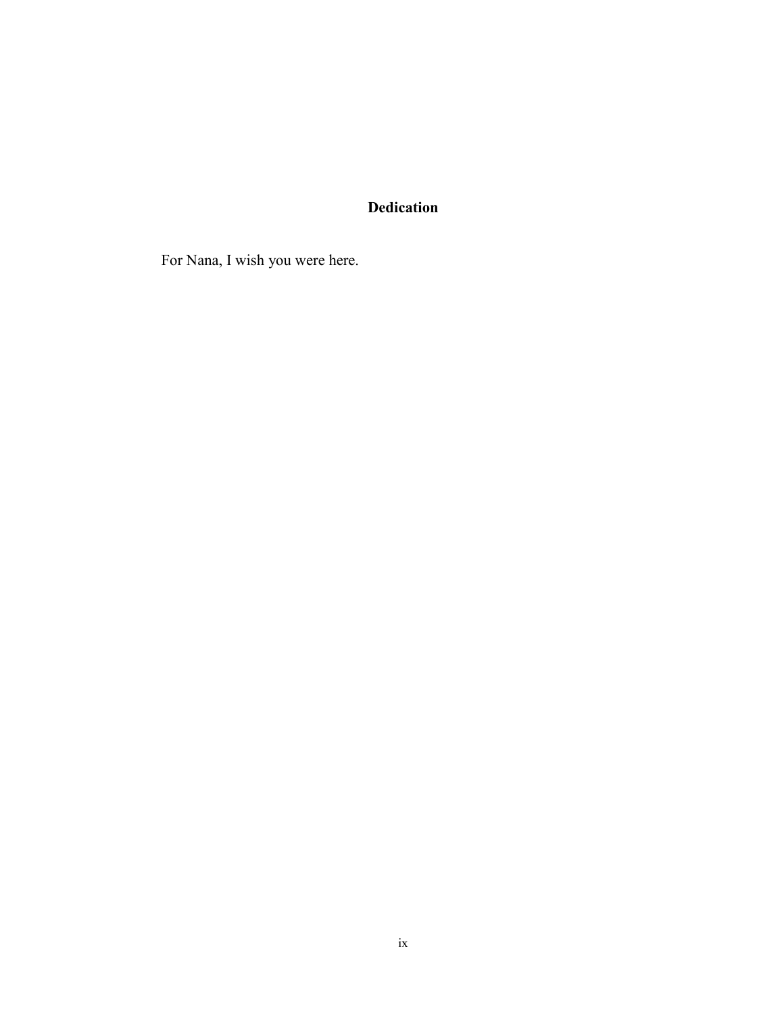# **Dedication**

For Nana, I wish you were here.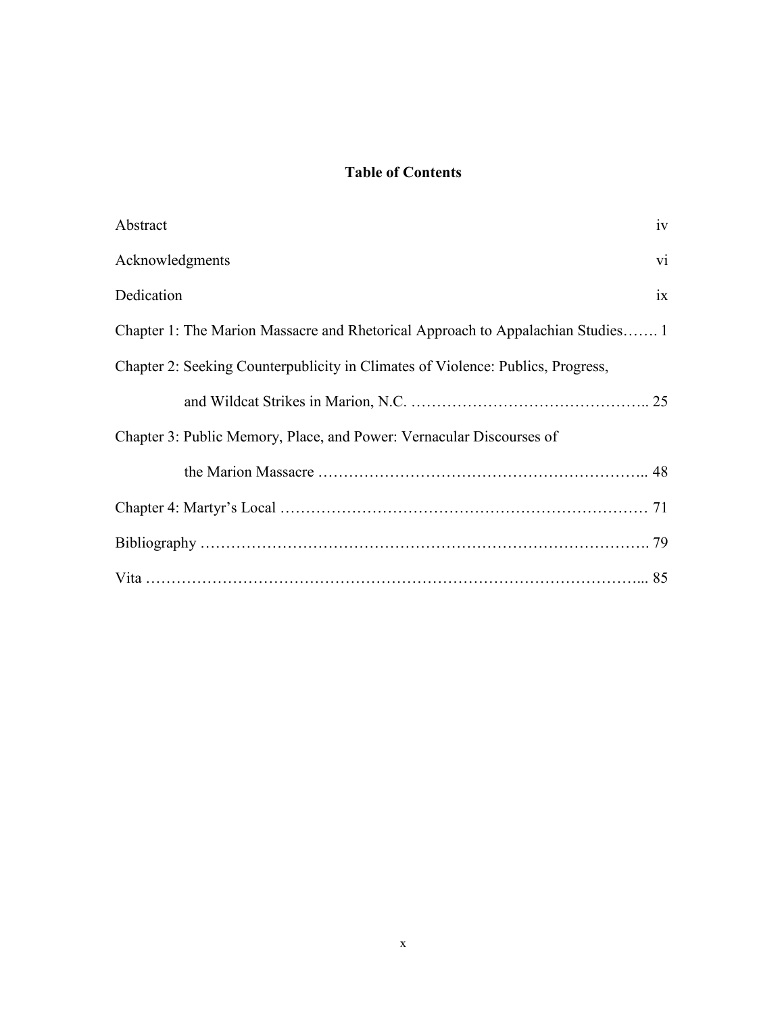## **Table of Contents**

| Abstract                                                                        | iv        |
|---------------------------------------------------------------------------------|-----------|
| Acknowledgments                                                                 | $\rm{vi}$ |
| Dedication                                                                      | ix        |
| Chapter 1: The Marion Massacre and Rhetorical Approach to Appalachian Studies 1 |           |
| Chapter 2: Seeking Counterpublicity in Climates of Violence: Publics, Progress, |           |
|                                                                                 |           |
| Chapter 3: Public Memory, Place, and Power: Vernacular Discourses of            |           |
|                                                                                 |           |
|                                                                                 |           |
|                                                                                 |           |
|                                                                                 |           |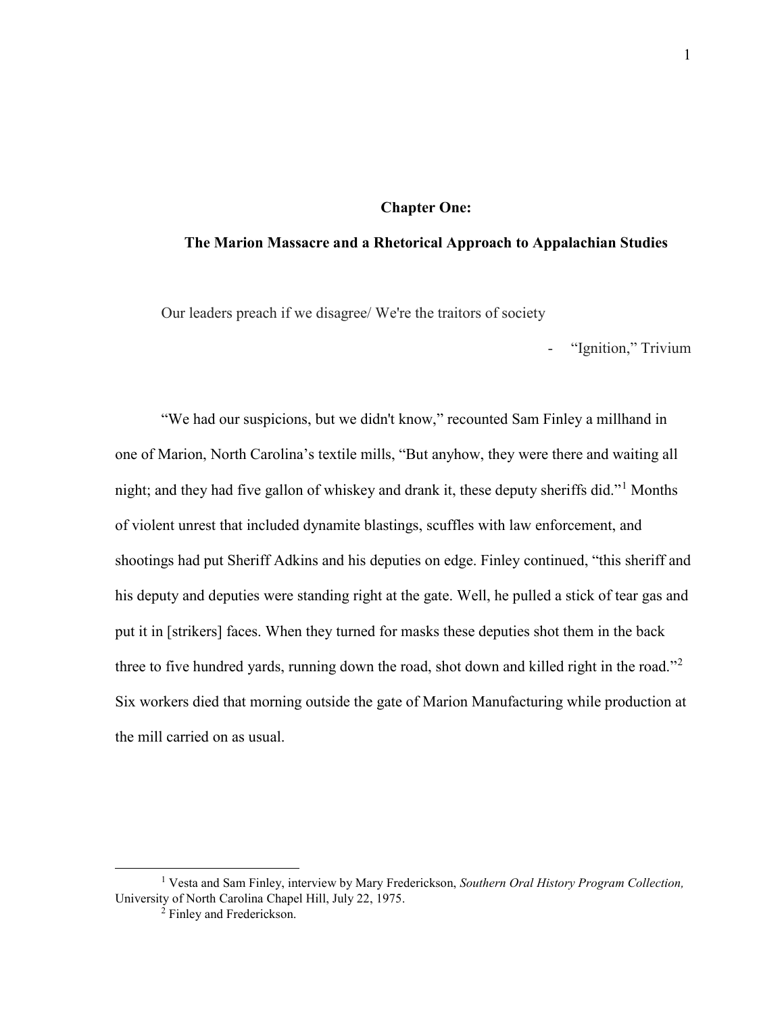### **Chapter One:**

## **The Marion Massacre and a Rhetorical Approach to Appalachian Studies**

Our leaders preach if we disagree/ We're the traitors of society

"Ignition," Trivium

"We had our suspicions, but we didn't know," recounted Sam Finley a millhand in one of Marion, North Carolina's textile mills, "But anyhow, they were there and waiting all night; and they had five gallon of whiskey and drank it, these deputy sheriffs did."[1](#page-11-0) Months of violent unrest that included dynamite blastings, scuffles with law enforcement, and shootings had put Sheriff Adkins and his deputies on edge. Finley continued, "this sheriff and his deputy and deputies were standing right at the gate. Well, he pulled a stick of tear gas and put it in [strikers] faces. When they turned for masks these deputies shot them in the back three to five hundred yards, running down the road, shot down and killed right in the road."<sup>[2](#page-11-1)</sup> Six workers died that morning outside the gate of Marion Manufacturing while production at the mill carried on as usual.

<span id="page-11-1"></span><span id="page-11-0"></span><sup>1</sup> Vesta and Sam Finley, interview by Mary Frederickson, *Southern Oral History Program Collection,*  University of North Carolina Chapel Hill, July 22, 1975.

 $^{2}$  Finley and Frederickson.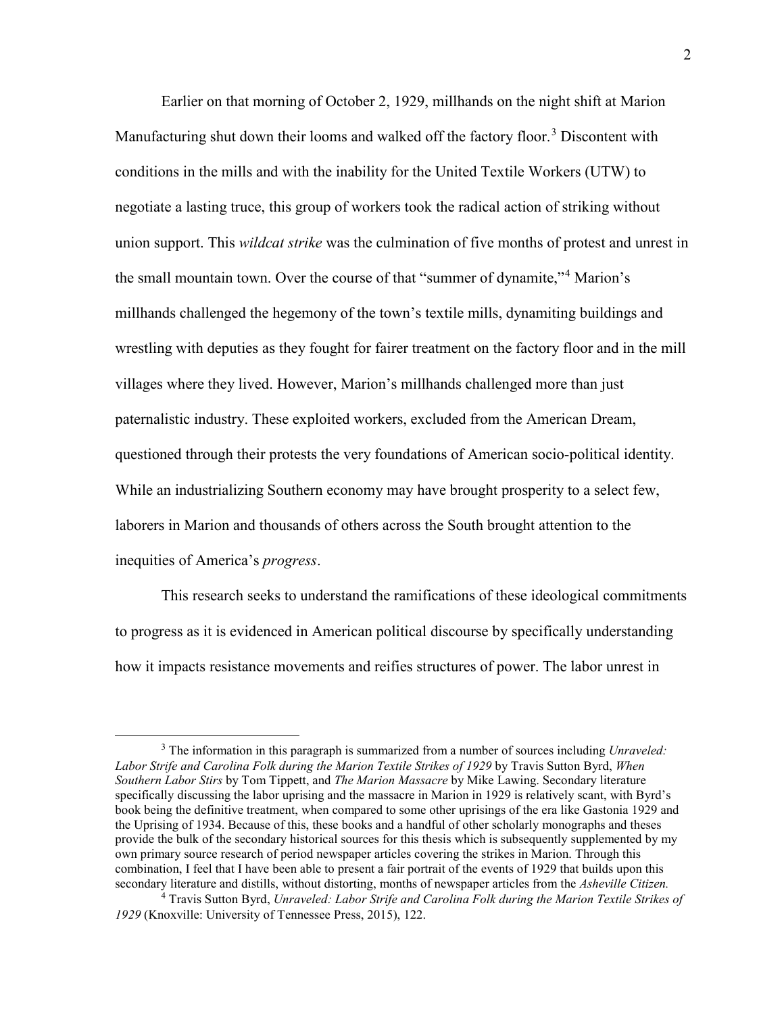Earlier on that morning of October 2, 1929, millhands on the night shift at Marion Manufacturing shut down their looms and walked off the factory floor.<sup>[3](#page-12-0)</sup> Discontent with conditions in the mills and with the inability for the United Textile Workers (UTW) to negotiate a lasting truce, this group of workers took the radical action of striking without union support. This *wildcat strike* was the culmination of five months of protest and unrest in the small mountain town. Over the course of that "summer of dynamite,"[4](#page-12-1) Marion's millhands challenged the hegemony of the town's textile mills, dynamiting buildings and wrestling with deputies as they fought for fairer treatment on the factory floor and in the mill villages where they lived. However, Marion's millhands challenged more than just paternalistic industry. These exploited workers, excluded from the American Dream, questioned through their protests the very foundations of American socio-political identity. While an industrializing Southern economy may have brought prosperity to a select few, laborers in Marion and thousands of others across the South brought attention to the inequities of America's *progress*.

This research seeks to understand the ramifications of these ideological commitments to progress as it is evidenced in American political discourse by specifically understanding how it impacts resistance movements and reifies structures of power. The labor unrest in

<span id="page-12-0"></span><sup>3</sup> The information in this paragraph is summarized from a number of sources including *Unraveled: Labor Strife and Carolina Folk during the Marion Textile Strikes of 1929* by Travis Sutton Byrd, *When Southern Labor Stirs* by Tom Tippett, and *The Marion Massacre* by Mike Lawing. Secondary literature specifically discussing the labor uprising and the massacre in Marion in 1929 is relatively scant, with Byrd's book being the definitive treatment, when compared to some other uprisings of the era like Gastonia 1929 and the Uprising of 1934. Because of this, these books and a handful of other scholarly monographs and theses provide the bulk of the secondary historical sources for this thesis which is subsequently supplemented by my own primary source research of period newspaper articles covering the strikes in Marion. Through this combination, I feel that I have been able to present a fair portrait of the events of 1929 that builds upon this secondary literature and distills, without distorting, months of newspaper articles from the *Asheville Citizen.* 

<span id="page-12-1"></span><sup>4</sup> Travis Sutton Byrd, *Unraveled: Labor Strife and Carolina Folk during the Marion Textile Strikes of 1929* (Knoxville: University of Tennessee Press, 2015), 122.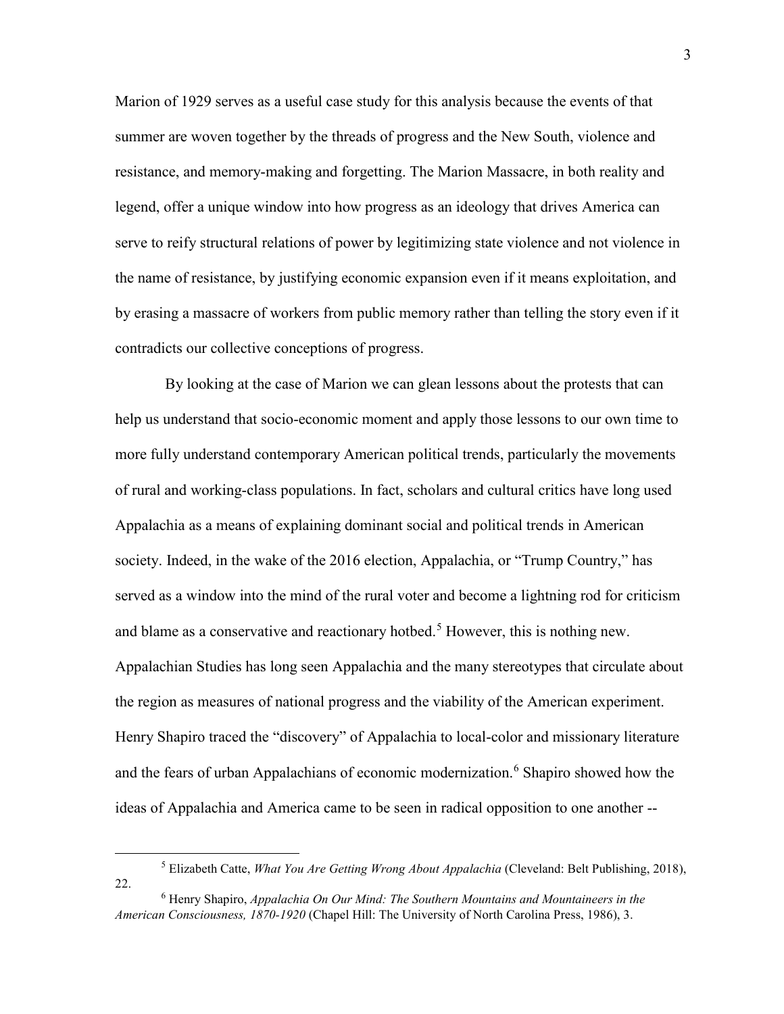Marion of 1929 serves as a useful case study for this analysis because the events of that summer are woven together by the threads of progress and the New South, violence and resistance, and memory-making and forgetting. The Marion Massacre, in both reality and legend, offer a unique window into how progress as an ideology that drives America can serve to reify structural relations of power by legitimizing state violence and not violence in the name of resistance, by justifying economic expansion even if it means exploitation, and by erasing a massacre of workers from public memory rather than telling the story even if it contradicts our collective conceptions of progress.

By looking at the case of Marion we can glean lessons about the protests that can help us understand that socio-economic moment and apply those lessons to our own time to more fully understand contemporary American political trends, particularly the movements of rural and working-class populations. In fact, scholars and cultural critics have long used Appalachia as a means of explaining dominant social and political trends in American society. Indeed, in the wake of the 2016 election, Appalachia, or "Trump Country," has served as a window into the mind of the rural voter and become a lightning rod for criticism and blame as a conservative and reactionary hotbed.<sup>[5](#page-13-0)</sup> However, this is nothing new. Appalachian Studies has long seen Appalachia and the many stereotypes that circulate about the region as measures of national progress and the viability of the American experiment. Henry Shapiro traced the "discovery" of Appalachia to local-color and missionary literature and the fears of urban Appalachians of economic modernization.<sup>[6](#page-13-1)</sup> Shapiro showed how the ideas of Appalachia and America came to be seen in radical opposition to one another --

<span id="page-13-0"></span><sup>5</sup> Elizabeth Catte, *What You Are Getting Wrong About Appalachia* (Cleveland: Belt Publishing, 2018), 22.

<span id="page-13-1"></span><sup>6</sup> Henry Shapiro, *Appalachia On Our Mind: The Southern Mountains and Mountaineers in the American Consciousness, 1870-1920* (Chapel Hill: The University of North Carolina Press, 1986), 3.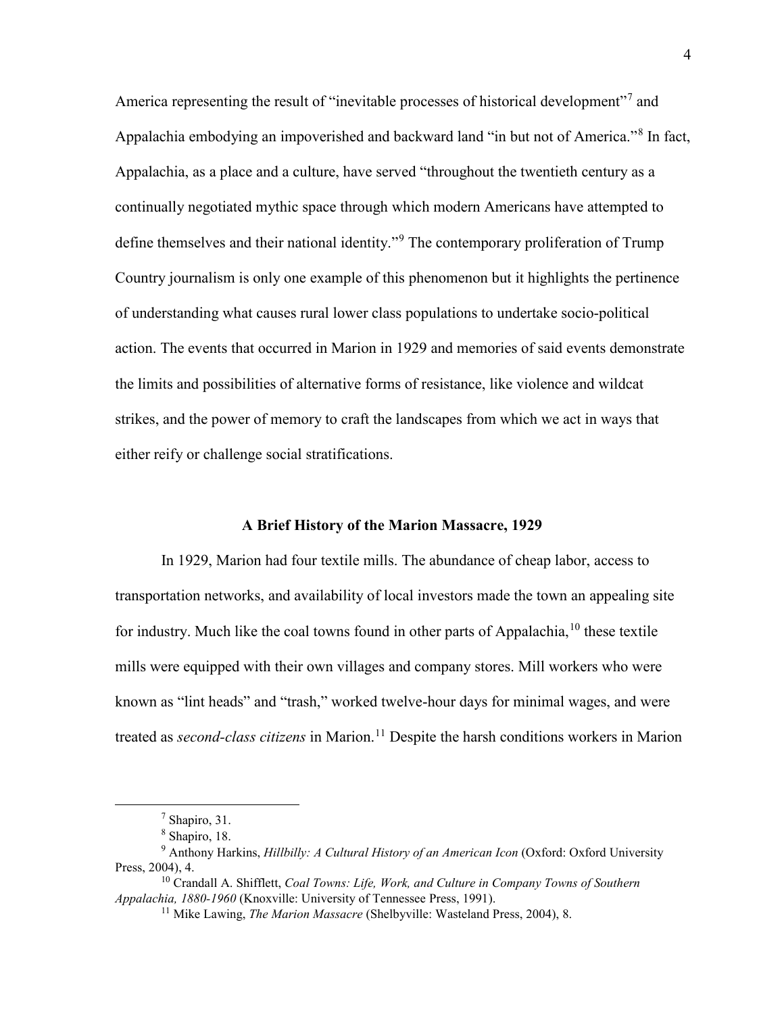America representing the result of "inevitable processes of historical development"<sup>[7](#page-14-0)</sup> and Appalachia embodying an impoverished and backward land "in but not of America."[8](#page-14-1) In fact, Appalachia, as a place and a culture, have served "throughout the twentieth century as a continually negotiated mythic space through which modern Americans have attempted to define themselves and their national identity."<sup>[9](#page-14-2)</sup> The contemporary proliferation of Trump Country journalism is only one example of this phenomenon but it highlights the pertinence of understanding what causes rural lower class populations to undertake socio-political action. The events that occurred in Marion in 1929 and memories of said events demonstrate the limits and possibilities of alternative forms of resistance, like violence and wildcat strikes, and the power of memory to craft the landscapes from which we act in ways that either reify or challenge social stratifications.

## **A Brief History of the Marion Massacre, 1929**

In 1929, Marion had four textile mills. The abundance of cheap labor, access to transportation networks, and availability of local investors made the town an appealing site for industry. Much like the coal towns found in other parts of Appalachia,  $10$  these textile mills were equipped with their own villages and company stores. Mill workers who were known as "lint heads" and "trash," worked twelve-hour days for minimal wages, and were treated as *second-class citizens* in Marion.<sup>[11](#page-14-4)</sup> Despite the harsh conditions workers in Marion

<sup>7</sup> Shapiro, 31.

<sup>8</sup> Shapiro, 18.

<span id="page-14-2"></span><span id="page-14-1"></span><span id="page-14-0"></span><sup>9</sup> Anthony Harkins, *Hillbilly: A Cultural History of an American Icon* (Oxford: Oxford University Press, 2004), 4.

<span id="page-14-4"></span><span id="page-14-3"></span><sup>&</sup>lt;sup>10</sup> Crandall A. Shifflett, *Coal Towns: Life, Work, and Culture in Company Towns of Southern Appalachia, 1880-1960* (Knoxville: University of Tennessee Press, 1991).

<sup>&</sup>lt;sup>11</sup> Mike Lawing, *The Marion Massacre* (Shelbyville: Wasteland Press, 2004), 8.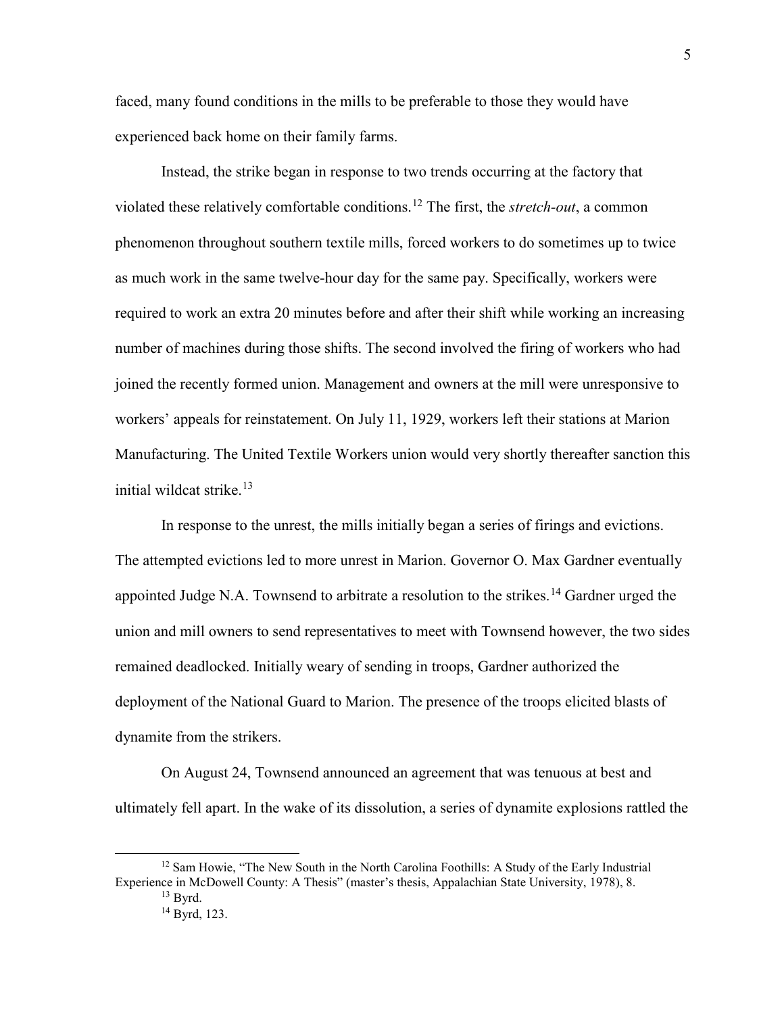faced, many found conditions in the mills to be preferable to those they would have experienced back home on their family farms.

Instead, the strike began in response to two trends occurring at the factory that violated these relatively comfortable conditions.[12](#page-15-0) The first, the *stretch-out*, a common phenomenon throughout southern textile mills, forced workers to do sometimes up to twice as much work in the same twelve-hour day for the same pay. Specifically, workers were required to work an extra 20 minutes before and after their shift while working an increasing number of machines during those shifts. The second involved the firing of workers who had joined the recently formed union. Management and owners at the mill were unresponsive to workers' appeals for reinstatement. On July 11, 1929, workers left their stations at Marion Manufacturing. The United Textile Workers union would very shortly thereafter sanction this initial wildcat strike. [13](#page-15-1)

In response to the unrest, the mills initially began a series of firings and evictions. The attempted evictions led to more unrest in Marion. Governor O. Max Gardner eventually appointed Judge N.A. Townsend to arbitrate a resolution to the strikes.<sup>[14](#page-15-2)</sup> Gardner urged the union and mill owners to send representatives to meet with Townsend however, the two sides remained deadlocked. Initially weary of sending in troops, Gardner authorized the deployment of the National Guard to Marion. The presence of the troops elicited blasts of dynamite from the strikers.

On August 24, Townsend announced an agreement that was tenuous at best and ultimately fell apart. In the wake of its dissolution, a series of dynamite explosions rattled the

<span id="page-15-2"></span><span id="page-15-1"></span><span id="page-15-0"></span><sup>&</sup>lt;sup>12</sup> Sam Howie, "The New South in the North Carolina Foothills: A Study of the Early Industrial Experience in McDowell County: A Thesis" (master's thesis, Appalachian State University, 1978), 8.

 $13$  Byrd.

<sup>14</sup> Byrd, 123.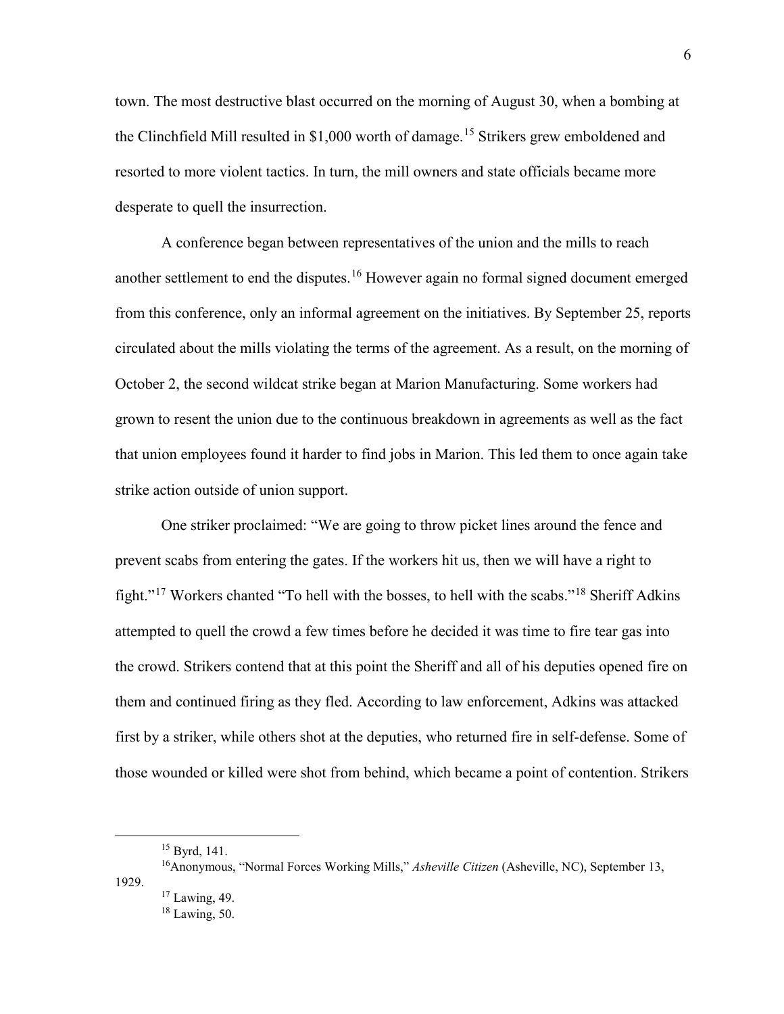town. The most destructive blast occurred on the morning of August 30, when a bombing at the Clinchfield Mill resulted in \$1,000 worth of damage.<sup>[15](#page-16-0)</sup> Strikers grew emboldened and resorted to more violent tactics. In turn, the mill owners and state officials became more desperate to quell the insurrection.

A conference began between representatives of the union and the mills to reach another settlement to end the disputes.<sup>[16](#page-16-1)</sup> However again no formal signed document emerged from this conference, only an informal agreement on the initiatives. By September 25, reports circulated about the mills violating the terms of the agreement. As a result, on the morning of October 2, the second wildcat strike began at Marion Manufacturing. Some workers had grown to resent the union due to the continuous breakdown in agreements as well as the fact that union employees found it harder to find jobs in Marion. This led them to once again take strike action outside of union support.

One striker proclaimed: "We are going to throw picket lines around the fence and prevent scabs from entering the gates. If the workers hit us, then we will have a right to fight."[17](#page-16-2) Workers chanted "To hell with the bosses, to hell with the scabs."[18](#page-16-3) Sheriff Adkins attempted to quell the crowd a few times before he decided it was time to fire tear gas into the crowd. Strikers contend that at this point the Sheriff and all of his deputies opened fire on them and continued firing as they fled. According to law enforcement, Adkins was attacked first by a striker, while others shot at the deputies, who returned fire in self-defense. Some of those wounded or killed were shot from behind, which became a point of contention. Strikers

<sup>15</sup> Byrd, 141.

<span id="page-16-3"></span><span id="page-16-2"></span><span id="page-16-1"></span><span id="page-16-0"></span><sup>16</sup>Anonymous, "Normal Forces Working Mills," *Asheville Citizen* (Asheville, NC), September 13, 1929. <sup>17</sup> Lawing, 49.

 $18$  Lawing, 50.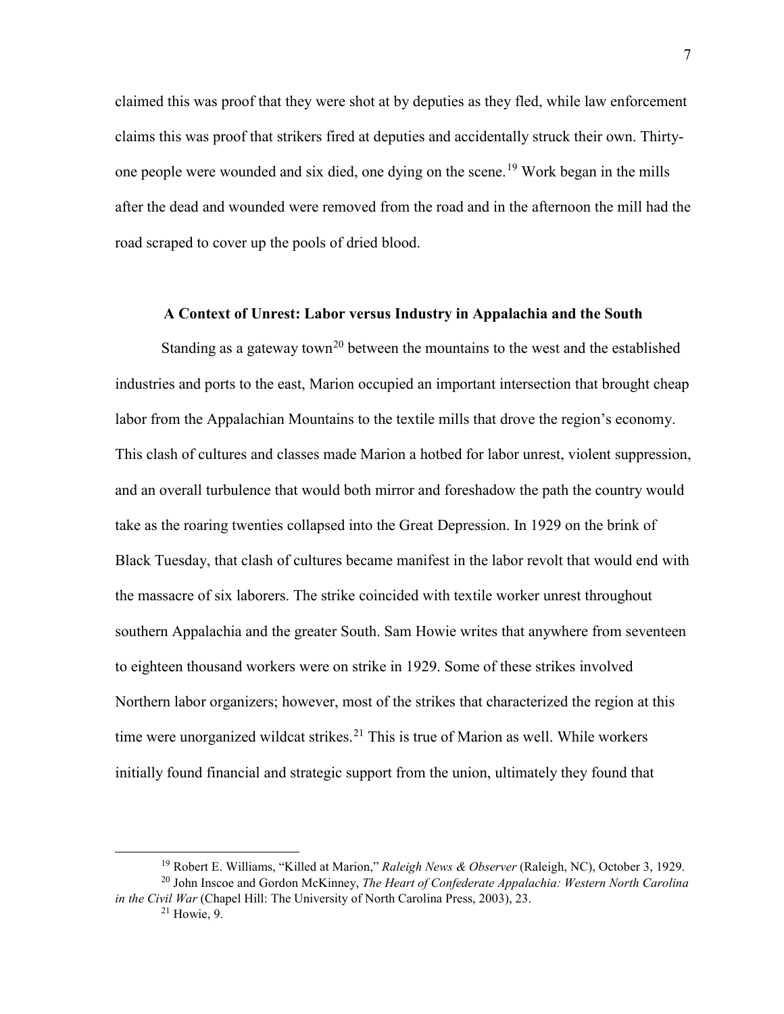claimed this was proof that they were shot at by deputies as they fled, while law enforcement claims this was proof that strikers fired at deputies and accidentally struck their own. Thirty-one people were wounded and six died, one dying on the scene.<sup>[19](#page-17-0)</sup> Work began in the mills after the dead and wounded were removed from the road and in the afternoon the mill had the road scraped to cover up the pools of dried blood.

## **A Context of Unrest: Labor versus Industry in Appalachia and the South**

Standing as a gateway town<sup>[20](#page-17-1)</sup> between the mountains to the west and the established industries and ports to the east, Marion occupied an important intersection that brought cheap labor from the Appalachian Mountains to the textile mills that drove the region's economy. This clash of cultures and classes made Marion a hotbed for labor unrest, violent suppression, and an overall turbulence that would both mirror and foreshadow the path the country would take as the roaring twenties collapsed into the Great Depression. In 1929 on the brink of Black Tuesday, that clash of cultures became manifest in the labor revolt that would end with the massacre of six laborers. The strike coincided with textile worker unrest throughout southern Appalachia and the greater South. Sam Howie writes that anywhere from seventeen to eighteen thousand workers were on strike in 1929. Some of these strikes involved Northern labor organizers; however, most of the strikes that characterized the region at this time were unorganized wildcat strikes.<sup>[21](#page-17-2)</sup> This is true of Marion as well. While workers initially found financial and strategic support from the union, ultimately they found that

<sup>19</sup> Robert E. Williams, "Killed at Marion," *Raleigh News & Observer* (Raleigh, NC), October 3, 1929.

<span id="page-17-2"></span><span id="page-17-1"></span><span id="page-17-0"></span><sup>20</sup> John Inscoe and Gordon McKinney, *The Heart of Confederate Appalachia: Western North Carolina in the Civil War* (Chapel Hill: The University of North Carolina Press, 2003), 23.

 $21$  Howie, 9.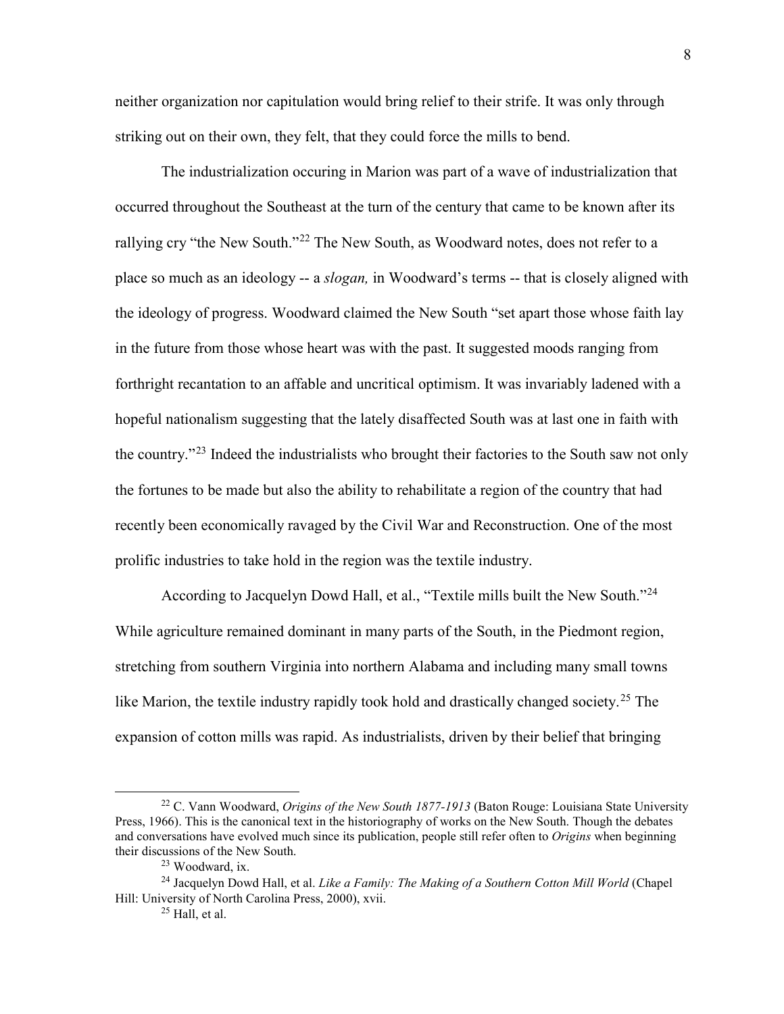neither organization nor capitulation would bring relief to their strife. It was only through striking out on their own, they felt, that they could force the mills to bend.

The industrialization occuring in Marion was part of a wave of industrialization that occurred throughout the Southeast at the turn of the century that came to be known after its rallying cry "the New South."<sup>[22](#page-18-0)</sup> The New South, as Woodward notes, does not refer to a place so much as an ideology -- a *slogan,* in Woodward's terms -- that is closely aligned with the ideology of progress. Woodward claimed the New South "set apart those whose faith lay in the future from those whose heart was with the past. It suggested moods ranging from forthright recantation to an affable and uncritical optimism. It was invariably ladened with a hopeful nationalism suggesting that the lately disaffected South was at last one in faith with the country."[23](#page-18-1) Indeed the industrialists who brought their factories to the South saw not only the fortunes to be made but also the ability to rehabilitate a region of the country that had recently been economically ravaged by the Civil War and Reconstruction. One of the most prolific industries to take hold in the region was the textile industry.

According to Jacquelyn Dowd Hall, et al., "Textile mills built the New South."<sup>[24](#page-18-2)</sup> While agriculture remained dominant in many parts of the South, in the Piedmont region, stretching from southern Virginia into northern Alabama and including many small towns like Marion, the textile industry rapidly took hold and drastically changed society.<sup>[25](#page-18-3)</sup> The expansion of cotton mills was rapid. As industrialists, driven by their belief that bringing

<span id="page-18-0"></span><sup>22</sup> C. Vann Woodward, *Origins of the New South 1877-1913* (Baton Rouge: Louisiana State University Press, 1966). This is the canonical text in the historiography of works on the New South. Though the debates and conversations have evolved much since its publication, people still refer often to *Origins* when beginning their discussions of the New South.

<sup>23</sup> Woodward, ix.

<span id="page-18-3"></span><span id="page-18-2"></span><span id="page-18-1"></span><sup>&</sup>lt;sup>24</sup> Jacquelyn Dowd Hall, et al. *Like a Family: The Making of a Southern Cotton Mill World* (Chapel Hill: University of North Carolina Press, 2000), xvii.

 $25$  Hall, et al.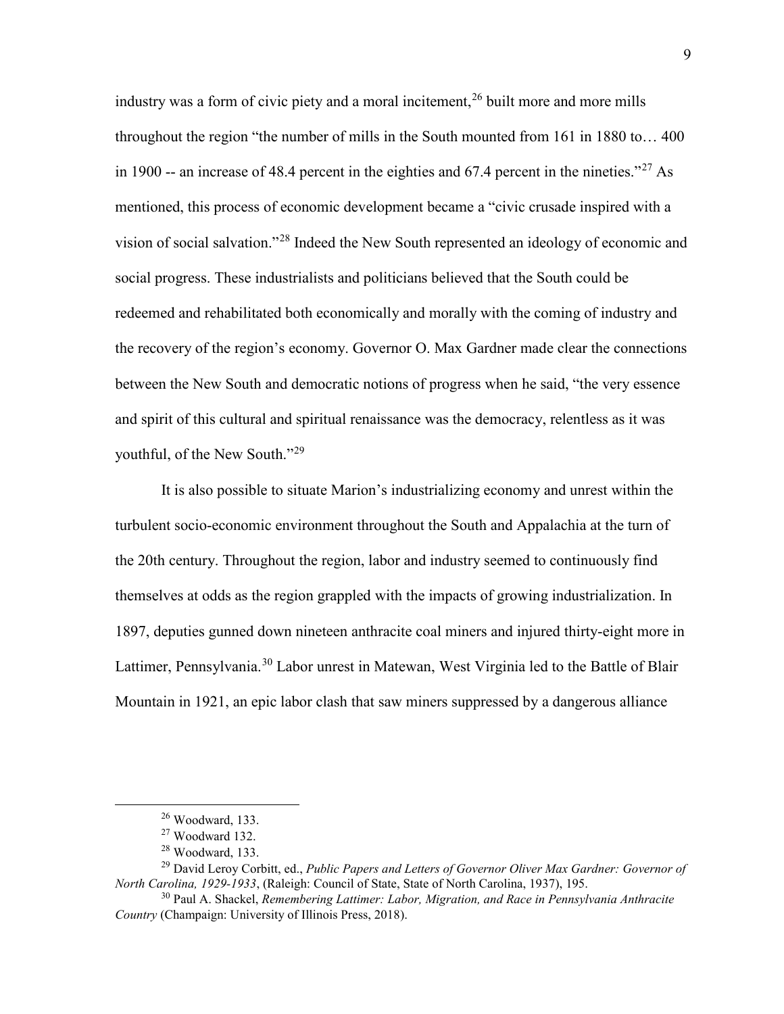industry was a form of civic piety and a moral incitement,  $26$  built more and more mills throughout the region "the number of mills in the South mounted from 161 in 1880 to… 400 in 1900 -- an increase of 48.4 percent in the eighties and 67.4 percent in the nineties."<sup>[27](#page-19-1)</sup> As mentioned, this process of economic development became a "civic crusade inspired with a vision of social salvation."[28](#page-19-2) Indeed the New South represented an ideology of economic and social progress. These industrialists and politicians believed that the South could be redeemed and rehabilitated both economically and morally with the coming of industry and the recovery of the region's economy. Governor O. Max Gardner made clear the connections between the New South and democratic notions of progress when he said, "the very essence and spirit of this cultural and spiritual renaissance was the democracy, relentless as it was youthful, of the New South."<sup>[29](#page-19-3)</sup>

It is also possible to situate Marion's industrializing economy and unrest within the turbulent socio-economic environment throughout the South and Appalachia at the turn of the 20th century. Throughout the region, labor and industry seemed to continuously find themselves at odds as the region grappled with the impacts of growing industrialization. In 1897, deputies gunned down nineteen anthracite coal miners and injured thirty-eight more in Lattimer, Pennsylvania.<sup>[30](#page-19-4)</sup> Labor unrest in Matewan, West Virginia led to the Battle of Blair Mountain in 1921, an epic labor clash that saw miners suppressed by a dangerous alliance

<sup>26</sup> Woodward, 133.

<sup>27</sup> Woodward 132.

 $28$  Woodward, 133.

<span id="page-19-3"></span><span id="page-19-2"></span><span id="page-19-1"></span><span id="page-19-0"></span><sup>29</sup> David Leroy Corbitt, ed., *Public Papers and Letters of Governor Oliver Max Gardner: Governor of North Carolina, 1929-1933*, (Raleigh: Council of State, State of North Carolina, 1937), 195.

<span id="page-19-4"></span><sup>30</sup> Paul A. Shackel, *Remembering Lattimer: Labor, Migration, and Race in Pennsylvania Anthracite Country* (Champaign: University of Illinois Press, 2018).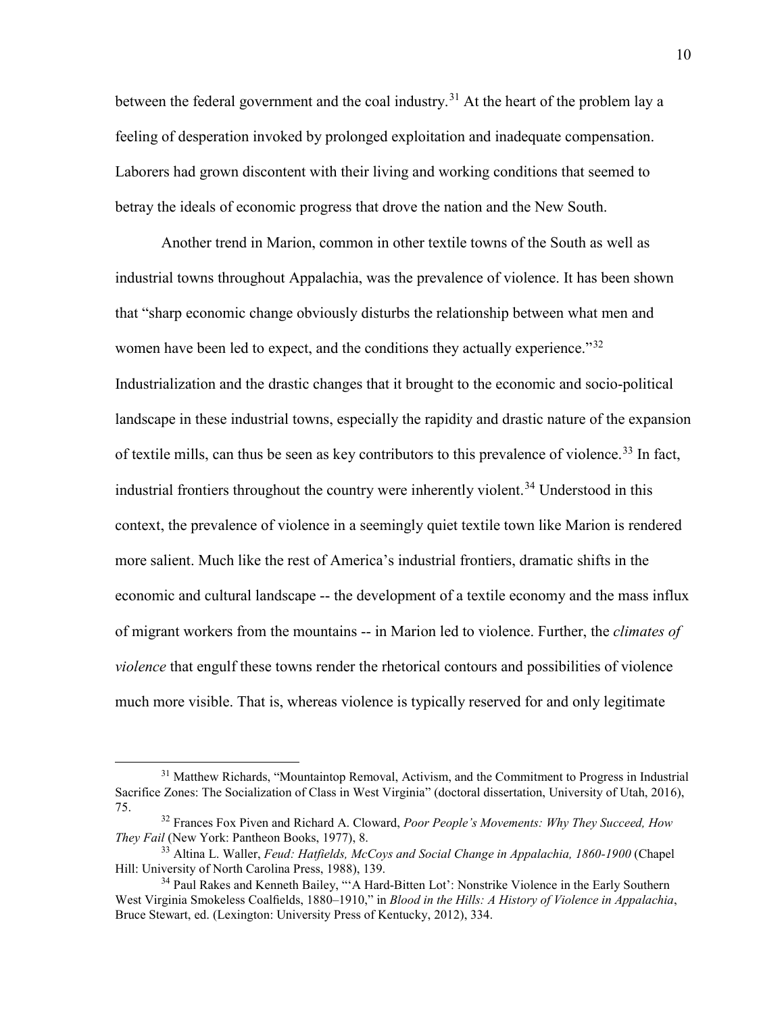between the federal government and the coal industry.<sup>[31](#page-20-0)</sup> At the heart of the problem lay a feeling of desperation invoked by prolonged exploitation and inadequate compensation. Laborers had grown discontent with their living and working conditions that seemed to betray the ideals of economic progress that drove the nation and the New South.

Another trend in Marion, common in other textile towns of the South as well as industrial towns throughout Appalachia, was the prevalence of violence. It has been shown that "sharp economic change obviously disturbs the relationship between what men and women have been led to expect, and the conditions they actually experience."<sup>[32](#page-20-1)</sup> Industrialization and the drastic changes that it brought to the economic and socio-political landscape in these industrial towns, especially the rapidity and drastic nature of the expansion of textile mills, can thus be seen as key contributors to this prevalence of violence.<sup>[33](#page-20-2)</sup> In fact, industrial frontiers throughout the country were inherently violent.<sup>[34](#page-20-3)</sup> Understood in this context, the prevalence of violence in a seemingly quiet textile town like Marion is rendered more salient. Much like the rest of America's industrial frontiers, dramatic shifts in the economic and cultural landscape -- the development of a textile economy and the mass influx of migrant workers from the mountains -- in Marion led to violence. Further, the *climates of violence* that engulf these towns render the rhetorical contours and possibilities of violence much more visible. That is, whereas violence is typically reserved for and only legitimate

<span id="page-20-0"></span><sup>&</sup>lt;sup>31</sup> Matthew Richards, "Mountaintop Removal, Activism, and the Commitment to Progress in Industrial Sacrifice Zones: The Socialization of Class in West Virginia" (doctoral dissertation, University of Utah, 2016), 75.

<span id="page-20-1"></span><sup>32</sup> Frances Fox Piven and Richard A. Cloward, *Poor People's Movements: Why They Succeed, How They Fail* (New York: Pantheon Books, 1977), 8.

<span id="page-20-2"></span><sup>33</sup> Altina L. Waller, *Feud: Hatfields, McCoys and Social Change in Appalachia, 1860-1900* (Chapel Hill: University of North Carolina Press, 1988), 139.

<span id="page-20-3"></span><sup>&</sup>lt;sup>34</sup> Paul Rakes and Kenneth Bailey, ""A Hard-Bitten Lot': Nonstrike Violence in the Early Southern West Virginia Smokeless Coalfields, 1880–1910," in *Blood in the Hills: A History of Violence in Appalachia*, Bruce Stewart, ed. (Lexington: University Press of Kentucky, 2012), 334.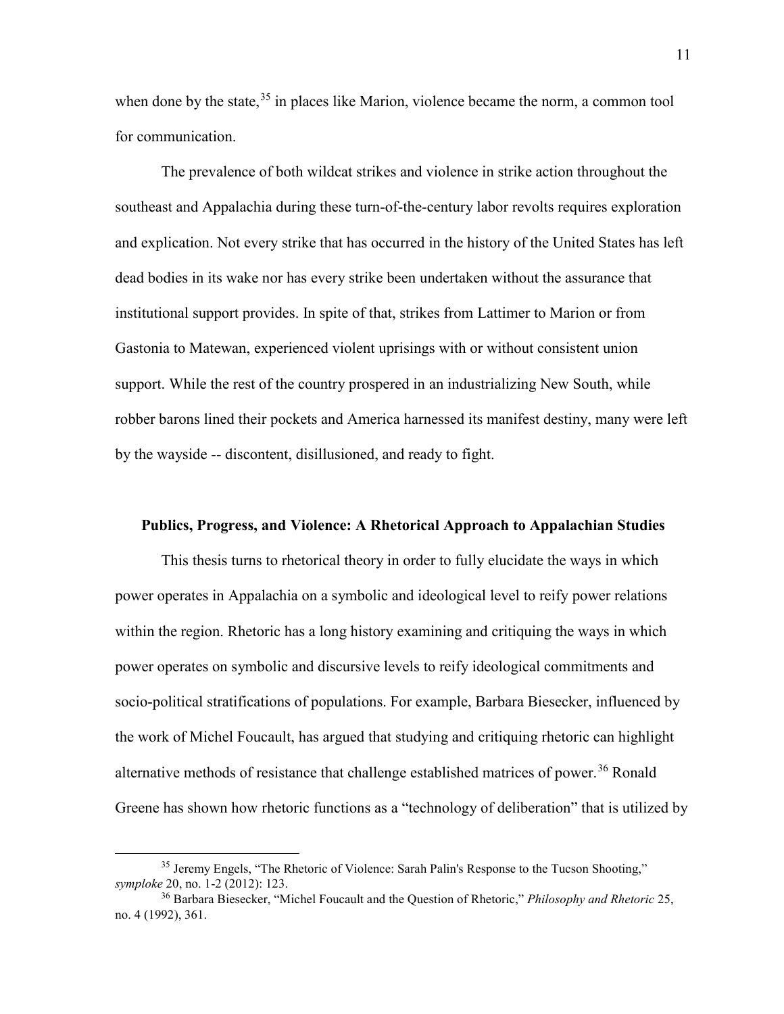when done by the state,  $35$  in places like Marion, violence became the norm, a common tool for communication.

The prevalence of both wildcat strikes and violence in strike action throughout the southeast and Appalachia during these turn-of-the-century labor revolts requires exploration and explication. Not every strike that has occurred in the history of the United States has left dead bodies in its wake nor has every strike been undertaken without the assurance that institutional support provides. In spite of that, strikes from Lattimer to Marion or from Gastonia to Matewan, experienced violent uprisings with or without consistent union support. While the rest of the country prospered in an industrializing New South, while robber barons lined their pockets and America harnessed its manifest destiny, many were left by the wayside -- discontent, disillusioned, and ready to fight.

#### **Publics, Progress, and Violence: A Rhetorical Approach to Appalachian Studies**

This thesis turns to rhetorical theory in order to fully elucidate the ways in which power operates in Appalachia on a symbolic and ideological level to reify power relations within the region. Rhetoric has a long history examining and critiquing the ways in which power operates on symbolic and discursive levels to reify ideological commitments and socio-political stratifications of populations. For example, Barbara Biesecker, influenced by the work of Michel Foucault, has argued that studying and critiquing rhetoric can highlight alternative methods of resistance that challenge established matrices of power.<sup>[36](#page-21-1)</sup> Ronald Greene has shown how rhetoric functions as a "technology of deliberation" that is utilized by

<span id="page-21-0"></span><sup>&</sup>lt;sup>35</sup> Jeremy Engels, "The Rhetoric of Violence: Sarah Palin's Response to the Tucson Shooting," *symploke* 20, no. 1-2 (2012): 123.

<span id="page-21-1"></span><sup>36</sup> Barbara Biesecker, "Michel Foucault and the Question of Rhetoric," *Philosophy and Rhetoric* 25, no. 4 (1992), 361.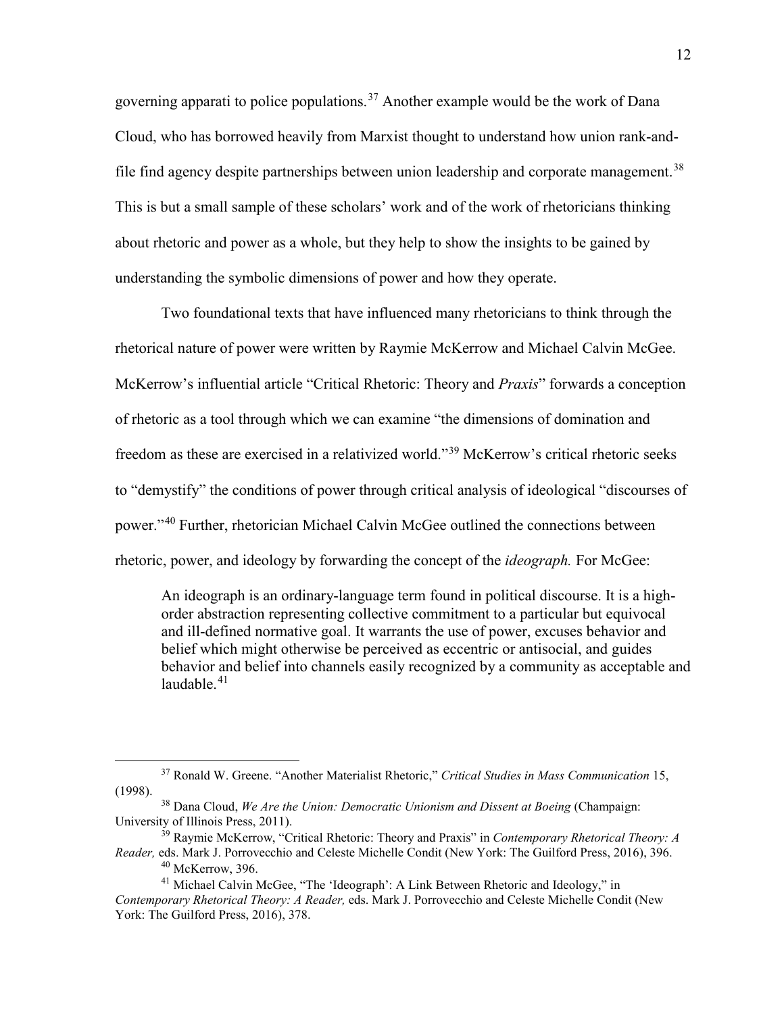governing apparati to police populations.<sup>[37](#page-22-0)</sup> Another example would be the work of Dana Cloud, who has borrowed heavily from Marxist thought to understand how union rank-and-file find agency despite partnerships between union leadership and corporate management.<sup>[38](#page-22-1)</sup> This is but a small sample of these scholars' work and of the work of rhetoricians thinking about rhetoric and power as a whole, but they help to show the insights to be gained by understanding the symbolic dimensions of power and how they operate.

Two foundational texts that have influenced many rhetoricians to think through the rhetorical nature of power were written by Raymie McKerrow and Michael Calvin McGee. McKerrow's influential article "Critical Rhetoric: Theory and *Praxis*" forwards a conception of rhetoric as a tool through which we can examine "the dimensions of domination and freedom as these are exercised in a relativized world."[39](#page-22-2) McKerrow's critical rhetoric seeks to "demystify" the conditions of power through critical analysis of ideological "discourses of power."[40](#page-22-3) Further, rhetorician Michael Calvin McGee outlined the connections between rhetoric, power, and ideology by forwarding the concept of the *ideograph.* For McGee:

An ideograph is an ordinary-language term found in political discourse. It is a highorder abstraction representing collective commitment to a particular but equivocal and ill-defined normative goal. It warrants the use of power, excuses behavior and belief which might otherwise be perceived as eccentric or antisocial, and guides behavior and belief into channels easily recognized by a community as acceptable and laudable. $41$ 

<span id="page-22-0"></span><sup>37</sup> Ronald W. Greene. "Another Materialist Rhetoric," *Critical Studies in Mass Communication* 15, (1998).

<span id="page-22-1"></span><sup>&</sup>lt;sup>38</sup> Dana Cloud, *We Are the Union: Democratic Unionism and Dissent at Boeing* (Champaign: University of Illinois Press, 2011).

<span id="page-22-2"></span><sup>39</sup> Raymie McKerrow, "Critical Rhetoric: Theory and Praxis" in *Contemporary Rhetorical Theory: A Reader,* eds. Mark J. Porrovecchio and Celeste Michelle Condit (New York: The Guilford Press, 2016), 396.

 $40$  McKerrow, 396.

<span id="page-22-4"></span><span id="page-22-3"></span><sup>&</sup>lt;sup>41</sup> Michael Calvin McGee, "The 'Ideograph': A Link Between Rhetoric and Ideology," in *Contemporary Rhetorical Theory: A Reader,* eds. Mark J. Porrovecchio and Celeste Michelle Condit (New York: The Guilford Press, 2016), 378.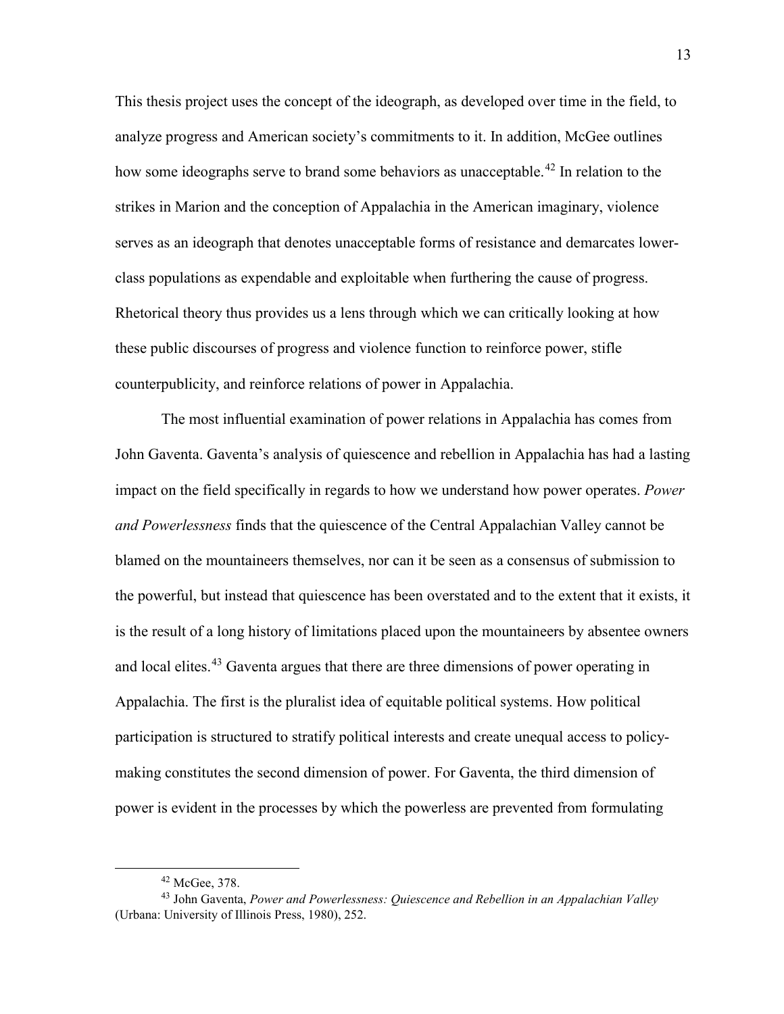This thesis project uses the concept of the ideograph, as developed over time in the field, to analyze progress and American society's commitments to it. In addition, McGee outlines how some ideographs serve to brand some behaviors as unacceptable.<sup>[42](#page-23-0)</sup> In relation to the strikes in Marion and the conception of Appalachia in the American imaginary, violence serves as an ideograph that denotes unacceptable forms of resistance and demarcates lowerclass populations as expendable and exploitable when furthering the cause of progress. Rhetorical theory thus provides us a lens through which we can critically looking at how these public discourses of progress and violence function to reinforce power, stifle counterpublicity, and reinforce relations of power in Appalachia.

The most influential examination of power relations in Appalachia has comes from John Gaventa. Gaventa's analysis of quiescence and rebellion in Appalachia has had a lasting impact on the field specifically in regards to how we understand how power operates. *Power and Powerlessness* finds that the quiescence of the Central Appalachian Valley cannot be blamed on the mountaineers themselves, nor can it be seen as a consensus of submission to the powerful, but instead that quiescence has been overstated and to the extent that it exists, it is the result of a long history of limitations placed upon the mountaineers by absentee owners and local elites.<sup>[43](#page-23-1)</sup> Gaventa argues that there are three dimensions of power operating in Appalachia. The first is the pluralist idea of equitable political systems. How political participation is structured to stratify political interests and create unequal access to policymaking constitutes the second dimension of power. For Gaventa, the third dimension of power is evident in the processes by which the powerless are prevented from formulating

<sup>42</sup> McGee, 378.

<span id="page-23-1"></span><span id="page-23-0"></span><sup>43</sup> John Gaventa, *Power and Powerlessness: Quiescence and Rebellion in an Appalachian Valley* (Urbana: University of Illinois Press, 1980), 252.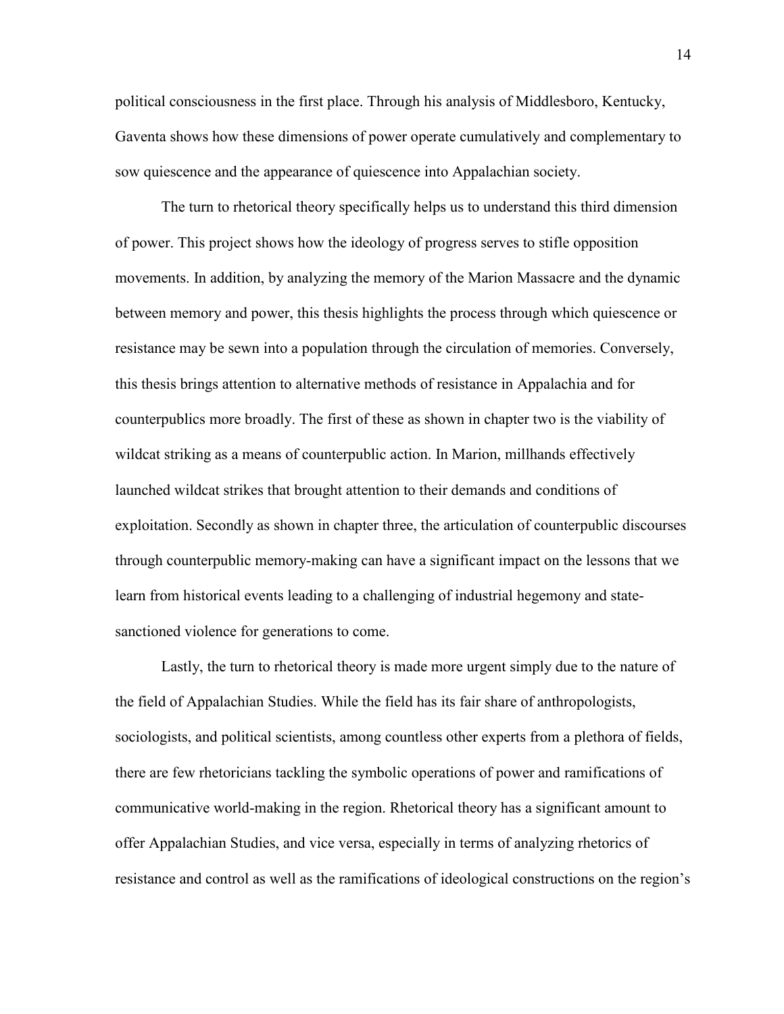political consciousness in the first place. Through his analysis of Middlesboro, Kentucky, Gaventa shows how these dimensions of power operate cumulatively and complementary to sow quiescence and the appearance of quiescence into Appalachian society.

The turn to rhetorical theory specifically helps us to understand this third dimension of power. This project shows how the ideology of progress serves to stifle opposition movements. In addition, by analyzing the memory of the Marion Massacre and the dynamic between memory and power, this thesis highlights the process through which quiescence or resistance may be sewn into a population through the circulation of memories. Conversely, this thesis brings attention to alternative methods of resistance in Appalachia and for counterpublics more broadly. The first of these as shown in chapter two is the viability of wildcat striking as a means of counterpublic action. In Marion, millhands effectively launched wildcat strikes that brought attention to their demands and conditions of exploitation. Secondly as shown in chapter three, the articulation of counterpublic discourses through counterpublic memory-making can have a significant impact on the lessons that we learn from historical events leading to a challenging of industrial hegemony and statesanctioned violence for generations to come.

Lastly, the turn to rhetorical theory is made more urgent simply due to the nature of the field of Appalachian Studies. While the field has its fair share of anthropologists, sociologists, and political scientists, among countless other experts from a plethora of fields, there are few rhetoricians tackling the symbolic operations of power and ramifications of communicative world-making in the region. Rhetorical theory has a significant amount to offer Appalachian Studies, and vice versa, especially in terms of analyzing rhetorics of resistance and control as well as the ramifications of ideological constructions on the region's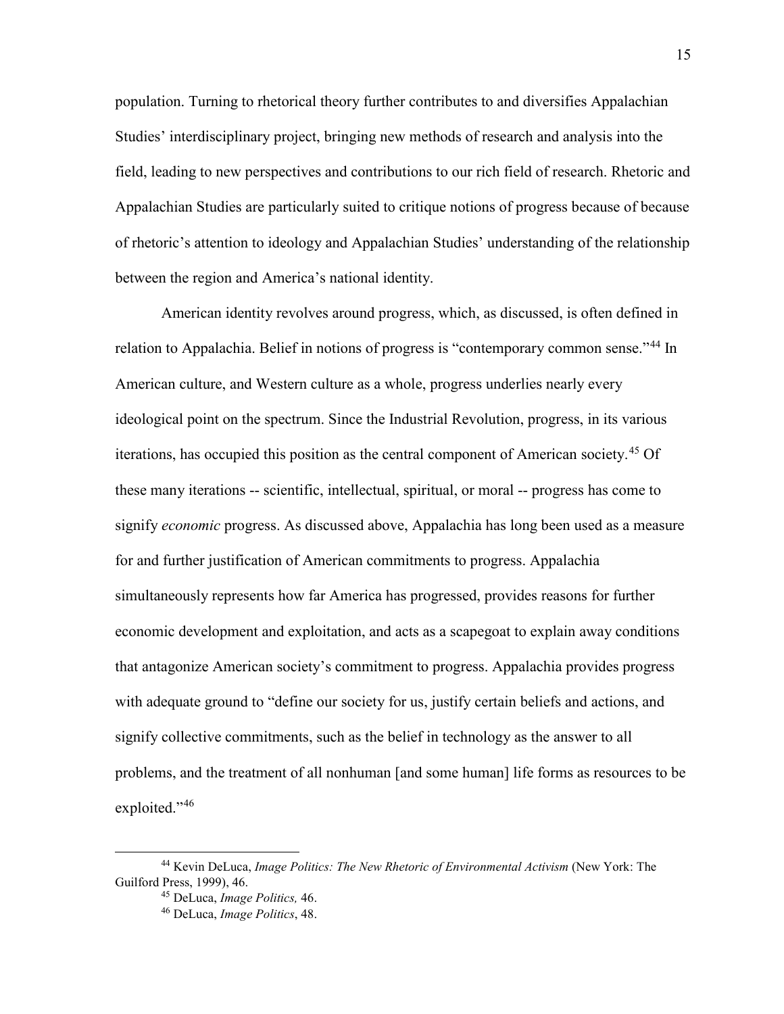population. Turning to rhetorical theory further contributes to and diversifies Appalachian Studies' interdisciplinary project, bringing new methods of research and analysis into the field, leading to new perspectives and contributions to our rich field of research. Rhetoric and Appalachian Studies are particularly suited to critique notions of progress because of because of rhetoric's attention to ideology and Appalachian Studies' understanding of the relationship between the region and America's national identity.

American identity revolves around progress, which, as discussed, is often defined in relation to Appalachia. Belief in notions of progress is "contemporary common sense."<sup>[44](#page-25-0)</sup> In American culture, and Western culture as a whole, progress underlies nearly every ideological point on the spectrum. Since the Industrial Revolution, progress, in its various iterations, has occupied this position as the central component of American society.<sup>[45](#page-25-1)</sup> Of these many iterations -- scientific, intellectual, spiritual, or moral -- progress has come to signify *economic* progress. As discussed above, Appalachia has long been used as a measure for and further justification of American commitments to progress. Appalachia simultaneously represents how far America has progressed, provides reasons for further economic development and exploitation, and acts as a scapegoat to explain away conditions that antagonize American society's commitment to progress. Appalachia provides progress with adequate ground to "define our society for us, justify certain beliefs and actions, and signify collective commitments, such as the belief in technology as the answer to all problems, and the treatment of all nonhuman [and some human] life forms as resources to be exploited."[46](#page-25-2)

<span id="page-25-2"></span><span id="page-25-1"></span><span id="page-25-0"></span><sup>&</sup>lt;sup>44</sup> Kevin DeLuca, *Image Politics: The New Rhetoric of Environmental Activism* (New York: The Guilford Press, 1999), 46.

<sup>45</sup> DeLuca, *Image Politics,* 46.

<sup>46</sup> DeLuca, *Image Politics*, 48.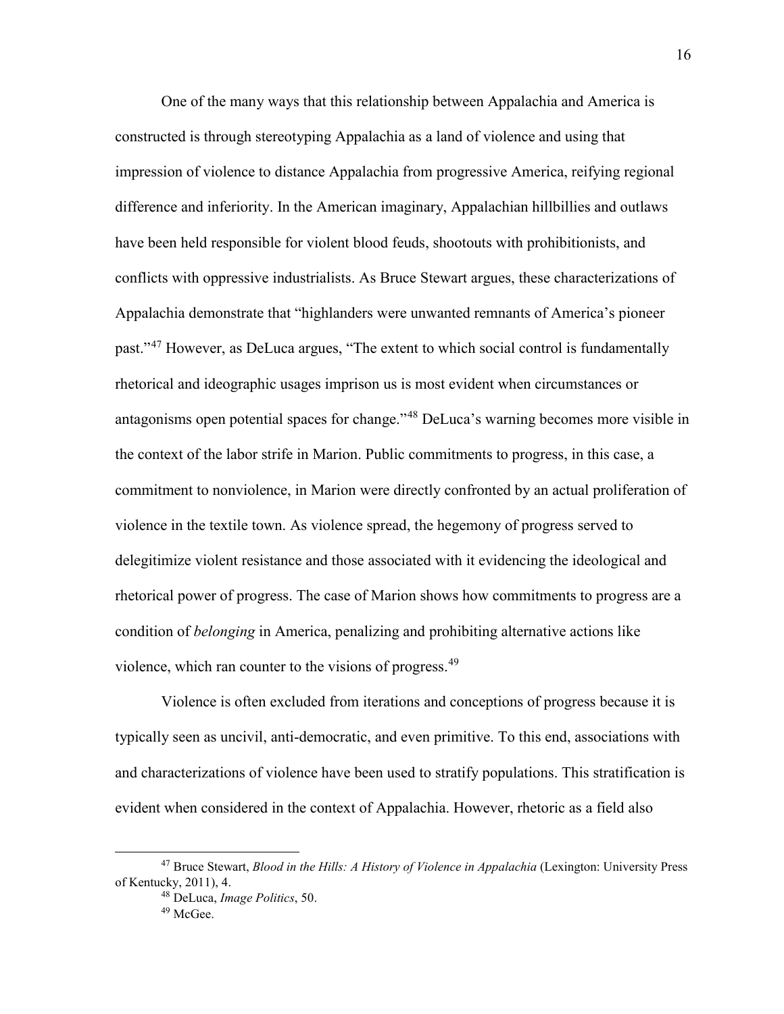One of the many ways that this relationship between Appalachia and America is constructed is through stereotyping Appalachia as a land of violence and using that impression of violence to distance Appalachia from progressive America, reifying regional difference and inferiority. In the American imaginary, Appalachian hillbillies and outlaws have been held responsible for violent blood feuds, shootouts with prohibitionists, and conflicts with oppressive industrialists. As Bruce Stewart argues, these characterizations of Appalachia demonstrate that "highlanders were unwanted remnants of America's pioneer past."<sup>[47](#page-26-0)</sup> However, as DeLuca argues, "The extent to which social control is fundamentally rhetorical and ideographic usages imprison us is most evident when circumstances or antagonisms open potential spaces for change."[48](#page-26-1) DeLuca's warning becomes more visible in the context of the labor strife in Marion. Public commitments to progress, in this case, a commitment to nonviolence, in Marion were directly confronted by an actual proliferation of violence in the textile town. As violence spread, the hegemony of progress served to delegitimize violent resistance and those associated with it evidencing the ideological and rhetorical power of progress. The case of Marion shows how commitments to progress are a condition of *belonging* in America, penalizing and prohibiting alternative actions like violence, which ran counter to the visions of progress.<sup>[49](#page-26-2)</sup>

Violence is often excluded from iterations and conceptions of progress because it is typically seen as uncivil, anti-democratic, and even primitive. To this end, associations with and characterizations of violence have been used to stratify populations. This stratification is evident when considered in the context of Appalachia. However, rhetoric as a field also

<span id="page-26-2"></span><span id="page-26-1"></span><span id="page-26-0"></span><sup>&</sup>lt;sup>47</sup> Bruce Stewart, *Blood in the Hills: A History of Violence in Appalachia* (Lexington: University Press of Kentucky, 2011), 4.

<sup>48</sup> DeLuca, *Image Politics*, 50.

 $49$  McGee.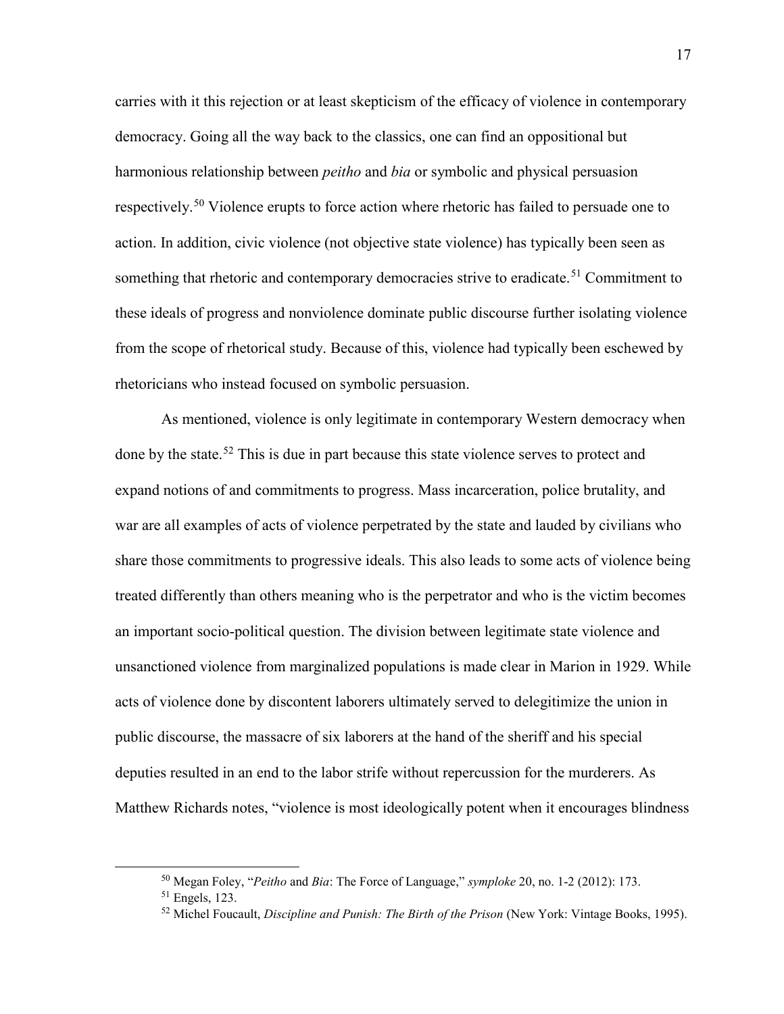carries with it this rejection or at least skepticism of the efficacy of violence in contemporary democracy. Going all the way back to the classics, one can find an oppositional but harmonious relationship between *peitho* and *bia* or symbolic and physical persuasion respectively.<sup>[50](#page-27-0)</sup> Violence erupts to force action where rhetoric has failed to persuade one to action. In addition, civic violence (not objective state violence) has typically been seen as something that rhetoric and contemporary democracies strive to eradicate.<sup>[51](#page-27-1)</sup> Commitment to these ideals of progress and nonviolence dominate public discourse further isolating violence from the scope of rhetorical study. Because of this, violence had typically been eschewed by rhetoricians who instead focused on symbolic persuasion.

As mentioned, violence is only legitimate in contemporary Western democracy when done by the state.<sup>[52](#page-27-2)</sup> This is due in part because this state violence serves to protect and expand notions of and commitments to progress. Mass incarceration, police brutality, and war are all examples of acts of violence perpetrated by the state and lauded by civilians who share those commitments to progressive ideals. This also leads to some acts of violence being treated differently than others meaning who is the perpetrator and who is the victim becomes an important socio-political question. The division between legitimate state violence and unsanctioned violence from marginalized populations is made clear in Marion in 1929. While acts of violence done by discontent laborers ultimately served to delegitimize the union in public discourse, the massacre of six laborers at the hand of the sheriff and his special deputies resulted in an end to the labor strife without repercussion for the murderers. As Matthew Richards notes, "violence is most ideologically potent when it encourages blindness

<span id="page-27-0"></span><sup>50</sup> Megan Foley, "*Peitho* and *Bia*: The Force of Language," *symploke* 20, no. 1-2 (2012): 173.

<span id="page-27-2"></span><span id="page-27-1"></span> $51$  Engels, 123.

<sup>52</sup> Michel Foucault, *Discipline and Punish: The Birth of the Prison* (New York: Vintage Books, 1995).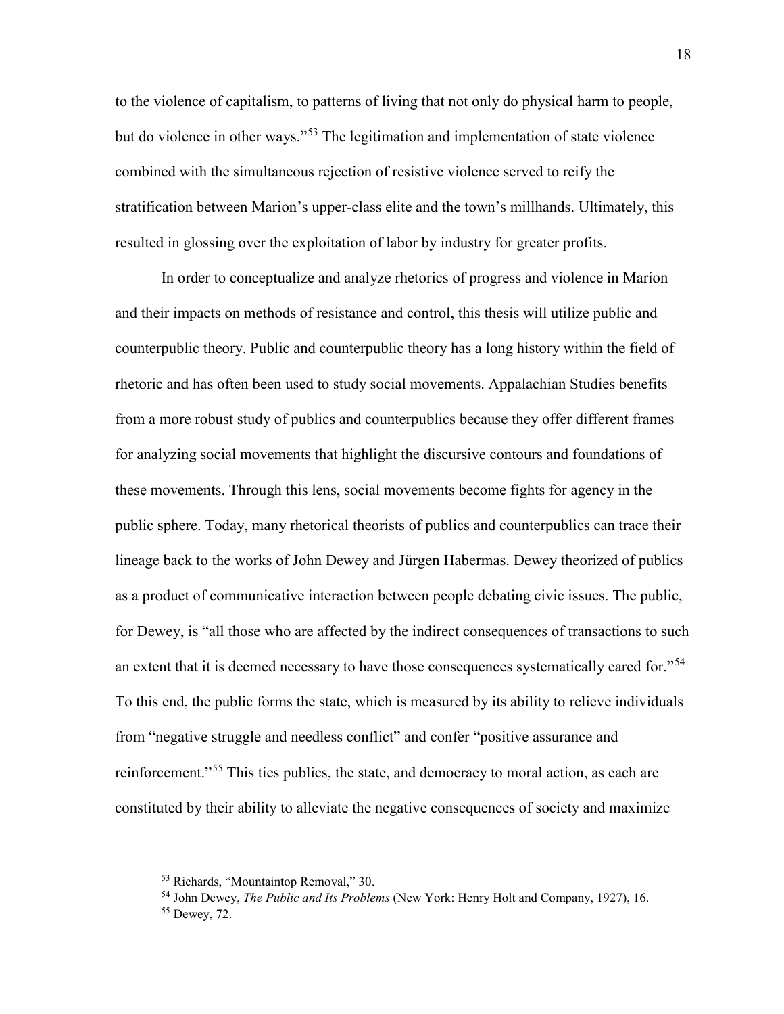to the violence of capitalism, to patterns of living that not only do physical harm to people, but do violence in other ways."<sup>[53](#page-28-0)</sup> The legitimation and implementation of state violence combined with the simultaneous rejection of resistive violence served to reify the stratification between Marion's upper-class elite and the town's millhands. Ultimately, this resulted in glossing over the exploitation of labor by industry for greater profits.

In order to conceptualize and analyze rhetorics of progress and violence in Marion and their impacts on methods of resistance and control, this thesis will utilize public and counterpublic theory. Public and counterpublic theory has a long history within the field of rhetoric and has often been used to study social movements. Appalachian Studies benefits from a more robust study of publics and counterpublics because they offer different frames for analyzing social movements that highlight the discursive contours and foundations of these movements. Through this lens, social movements become fights for agency in the public sphere. Today, many rhetorical theorists of publics and counterpublics can trace their lineage back to the works of John Dewey and Jürgen Habermas. Dewey theorized of publics as a product of communicative interaction between people debating civic issues. The public, for Dewey, is "all those who are affected by the indirect consequences of transactions to such an extent that it is deemed necessary to have those consequences systematically cared for."<sup>[54](#page-28-1)</sup> To this end, the public forms the state, which is measured by its ability to relieve individuals from "negative struggle and needless conflict" and confer "positive assurance and reinforcement."<sup>[55](#page-28-2)</sup> This ties publics, the state, and democracy to moral action, as each are constituted by their ability to alleviate the negative consequences of society and maximize

<span id="page-28-0"></span><sup>53</sup> Richards, "Mountaintop Removal," 30.

<span id="page-28-1"></span><sup>54</sup> John Dewey, *The Public and Its Problems* (New York: Henry Holt and Company, 1927), 16.

<span id="page-28-2"></span><sup>55</sup> Dewey, 72.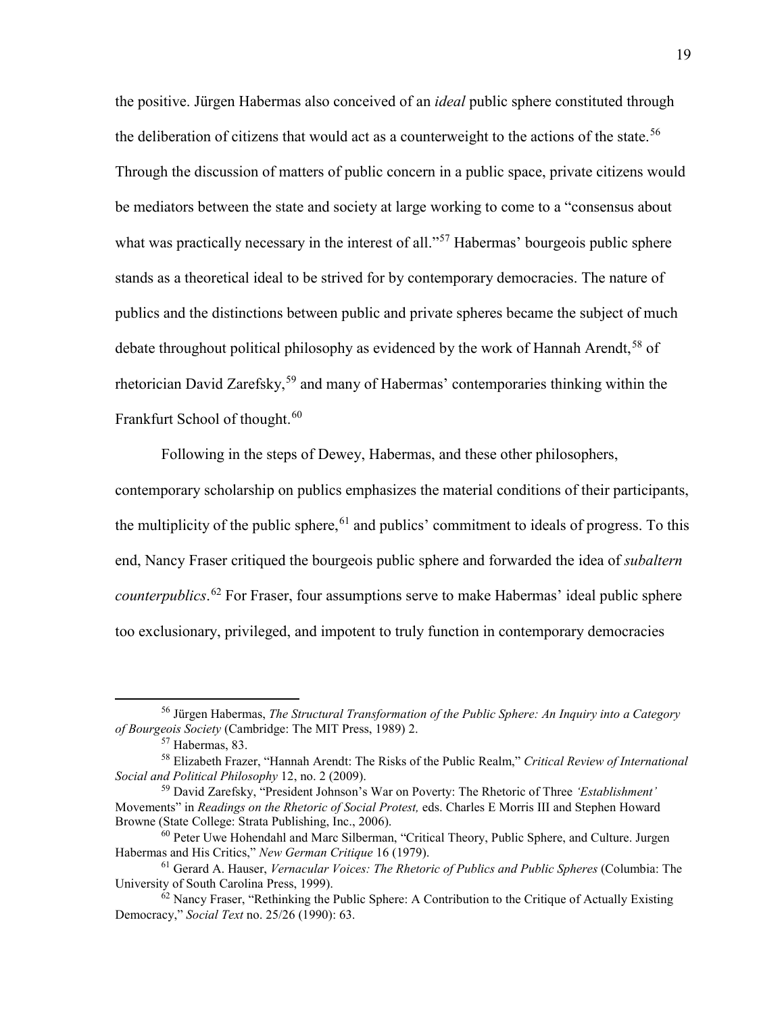the positive. Jürgen Habermas also conceived of an *ideal* public sphere constituted through the deliberation of citizens that would act as a counterweight to the actions of the state.<sup>[56](#page-29-0)</sup> Through the discussion of matters of public concern in a public space, private citizens would be mediators between the state and society at large working to come to a "consensus about what was practically necessary in the interest of all."<sup>[57](#page-29-1)</sup> Habermas' bourgeois public sphere stands as a theoretical ideal to be strived for by contemporary democracies. The nature of publics and the distinctions between public and private spheres became the subject of much debate throughout political philosophy as evidenced by the work of Hannah Arendt,<sup>[58](#page-29-2)</sup> of rhetorician David Zarefsky,<sup>[59](#page-29-3)</sup> and many of Habermas' contemporaries thinking within the Frankfurt School of thought.<sup>[60](#page-29-4)</sup>

Following in the steps of Dewey, Habermas, and these other philosophers,

contemporary scholarship on publics emphasizes the material conditions of their participants, the multiplicity of the public sphere,  $61$  and publics' commitment to ideals of progress. To this end, Nancy Fraser critiqued the bourgeois public sphere and forwarded the idea of *subaltern counterpublics*. [62](#page-29-6) For Fraser, four assumptions serve to make Habermas' ideal public sphere too exclusionary, privileged, and impotent to truly function in contemporary democracies

<span id="page-29-0"></span><sup>56</sup> Jürgen Habermas, *The Structural Transformation of the Public Sphere: An Inquiry into a Category of Bourgeois Society* (Cambridge: The MIT Press, 1989) 2.

<sup>57</sup> Habermas, 83.

<span id="page-29-2"></span><span id="page-29-1"></span><sup>58</sup> Elizabeth Frazer, "Hannah Arendt: The Risks of the Public Realm," *Critical Review of International Social and Political Philosophy* 12, no. 2 (2009).

<span id="page-29-3"></span><sup>59</sup> David Zarefsky, "President Johnson's War on Poverty: The Rhetoric of Three *'Establishment'*  Movements" in *Readings on the Rhetoric of Social Protest,* eds. Charles E Morris III and Stephen Howard Browne (State College: Strata Publishing, Inc., 2006).

<span id="page-29-4"></span><sup>&</sup>lt;sup>60</sup> Peter Uwe Hohendahl and Marc Silberman, "Critical Theory, Public Sphere, and Culture. Jurgen Habermas and His Critics," *New German Critique* 16 (1979).

<span id="page-29-5"></span><sup>61</sup> Gerard A. Hauser, *Vernacular Voices: The Rhetoric of Publics and Public Spheres* (Columbia: The University of South Carolina Press, 1999).

<span id="page-29-6"></span> $62$  Nancy Fraser, "Rethinking the Public Sphere: A Contribution to the Critique of Actually Existing Democracy," *Social Text* no. 25/26 (1990): 63.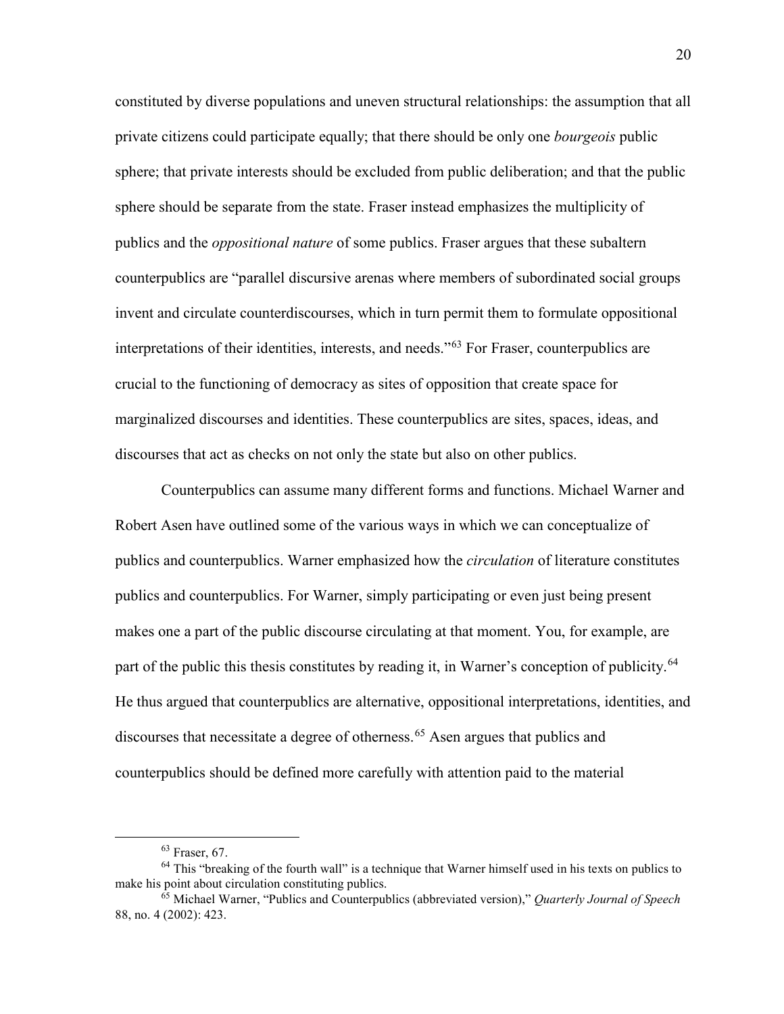constituted by diverse populations and uneven structural relationships: the assumption that all private citizens could participate equally; that there should be only one *bourgeois* public sphere; that private interests should be excluded from public deliberation; and that the public sphere should be separate from the state. Fraser instead emphasizes the multiplicity of publics and the *oppositional nature* of some publics. Fraser argues that these subaltern counterpublics are "parallel discursive arenas where members of subordinated social groups invent and circulate counterdiscourses, which in turn permit them to formulate oppositional interpretations of their identities, interests, and needs."[63](#page-30-0) For Fraser, counterpublics are crucial to the functioning of democracy as sites of opposition that create space for marginalized discourses and identities. These counterpublics are sites, spaces, ideas, and discourses that act as checks on not only the state but also on other publics.

Counterpublics can assume many different forms and functions. Michael Warner and Robert Asen have outlined some of the various ways in which we can conceptualize of publics and counterpublics. Warner emphasized how the *circulation* of literature constitutes publics and counterpublics. For Warner, simply participating or even just being present makes one a part of the public discourse circulating at that moment. You, for example, are part of the public this thesis constitutes by reading it, in Warner's conception of publicity.<sup>[64](#page-30-1)</sup> He thus argued that counterpublics are alternative, oppositional interpretations, identities, and discourses that necessitate a degree of otherness.<sup>[65](#page-30-2)</sup> Asen argues that publics and counterpublics should be defined more carefully with attention paid to the material

 $63$  Fraser, 67.

<span id="page-30-1"></span><span id="page-30-0"></span> $64$  This "breaking of the fourth wall" is a technique that Warner himself used in his texts on publics to make his point about circulation constituting publics.

<span id="page-30-2"></span><sup>65</sup> Michael Warner, "Publics and Counterpublics (abbreviated version)," *Quarterly Journal of Speech* 88, no. 4 (2002): 423.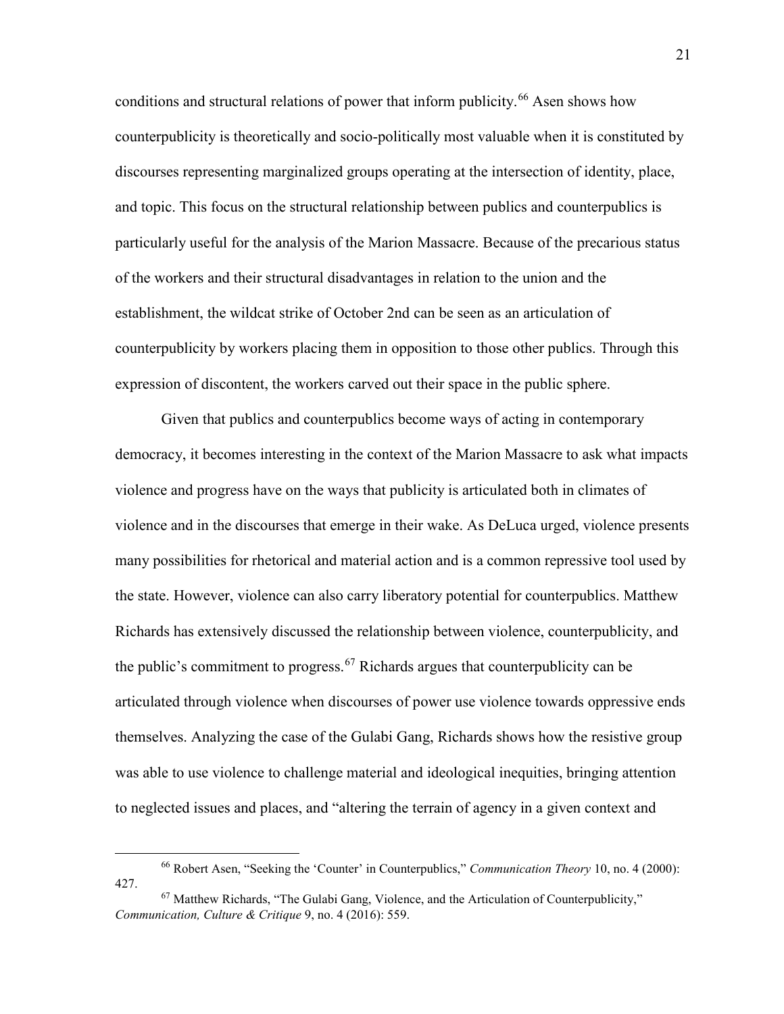conditions and structural relations of power that inform publicity. [66](#page-31-0) Asen shows how counterpublicity is theoretically and socio-politically most valuable when it is constituted by discourses representing marginalized groups operating at the intersection of identity, place, and topic. This focus on the structural relationship between publics and counterpublics is particularly useful for the analysis of the Marion Massacre. Because of the precarious status of the workers and their structural disadvantages in relation to the union and the establishment, the wildcat strike of October 2nd can be seen as an articulation of counterpublicity by workers placing them in opposition to those other publics. Through this expression of discontent, the workers carved out their space in the public sphere.

Given that publics and counterpublics become ways of acting in contemporary democracy, it becomes interesting in the context of the Marion Massacre to ask what impacts violence and progress have on the ways that publicity is articulated both in climates of violence and in the discourses that emerge in their wake. As DeLuca urged, violence presents many possibilities for rhetorical and material action and is a common repressive tool used by the state. However, violence can also carry liberatory potential for counterpublics. Matthew Richards has extensively discussed the relationship between violence, counterpublicity, and the public's commitment to progress.<sup>[67](#page-31-1)</sup> Richards argues that counterpublicity can be articulated through violence when discourses of power use violence towards oppressive ends themselves. Analyzing the case of the Gulabi Gang, Richards shows how the resistive group was able to use violence to challenge material and ideological inequities, bringing attention to neglected issues and places, and "altering the terrain of agency in a given context and

<span id="page-31-0"></span><sup>66</sup> Robert Asen, "Seeking the 'Counter' in Counterpublics," *Communication Theory* 10, no. 4 (2000): 427.

<span id="page-31-1"></span> $67$  Matthew Richards, "The Gulabi Gang, Violence, and the Articulation of Counterpublicity," *Communication, Culture & Critique* 9, no. 4 (2016): 559.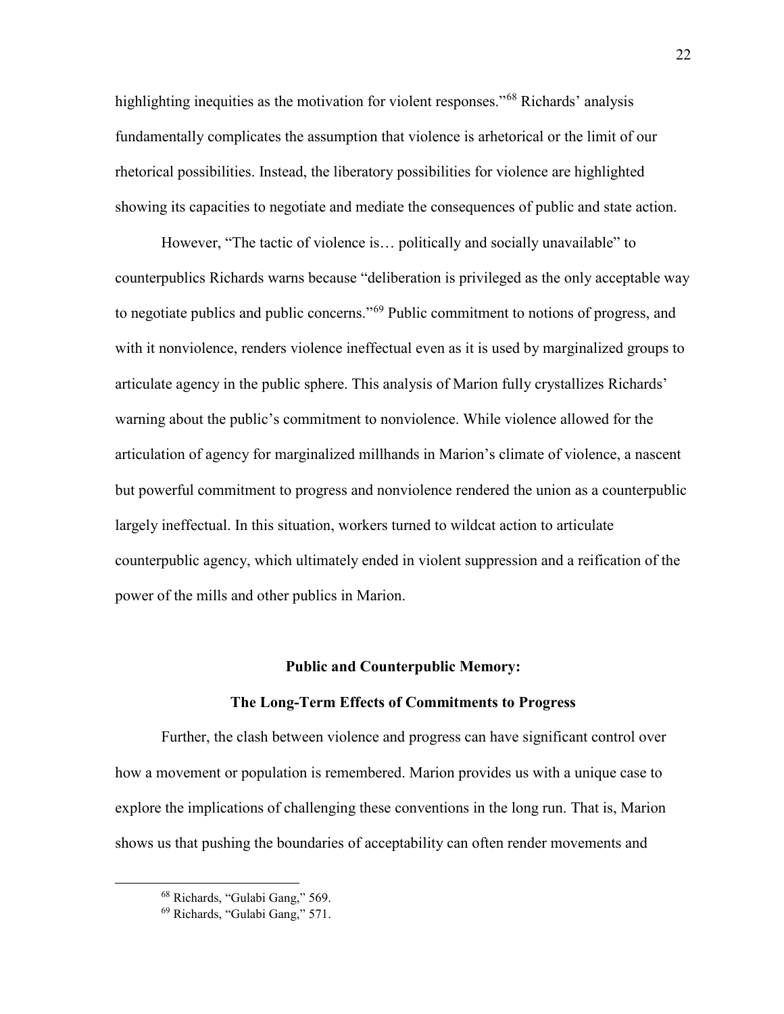highlighting inequities as the motivation for violent responses."[68](#page-32-0) Richards' analysis fundamentally complicates the assumption that violence is arhetorical or the limit of our rhetorical possibilities. Instead, the liberatory possibilities for violence are highlighted showing its capacities to negotiate and mediate the consequences of public and state action.

However, "The tactic of violence is… politically and socially unavailable" to counterpublics Richards warns because "deliberation is privileged as the only acceptable way to negotiate publics and public concerns."[69](#page-32-1) Public commitment to notions of progress, and with it nonviolence, renders violence ineffectual even as it is used by marginalized groups to articulate agency in the public sphere. This analysis of Marion fully crystallizes Richards' warning about the public's commitment to nonviolence. While violence allowed for the articulation of agency for marginalized millhands in Marion's climate of violence, a nascent but powerful commitment to progress and nonviolence rendered the union as a counterpublic largely ineffectual. In this situation, workers turned to wildcat action to articulate counterpublic agency, which ultimately ended in violent suppression and a reification of the power of the mills and other publics in Marion.

#### **Public and Counterpublic Memory:**

#### **The Long-Term Effects of Commitments to Progress**

Further, the clash between violence and progress can have significant control over how a movement or population is remembered. Marion provides us with a unique case to explore the implications of challenging these conventions in the long run. That is, Marion shows us that pushing the boundaries of acceptability can often render movements and

<span id="page-32-0"></span><sup>68</sup> Richards, "Gulabi Gang," 569.

<span id="page-32-1"></span><sup>69</sup> Richards, "Gulabi Gang," 571.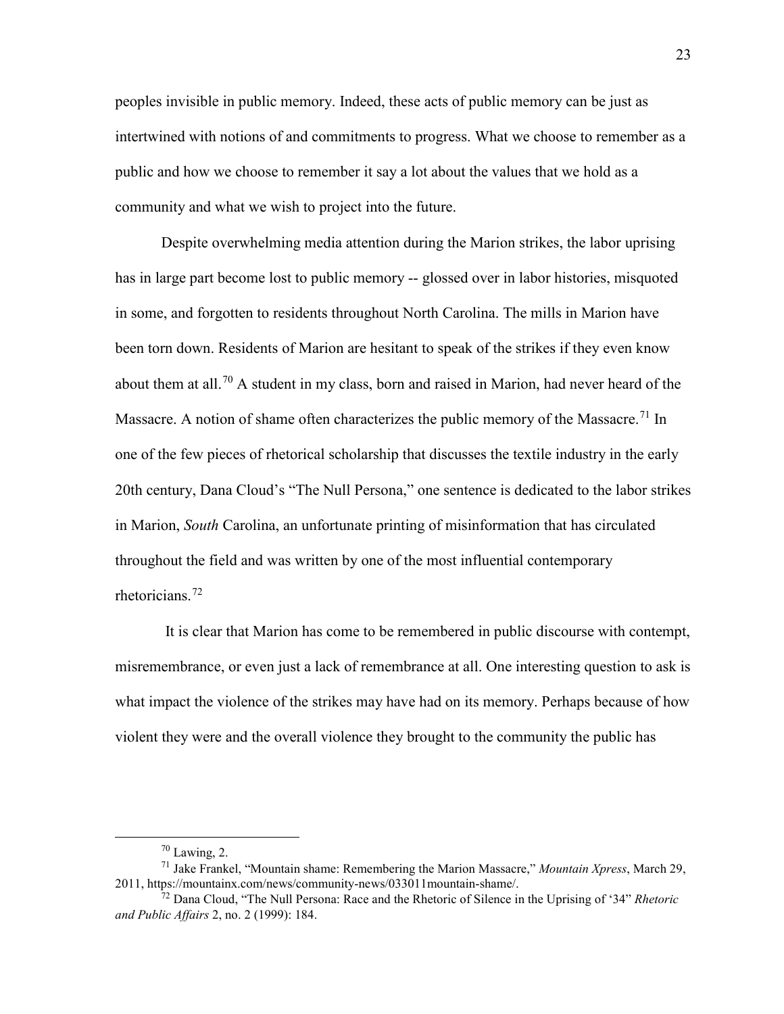peoples invisible in public memory. Indeed, these acts of public memory can be just as intertwined with notions of and commitments to progress. What we choose to remember as a public and how we choose to remember it say a lot about the values that we hold as a community and what we wish to project into the future.

Despite overwhelming media attention during the Marion strikes, the labor uprising has in large part become lost to public memory -- glossed over in labor histories, misquoted in some, and forgotten to residents throughout North Carolina. The mills in Marion have been torn down. Residents of Marion are hesitant to speak of the strikes if they even know about them at all.<sup>[70](#page-33-0)</sup> A student in my class, born and raised in Marion, had never heard of the Massacre. A notion of shame often characterizes the public memory of the Massacre.<sup>[71](#page-33-1)</sup> In one of the few pieces of rhetorical scholarship that discusses the textile industry in the early 20th century, Dana Cloud's "The Null Persona," one sentence is dedicated to the labor strikes in Marion, *South* Carolina, an unfortunate printing of misinformation that has circulated throughout the field and was written by one of the most influential contemporary rhetoricians.[72](#page-33-2)

It is clear that Marion has come to be remembered in public discourse with contempt, misremembrance, or even just a lack of remembrance at all. One interesting question to ask is what impact the violence of the strikes may have had on its memory. Perhaps because of how violent they were and the overall violence they brought to the community the public has

 $70$  Lawing, 2.

<span id="page-33-1"></span><span id="page-33-0"></span><sup>71</sup> Jake Frankel, "Mountain shame: Remembering the Marion Massacre," *Mountain Xpress*, March 29, 2011, https://mountainx.com/news/community-news/033011mountain-shame/.

<span id="page-33-2"></span><sup>72</sup> Dana Cloud, "The Null Persona: Race and the Rhetoric of Silence in the Uprising of '34" *Rhetoric and Public Affairs* 2, no. 2 (1999): 184.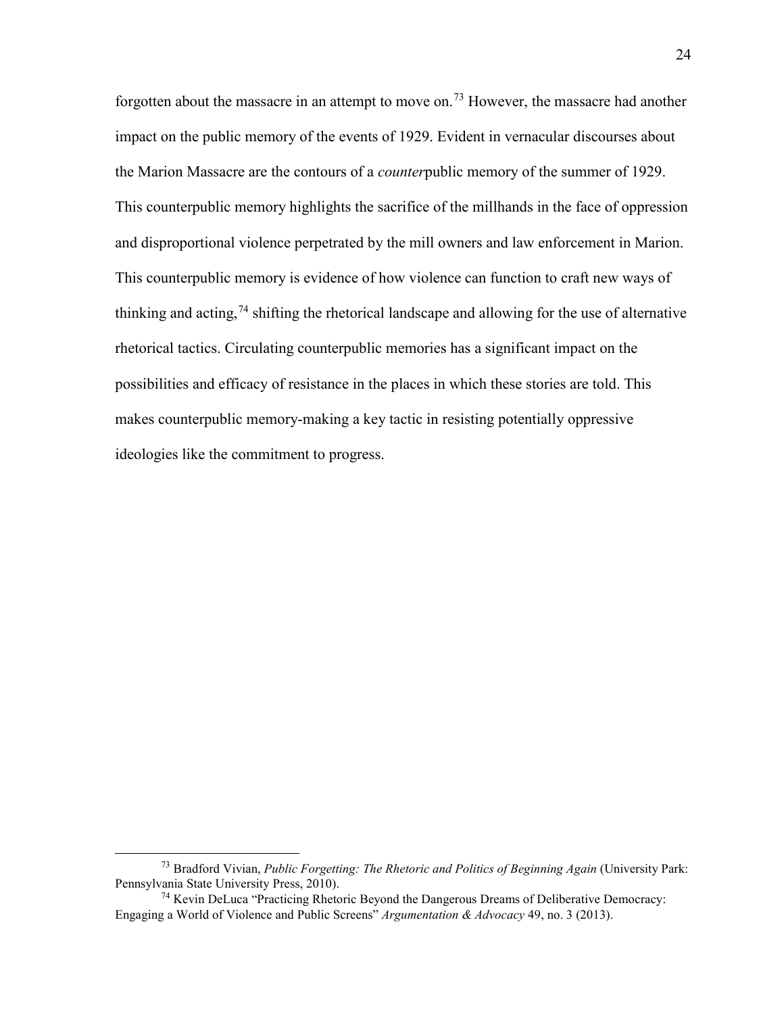forgotten about the massacre in an attempt to move on.[73](#page-34-0) However, the massacre had another impact on the public memory of the events of 1929. Evident in vernacular discourses about the Marion Massacre are the contours of a *counter*public memory of the summer of 1929. This counterpublic memory highlights the sacrifice of the millhands in the face of oppression and disproportional violence perpetrated by the mill owners and law enforcement in Marion. This counterpublic memory is evidence of how violence can function to craft new ways of thinking and acting,  $74$  shifting the rhetorical landscape and allowing for the use of alternative rhetorical tactics. Circulating counterpublic memories has a significant impact on the possibilities and efficacy of resistance in the places in which these stories are told. This makes counterpublic memory-making a key tactic in resisting potentially oppressive ideologies like the commitment to progress.

<span id="page-34-0"></span><sup>73</sup> Bradford Vivian, *Public Forgetting: The Rhetoric and Politics of Beginning Again* (University Park: Pennsylvania State University Press, 2010).

<span id="page-34-1"></span> $74$  Kevin DeLuca "Practicing Rhetoric Beyond the Dangerous Dreams of Deliberative Democracy: Engaging a World of Violence and Public Screens" *Argumentation & Advocacy* 49, no. 3 (2013).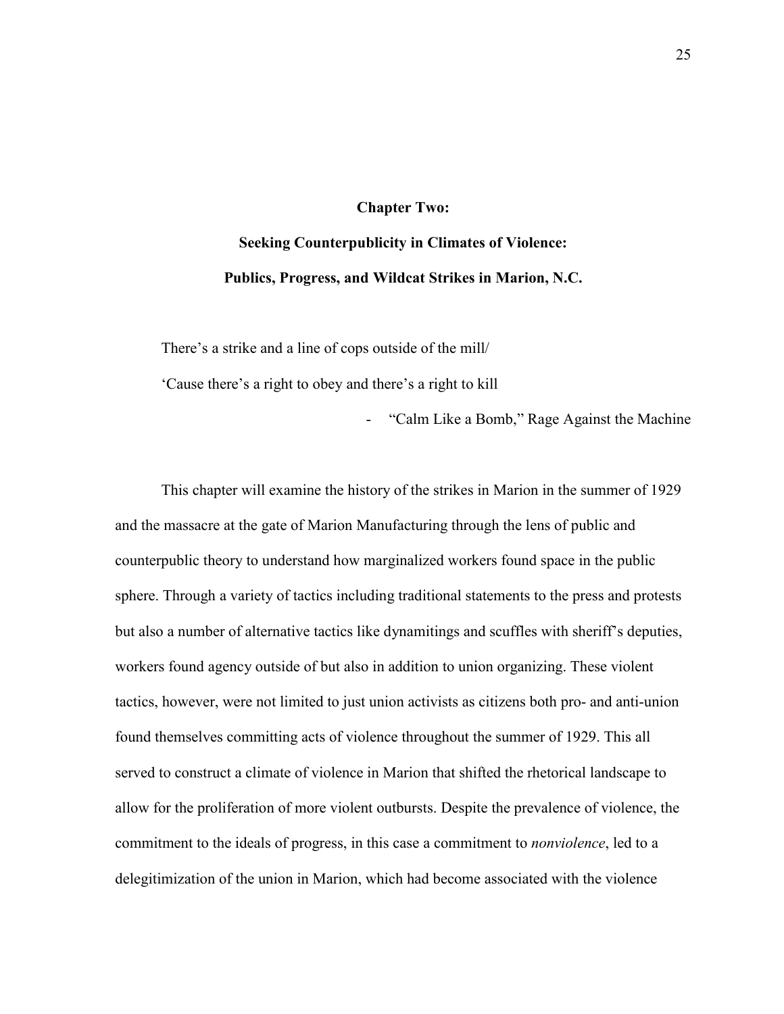### **Chapter Two:**

# **Seeking Counterpublicity in Climates of Violence: Publics, Progress, and Wildcat Strikes in Marion, N.C.**

There's a strike and a line of cops outside of the mill/ 'Cause there's a right to obey and there's a right to kill

- "Calm Like a Bomb," Rage Against the Machine

This chapter will examine the history of the strikes in Marion in the summer of 1929 and the massacre at the gate of Marion Manufacturing through the lens of public and counterpublic theory to understand how marginalized workers found space in the public sphere. Through a variety of tactics including traditional statements to the press and protests but also a number of alternative tactics like dynamitings and scuffles with sheriff's deputies, workers found agency outside of but also in addition to union organizing. These violent tactics, however, were not limited to just union activists as citizens both pro- and anti-union found themselves committing acts of violence throughout the summer of 1929. This all served to construct a climate of violence in Marion that shifted the rhetorical landscape to allow for the proliferation of more violent outbursts. Despite the prevalence of violence, the commitment to the ideals of progress, in this case a commitment to *nonviolence*, led to a delegitimization of the union in Marion, which had become associated with the violence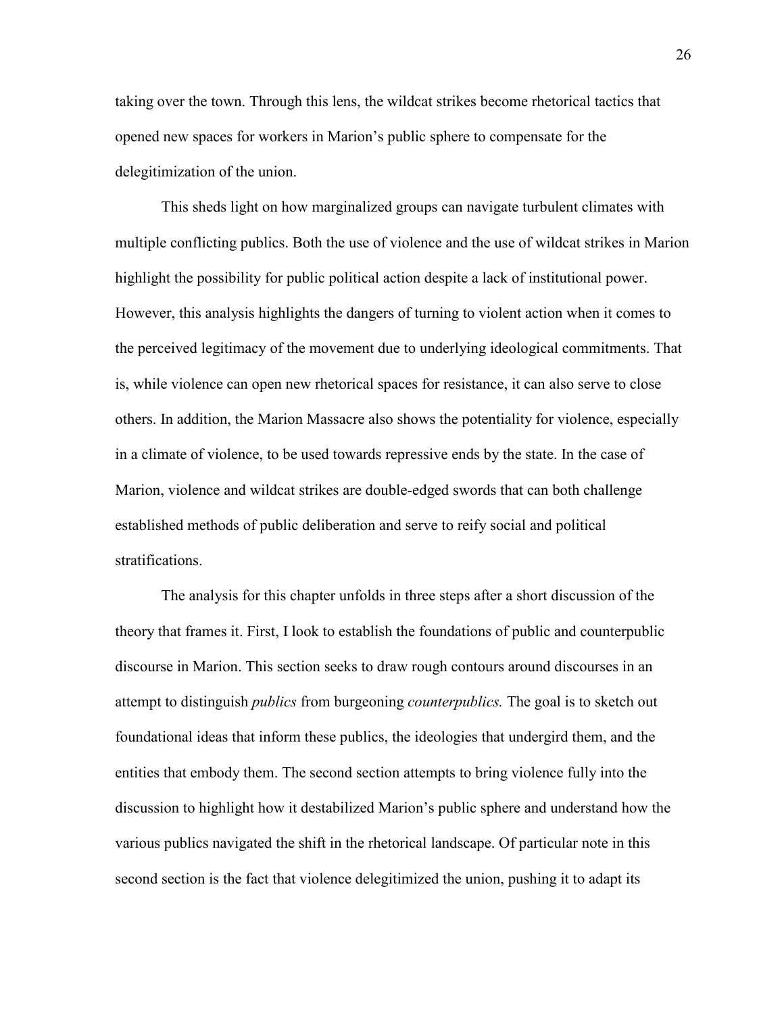taking over the town. Through this lens, the wildcat strikes become rhetorical tactics that opened new spaces for workers in Marion's public sphere to compensate for the delegitimization of the union.

This sheds light on how marginalized groups can navigate turbulent climates with multiple conflicting publics. Both the use of violence and the use of wildcat strikes in Marion highlight the possibility for public political action despite a lack of institutional power. However, this analysis highlights the dangers of turning to violent action when it comes to the perceived legitimacy of the movement due to underlying ideological commitments. That is, while violence can open new rhetorical spaces for resistance, it can also serve to close others. In addition, the Marion Massacre also shows the potentiality for violence, especially in a climate of violence, to be used towards repressive ends by the state. In the case of Marion, violence and wildcat strikes are double-edged swords that can both challenge established methods of public deliberation and serve to reify social and political stratifications.

The analysis for this chapter unfolds in three steps after a short discussion of the theory that frames it. First, I look to establish the foundations of public and counterpublic discourse in Marion. This section seeks to draw rough contours around discourses in an attempt to distinguish *publics* from burgeoning *counterpublics.* The goal is to sketch out foundational ideas that inform these publics, the ideologies that undergird them, and the entities that embody them. The second section attempts to bring violence fully into the discussion to highlight how it destabilized Marion's public sphere and understand how the various publics navigated the shift in the rhetorical landscape. Of particular note in this second section is the fact that violence delegitimized the union, pushing it to adapt its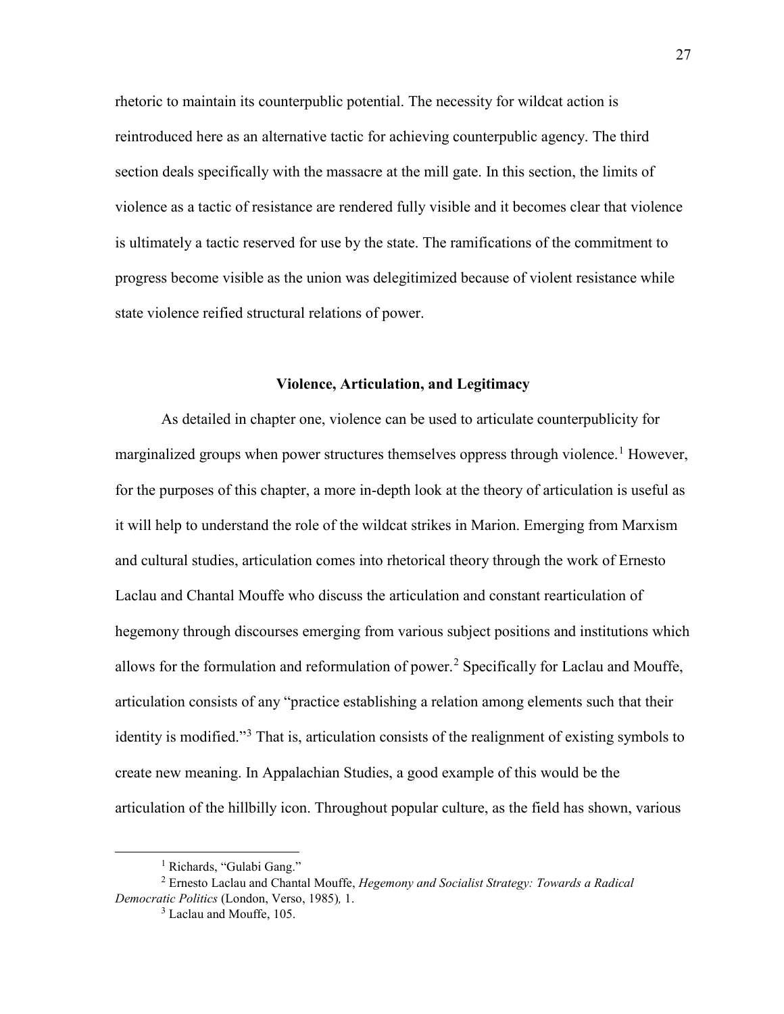rhetoric to maintain its counterpublic potential. The necessity for wildcat action is reintroduced here as an alternative tactic for achieving counterpublic agency. The third section deals specifically with the massacre at the mill gate. In this section, the limits of violence as a tactic of resistance are rendered fully visible and it becomes clear that violence is ultimately a tactic reserved for use by the state. The ramifications of the commitment to progress become visible as the union was delegitimized because of violent resistance while state violence reified structural relations of power.

## **Violence, Articulation, and Legitimacy**

As detailed in chapter one, violence can be used to articulate counterpublicity for marginalized groups when power structures themselves oppress through violence.<sup>[1](#page-37-0)</sup> However, for the purposes of this chapter, a more in-depth look at the theory of articulation is useful as it will help to understand the role of the wildcat strikes in Marion. Emerging from Marxism and cultural studies, articulation comes into rhetorical theory through the work of Ernesto Laclau and Chantal Mouffe who discuss the articulation and constant rearticulation of hegemony through discourses emerging from various subject positions and institutions which allows for the formulation and reformulation of power.<sup>[2](#page-37-1)</sup> Specifically for Laclau and Mouffe, articulation consists of any "practice establishing a relation among elements such that their identity is modified."[3](#page-37-2) That is, articulation consists of the realignment of existing symbols to create new meaning. In Appalachian Studies, a good example of this would be the articulation of the hillbilly icon. Throughout popular culture, as the field has shown, various

<sup>&</sup>lt;sup>1</sup> Richards, "Gulabi Gang."

<span id="page-37-2"></span><span id="page-37-1"></span><span id="page-37-0"></span><sup>2</sup> Ernesto Laclau and Chantal Mouffe, *Hegemony and Socialist Strategy: Towards a Radical Democratic Politics* (London, Verso, 1985)*,* 1.

<sup>&</sup>lt;sup>3</sup> Laclau and Mouffe, 105.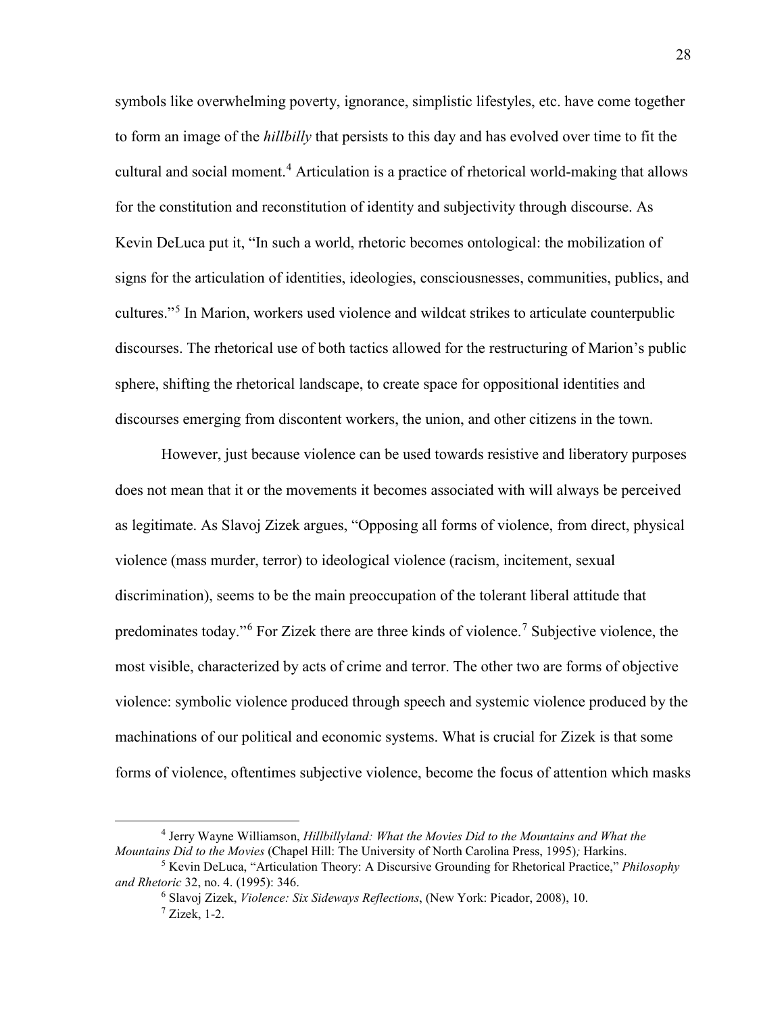symbols like overwhelming poverty, ignorance, simplistic lifestyles, etc. have come together to form an image of the *hillbilly* that persists to this day and has evolved over time to fit the cultural and social moment.<sup>[4](#page-38-0)</sup> Articulation is a practice of rhetorical world-making that allows for the constitution and reconstitution of identity and subjectivity through discourse. As Kevin DeLuca put it, "In such a world, rhetoric becomes ontological: the mobilization of signs for the articulation of identities, ideologies, consciousnesses, communities, publics, and cultures."[5](#page-38-1) In Marion, workers used violence and wildcat strikes to articulate counterpublic discourses. The rhetorical use of both tactics allowed for the restructuring of Marion's public sphere, shifting the rhetorical landscape, to create space for oppositional identities and discourses emerging from discontent workers, the union, and other citizens in the town.

However, just because violence can be used towards resistive and liberatory purposes does not mean that it or the movements it becomes associated with will always be perceived as legitimate. As Slavoj Zizek argues, "Opposing all forms of violence, from direct, physical violence (mass murder, terror) to ideological violence (racism, incitement, sexual discrimination), seems to be the main preoccupation of the tolerant liberal attitude that predominates today."<sup>[6](#page-38-2)</sup> For Zizek there are three kinds of violence.<sup>[7](#page-38-3)</sup> Subjective violence, the most visible, characterized by acts of crime and terror. The other two are forms of objective violence: symbolic violence produced through speech and systemic violence produced by the machinations of our political and economic systems. What is crucial for Zizek is that some forms of violence, oftentimes subjective violence, become the focus of attention which masks

<span id="page-38-0"></span><sup>4</sup> Jerry Wayne Williamson, *Hillbillyland: What the Movies Did to the Mountains and What the Mountains Did to the Movies* (Chapel Hill: The University of North Carolina Press, 1995)*;* Harkins.

<span id="page-38-3"></span><span id="page-38-2"></span><span id="page-38-1"></span><sup>5</sup> Kevin DeLuca, "Articulation Theory: A Discursive Grounding for Rhetorical Practice," *Philosophy and Rhetoric* 32, no. 4. (1995): 346.

<sup>6</sup> Slavoj Zizek, *Violence: Six Sideways Reflections*, (New York: Picador, 2008), 10.  $^7$  Zizek, 1-2.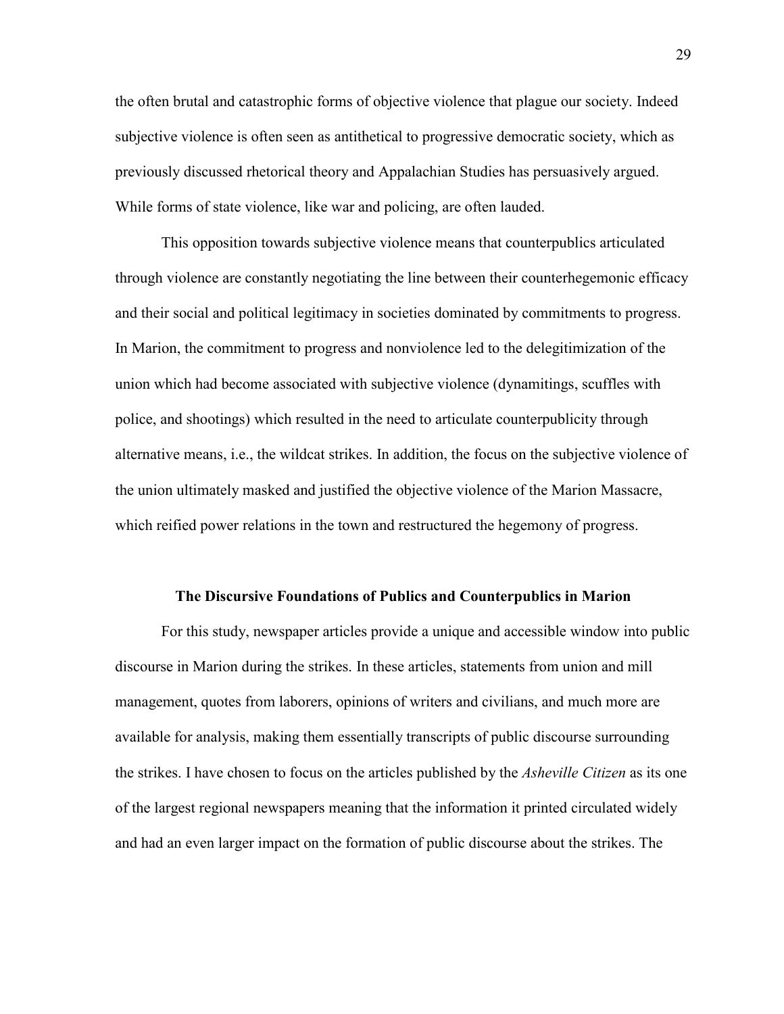the often brutal and catastrophic forms of objective violence that plague our society. Indeed subjective violence is often seen as antithetical to progressive democratic society, which as previously discussed rhetorical theory and Appalachian Studies has persuasively argued. While forms of state violence, like war and policing, are often lauded.

This opposition towards subjective violence means that counterpublics articulated through violence are constantly negotiating the line between their counterhegemonic efficacy and their social and political legitimacy in societies dominated by commitments to progress. In Marion, the commitment to progress and nonviolence led to the delegitimization of the union which had become associated with subjective violence (dynamitings, scuffles with police, and shootings) which resulted in the need to articulate counterpublicity through alternative means, i.e., the wildcat strikes. In addition, the focus on the subjective violence of the union ultimately masked and justified the objective violence of the Marion Massacre, which reified power relations in the town and restructured the hegemony of progress.

#### **The Discursive Foundations of Publics and Counterpublics in Marion**

For this study, newspaper articles provide a unique and accessible window into public discourse in Marion during the strikes. In these articles, statements from union and mill management, quotes from laborers, opinions of writers and civilians, and much more are available for analysis, making them essentially transcripts of public discourse surrounding the strikes. I have chosen to focus on the articles published by the *Asheville Citizen* as its one of the largest regional newspapers meaning that the information it printed circulated widely and had an even larger impact on the formation of public discourse about the strikes. The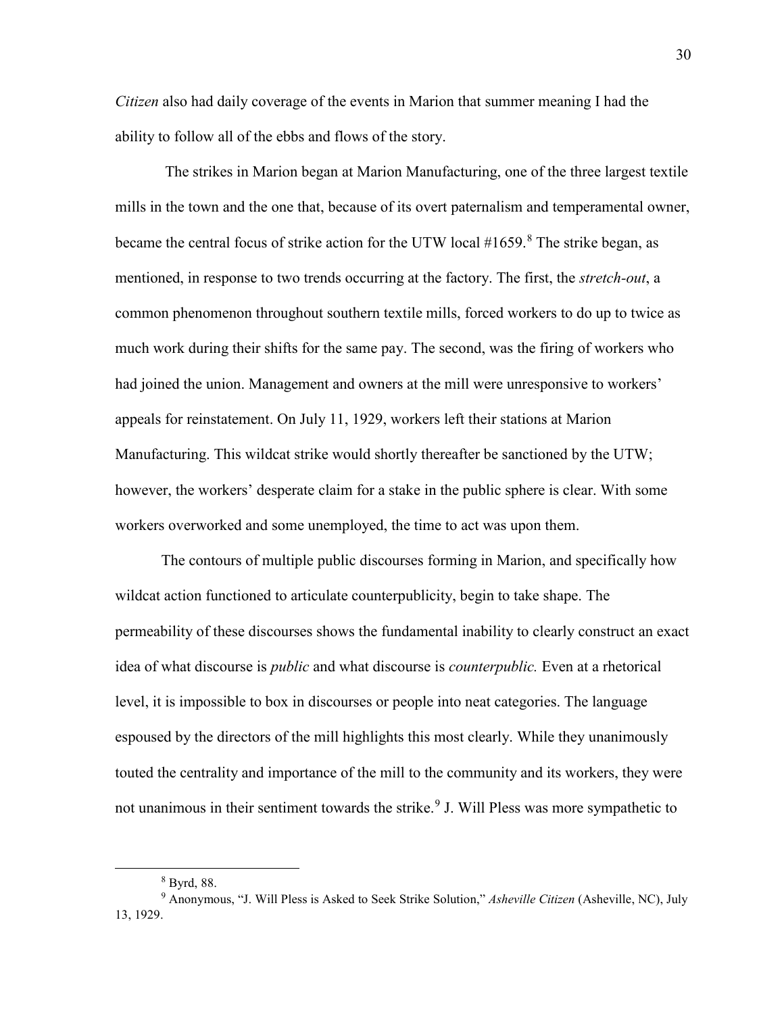*Citizen* also had daily coverage of the events in Marion that summer meaning I had the ability to follow all of the ebbs and flows of the story.

The strikes in Marion began at Marion Manufacturing, one of the three largest textile mills in the town and the one that, because of its overt paternalism and temperamental owner, became the central focus of strike action for the UTW local  $#1659$ .<sup>[8](#page-40-0)</sup> The strike began, as mentioned, in response to two trends occurring at the factory. The first, the *stretch-out*, a common phenomenon throughout southern textile mills, forced workers to do up to twice as much work during their shifts for the same pay. The second, was the firing of workers who had joined the union. Management and owners at the mill were unresponsive to workers' appeals for reinstatement. On July 11, 1929, workers left their stations at Marion Manufacturing. This wildcat strike would shortly thereafter be sanctioned by the UTW; however, the workers' desperate claim for a stake in the public sphere is clear. With some workers overworked and some unemployed, the time to act was upon them.

The contours of multiple public discourses forming in Marion, and specifically how wildcat action functioned to articulate counterpublicity, begin to take shape. The permeability of these discourses shows the fundamental inability to clearly construct an exact idea of what discourse is *public* and what discourse is *counterpublic.* Even at a rhetorical level, it is impossible to box in discourses or people into neat categories. The language espoused by the directors of the mill highlights this most clearly. While they unanimously touted the centrality and importance of the mill to the community and its workers, they were not unanimous in their sentiment towards the strike.<sup>[9](#page-40-1)</sup> J. Will Pless was more sympathetic to

<sup>8</sup> Byrd, 88.

<span id="page-40-1"></span><span id="page-40-0"></span><sup>9</sup> Anonymous, "J. Will Pless is Asked to Seek Strike Solution," *Asheville Citizen* (Asheville, NC), July 13, 1929.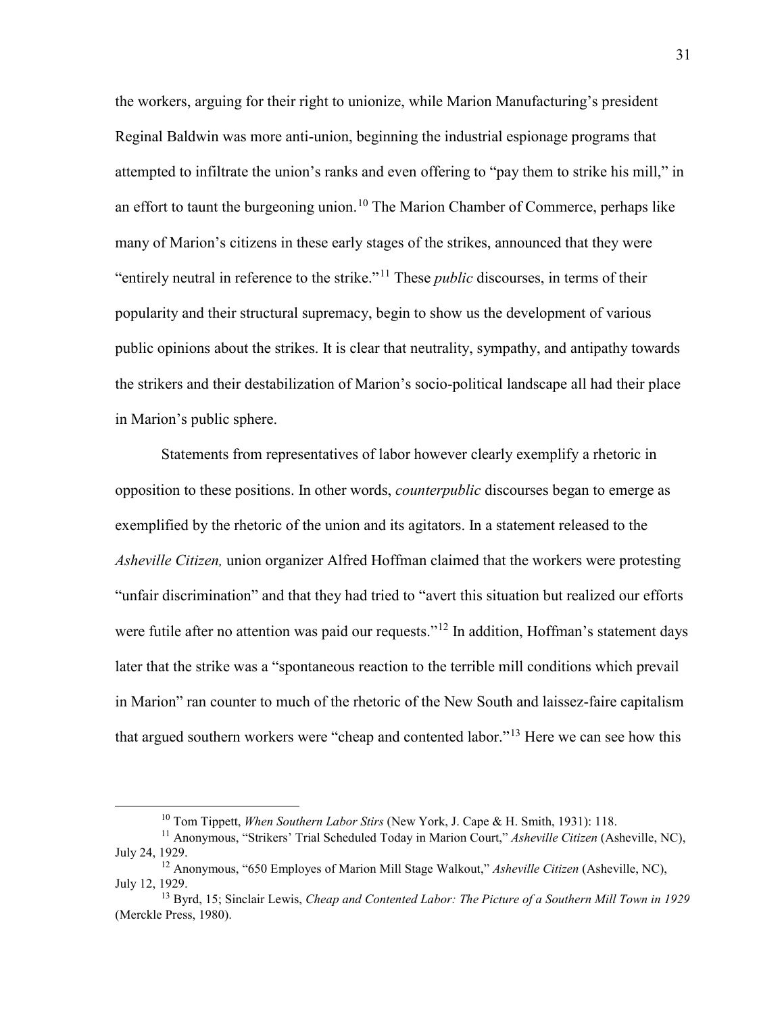the workers, arguing for their right to unionize, while Marion Manufacturing's president Reginal Baldwin was more anti-union, beginning the industrial espionage programs that attempted to infiltrate the union's ranks and even offering to "pay them to strike his mill," in an effort to taunt the burgeoning union.<sup>[10](#page-41-0)</sup> The Marion Chamber of Commerce, perhaps like many of Marion's citizens in these early stages of the strikes, announced that they were "entirely neutral in reference to the strike."[11](#page-41-1) These *public* discourses, in terms of their popularity and their structural supremacy, begin to show us the development of various public opinions about the strikes. It is clear that neutrality, sympathy, and antipathy towards the strikers and their destabilization of Marion's socio-political landscape all had their place in Marion's public sphere.

Statements from representatives of labor however clearly exemplify a rhetoric in opposition to these positions. In other words, *counterpublic* discourses began to emerge as exemplified by the rhetoric of the union and its agitators. In a statement released to the *Asheville Citizen,* union organizer Alfred Hoffman claimed that the workers were protesting "unfair discrimination" and that they had tried to "avert this situation but realized our efforts were futile after no attention was paid our requests."<sup>[12](#page-41-2)</sup> In addition, Hoffman's statement days later that the strike was a "spontaneous reaction to the terrible mill conditions which prevail in Marion" ran counter to much of the rhetoric of the New South and laissez-faire capitalism that argued southern workers were "cheap and contented labor."[13](#page-41-3) Here we can see how this

<sup>10</sup> Tom Tippett, *When Southern Labor Stirs* (New York, J. Cape & H. Smith, 1931): 118.

<span id="page-41-1"></span><span id="page-41-0"></span><sup>&</sup>lt;sup>11</sup> Anonymous, "Strikers' Trial Scheduled Today in Marion Court," Asheville Citizen (Asheville, NC), July 24, 1929.

<span id="page-41-2"></span><sup>12</sup> Anonymous, "650 Employes of Marion Mill Stage Walkout," *Asheville Citizen* (Asheville, NC), July 12, 1929.

<span id="page-41-3"></span><sup>13</sup> Byrd, 15; Sinclair Lewis, *Cheap and Contented Labor: The Picture of a Southern Mill Town in 1929*  (Merckle Press, 1980).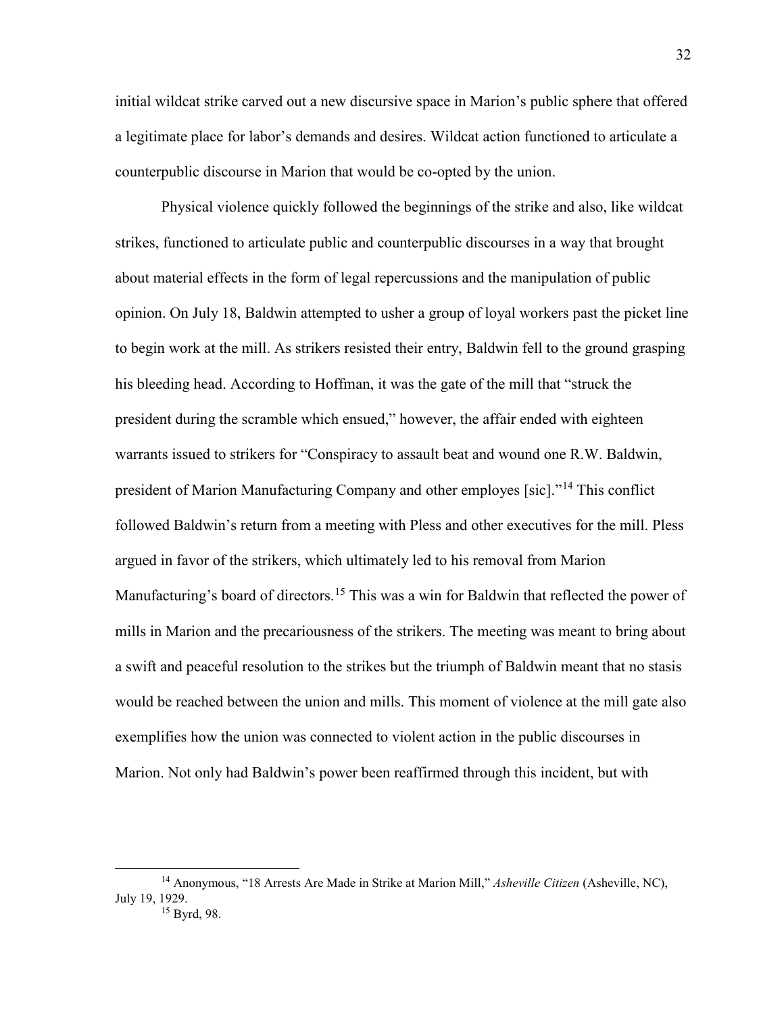initial wildcat strike carved out a new discursive space in Marion's public sphere that offered a legitimate place for labor's demands and desires. Wildcat action functioned to articulate a counterpublic discourse in Marion that would be co-opted by the union.

Physical violence quickly followed the beginnings of the strike and also, like wildcat strikes, functioned to articulate public and counterpublic discourses in a way that brought about material effects in the form of legal repercussions and the manipulation of public opinion. On July 18, Baldwin attempted to usher a group of loyal workers past the picket line to begin work at the mill. As strikers resisted their entry, Baldwin fell to the ground grasping his bleeding head. According to Hoffman, it was the gate of the mill that "struck the president during the scramble which ensued," however, the affair ended with eighteen warrants issued to strikers for "Conspiracy to assault beat and wound one R.W. Baldwin, president of Marion Manufacturing Company and other employes [sic]."[14](#page-42-0) This conflict followed Baldwin's return from a meeting with Pless and other executives for the mill. Pless argued in favor of the strikers, which ultimately led to his removal from Marion Manufacturing's board of directors.<sup>[15](#page-42-1)</sup> This was a win for Baldwin that reflected the power of mills in Marion and the precariousness of the strikers. The meeting was meant to bring about a swift and peaceful resolution to the strikes but the triumph of Baldwin meant that no stasis would be reached between the union and mills. This moment of violence at the mill gate also exemplifies how the union was connected to violent action in the public discourses in Marion. Not only had Baldwin's power been reaffirmed through this incident, but with

<span id="page-42-1"></span><span id="page-42-0"></span><sup>14</sup> Anonymous, "18 Arrests Are Made in Strike at Marion Mill," *Asheville Citizen* (Asheville, NC), July 19, 1929.

<sup>15</sup> Byrd, 98.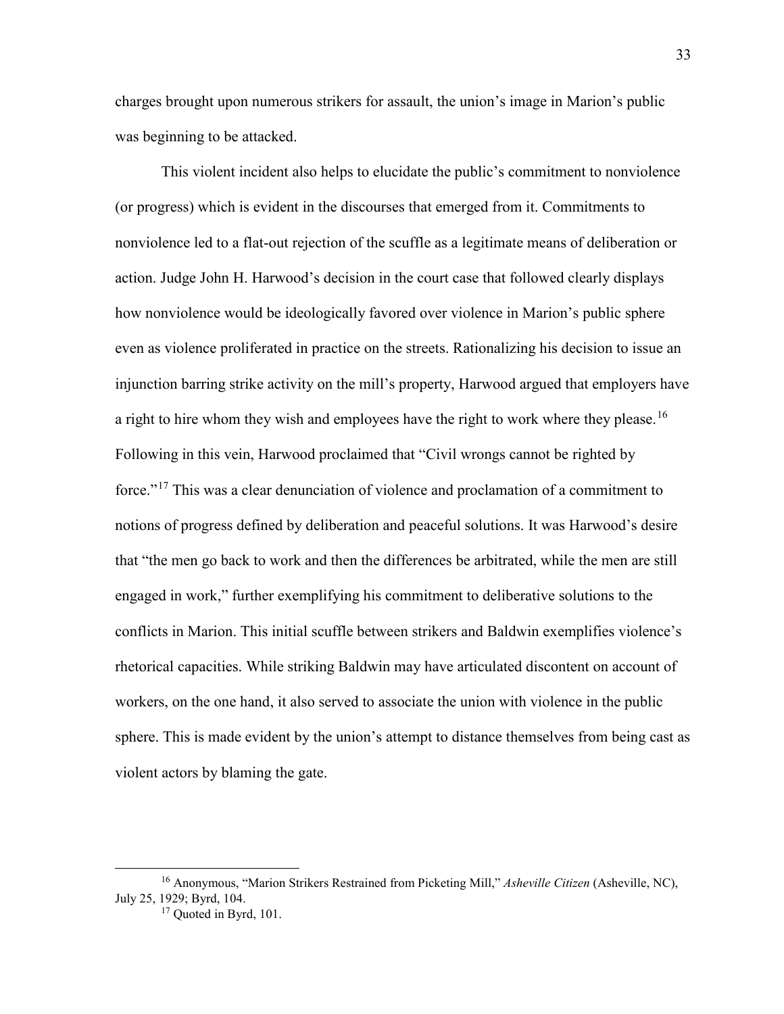charges brought upon numerous strikers for assault, the union's image in Marion's public was beginning to be attacked.

This violent incident also helps to elucidate the public's commitment to nonviolence (or progress) which is evident in the discourses that emerged from it. Commitments to nonviolence led to a flat-out rejection of the scuffle as a legitimate means of deliberation or action. Judge John H. Harwood's decision in the court case that followed clearly displays how nonviolence would be ideologically favored over violence in Marion's public sphere even as violence proliferated in practice on the streets. Rationalizing his decision to issue an injunction barring strike activity on the mill's property, Harwood argued that employers have a right to hire whom they wish and employees have the right to work where they please.<sup>[16](#page-43-0)</sup> Following in this vein, Harwood proclaimed that "Civil wrongs cannot be righted by force."<sup>[17](#page-43-1)</sup> This was a clear denunciation of violence and proclamation of a commitment to notions of progress defined by deliberation and peaceful solutions. It was Harwood's desire that "the men go back to work and then the differences be arbitrated, while the men are still engaged in work," further exemplifying his commitment to deliberative solutions to the conflicts in Marion. This initial scuffle between strikers and Baldwin exemplifies violence's rhetorical capacities. While striking Baldwin may have articulated discontent on account of workers, on the one hand, it also served to associate the union with violence in the public sphere. This is made evident by the union's attempt to distance themselves from being cast as violent actors by blaming the gate.

<span id="page-43-1"></span><span id="page-43-0"></span><sup>16</sup> Anonymous, "Marion Strikers Restrained from Picketing Mill," *Asheville Citizen* (Asheville, NC), July 25, 1929; Byrd, 104.

 $17$  Quoted in Byrd,  $101$ .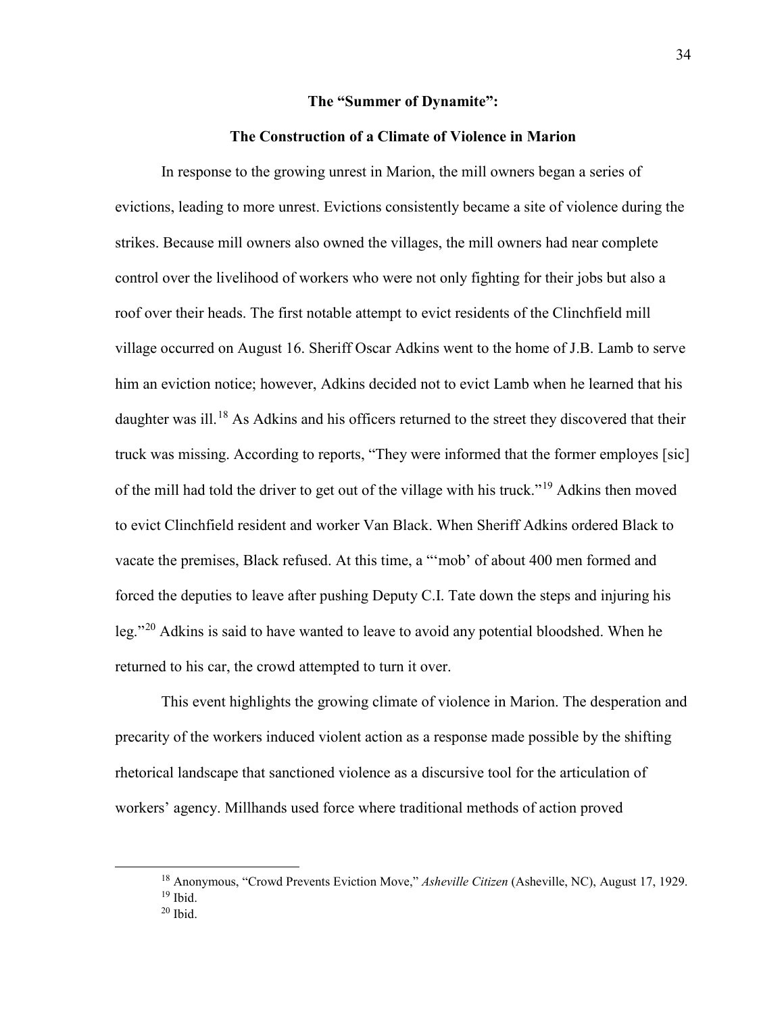## **The "Summer of Dynamite":**

## **The Construction of a Climate of Violence in Marion**

In response to the growing unrest in Marion, the mill owners began a series of evictions, leading to more unrest. Evictions consistently became a site of violence during the strikes. Because mill owners also owned the villages, the mill owners had near complete control over the livelihood of workers who were not only fighting for their jobs but also a roof over their heads. The first notable attempt to evict residents of the Clinchfield mill village occurred on August 16. Sheriff Oscar Adkins went to the home of J.B. Lamb to serve him an eviction notice; however, Adkins decided not to evict Lamb when he learned that his daughter was ill.<sup>[18](#page-44-0)</sup> As Adkins and his officers returned to the street they discovered that their truck was missing. According to reports, "They were informed that the former employes [sic] of the mill had told the driver to get out of the village with his truck."<sup>[19](#page-44-1)</sup> Adkins then moved to evict Clinchfield resident and worker Van Black. When Sheriff Adkins ordered Black to vacate the premises, Black refused. At this time, a "'mob' of about 400 men formed and forced the deputies to leave after pushing Deputy C.I. Tate down the steps and injuring his leg."<sup>[20](#page-44-2)</sup> Adkins is said to have wanted to leave to avoid any potential bloodshed. When he returned to his car, the crowd attempted to turn it over.

This event highlights the growing climate of violence in Marion. The desperation and precarity of the workers induced violent action as a response made possible by the shifting rhetorical landscape that sanctioned violence as a discursive tool for the articulation of workers' agency. Millhands used force where traditional methods of action proved

<span id="page-44-1"></span><span id="page-44-0"></span><sup>18</sup> Anonymous, "Crowd Prevents Eviction Move," *Asheville Citizen* (Asheville, NC), August 17, 1929. <sup>19</sup> Ibid.

<span id="page-44-2"></span> $20$  Ibid.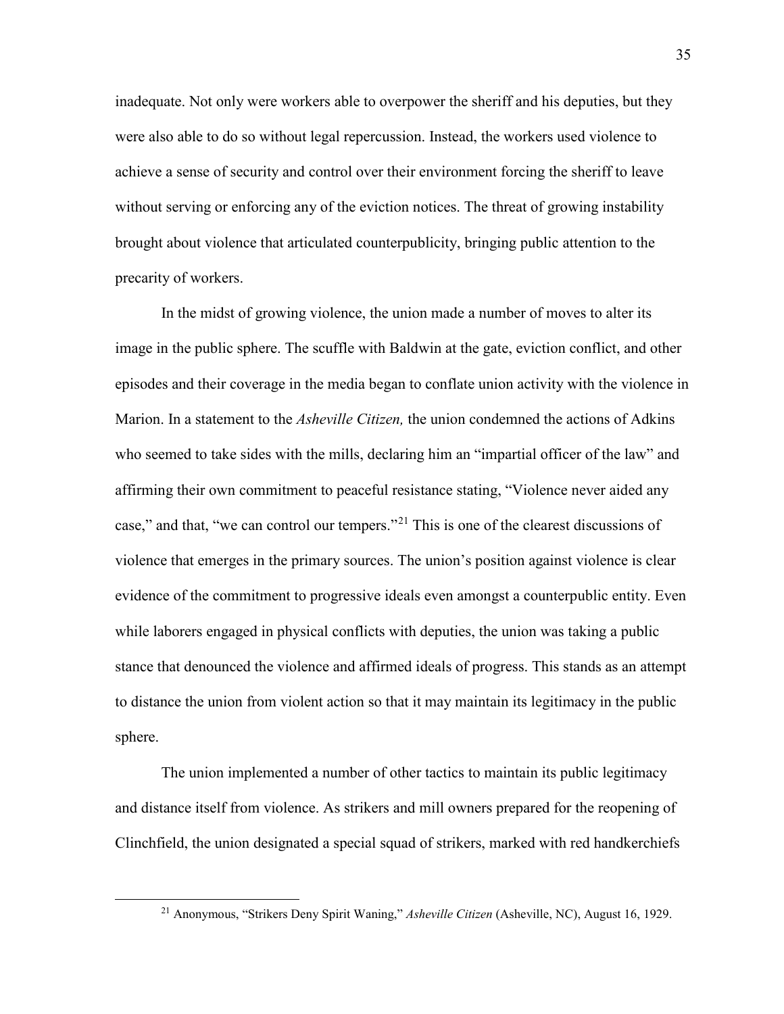inadequate. Not only were workers able to overpower the sheriff and his deputies, but they were also able to do so without legal repercussion. Instead, the workers used violence to achieve a sense of security and control over their environment forcing the sheriff to leave without serving or enforcing any of the eviction notices. The threat of growing instability brought about violence that articulated counterpublicity, bringing public attention to the precarity of workers.

In the midst of growing violence, the union made a number of moves to alter its image in the public sphere. The scuffle with Baldwin at the gate, eviction conflict, and other episodes and their coverage in the media began to conflate union activity with the violence in Marion. In a statement to the *Asheville Citizen,* the union condemned the actions of Adkins who seemed to take sides with the mills, declaring him an "impartial officer of the law" and affirming their own commitment to peaceful resistance stating, "Violence never aided any case," and that, "we can control our tempers."[21](#page-45-0) This is one of the clearest discussions of violence that emerges in the primary sources. The union's position against violence is clear evidence of the commitment to progressive ideals even amongst a counterpublic entity. Even while laborers engaged in physical conflicts with deputies, the union was taking a public stance that denounced the violence and affirmed ideals of progress. This stands as an attempt to distance the union from violent action so that it may maintain its legitimacy in the public sphere.

The union implemented a number of other tactics to maintain its public legitimacy and distance itself from violence. As strikers and mill owners prepared for the reopening of Clinchfield, the union designated a special squad of strikers, marked with red handkerchiefs

<span id="page-45-0"></span><sup>21</sup> Anonymous, "Strikers Deny Spirit Waning," *Asheville Citizen* (Asheville, NC), August 16, 1929.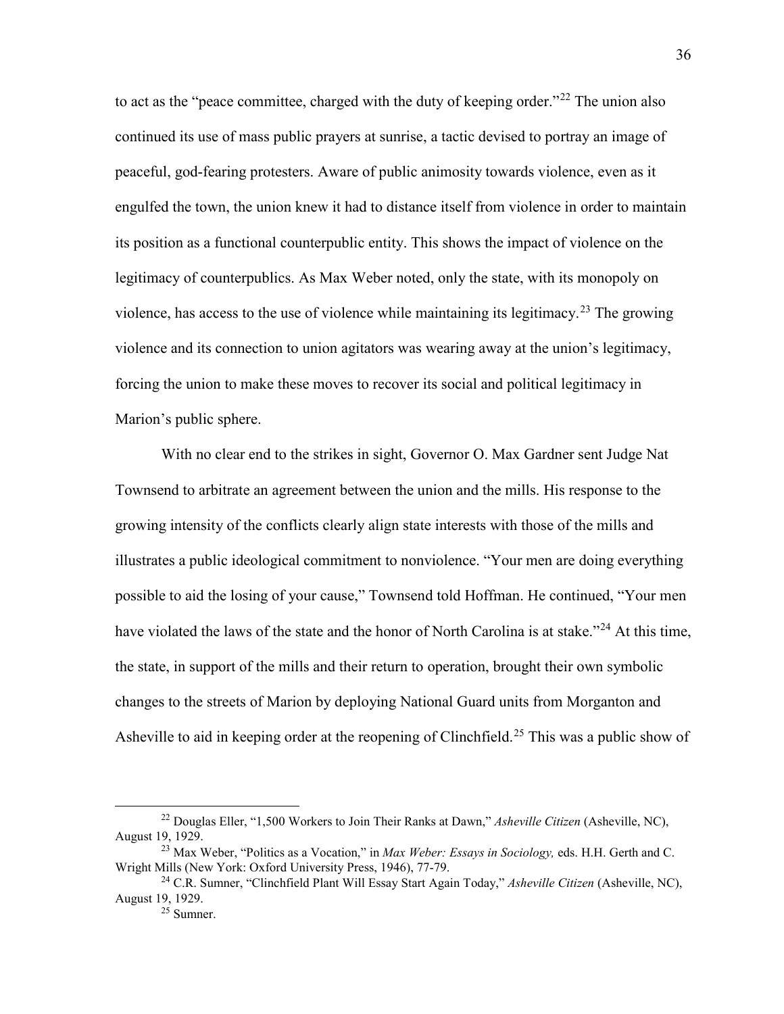to act as the "peace committee, charged with the duty of keeping order."<sup>[22](#page-46-0)</sup> The union also continued its use of mass public prayers at sunrise, a tactic devised to portray an image of peaceful, god-fearing protesters. Aware of public animosity towards violence, even as it engulfed the town, the union knew it had to distance itself from violence in order to maintain its position as a functional counterpublic entity. This shows the impact of violence on the legitimacy of counterpublics. As Max Weber noted, only the state, with its monopoly on violence, has access to the use of violence while maintaining its legitimacy.<sup>[23](#page-46-1)</sup> The growing violence and its connection to union agitators was wearing away at the union's legitimacy, forcing the union to make these moves to recover its social and political legitimacy in Marion's public sphere.

With no clear end to the strikes in sight, Governor O. Max Gardner sent Judge Nat Townsend to arbitrate an agreement between the union and the mills. His response to the growing intensity of the conflicts clearly align state interests with those of the mills and illustrates a public ideological commitment to nonviolence. "Your men are doing everything possible to aid the losing of your cause," Townsend told Hoffman. He continued, "Your men have violated the laws of the state and the honor of North Carolina is at stake."<sup>[24](#page-46-2)</sup> At this time, the state, in support of the mills and their return to operation, brought their own symbolic changes to the streets of Marion by deploying National Guard units from Morganton and Asheville to aid in keeping order at the reopening of Clinchfield.<sup>[25](#page-46-3)</sup> This was a public show of

<span id="page-46-0"></span><sup>22</sup> Douglas Eller, "1,500 Workers to Join Their Ranks at Dawn," *Asheville Citizen* (Asheville, NC), August 19, 1929.

<span id="page-46-1"></span><sup>23</sup> Max Weber, "Politics as a Vocation," in *Max Weber: Essays in Sociology,* eds. H.H. Gerth and C. Wright Mills (New York: Oxford University Press, 1946), 77-79.

<span id="page-46-3"></span><span id="page-46-2"></span><sup>24</sup> C.R. Sumner, "Clinchfield Plant Will Essay Start Again Today," *Asheville Citizen* (Asheville, NC), August 19, 1929.

 $25$  Sumner.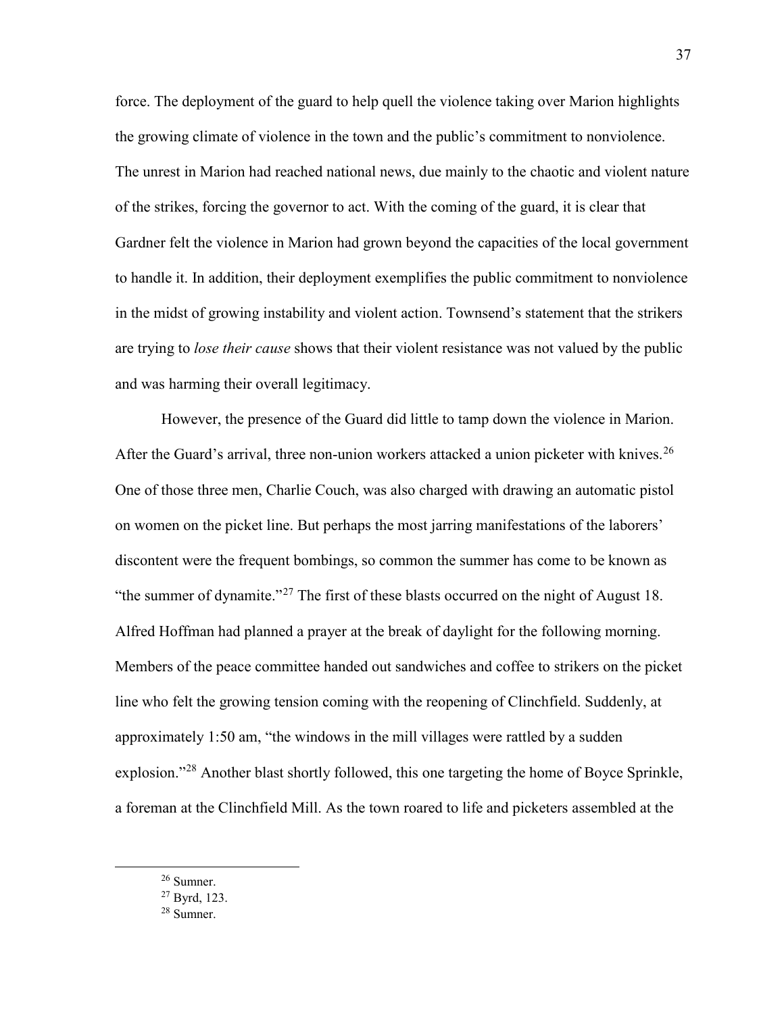force. The deployment of the guard to help quell the violence taking over Marion highlights the growing climate of violence in the town and the public's commitment to nonviolence. The unrest in Marion had reached national news, due mainly to the chaotic and violent nature of the strikes, forcing the governor to act. With the coming of the guard, it is clear that Gardner felt the violence in Marion had grown beyond the capacities of the local government to handle it. In addition, their deployment exemplifies the public commitment to nonviolence in the midst of growing instability and violent action. Townsend's statement that the strikers are trying to *lose their cause* shows that their violent resistance was not valued by the public and was harming their overall legitimacy.

However, the presence of the Guard did little to tamp down the violence in Marion. After the Guard's arrival, three non-union workers attacked a union picketer with knives.<sup>[26](#page-47-0)</sup> One of those three men, Charlie Couch, was also charged with drawing an automatic pistol on women on the picket line. But perhaps the most jarring manifestations of the laborers' discontent were the frequent bombings, so common the summer has come to be known as "the summer of dynamite."<sup>[27](#page-47-1)</sup> The first of these blasts occurred on the night of August 18. Alfred Hoffman had planned a prayer at the break of daylight for the following morning. Members of the peace committee handed out sandwiches and coffee to strikers on the picket line who felt the growing tension coming with the reopening of Clinchfield. Suddenly, at approximately 1:50 am, "the windows in the mill villages were rattled by a sudden explosion."<sup>[28](#page-47-2)</sup> Another blast shortly followed, this one targeting the home of Boyce Sprinkle, a foreman at the Clinchfield Mill. As the town roared to life and picketers assembled at the

<span id="page-47-0"></span><sup>26</sup> Sumner.

<span id="page-47-1"></span><sup>27</sup> Byrd, 123.

<span id="page-47-2"></span><sup>28</sup> Sumner.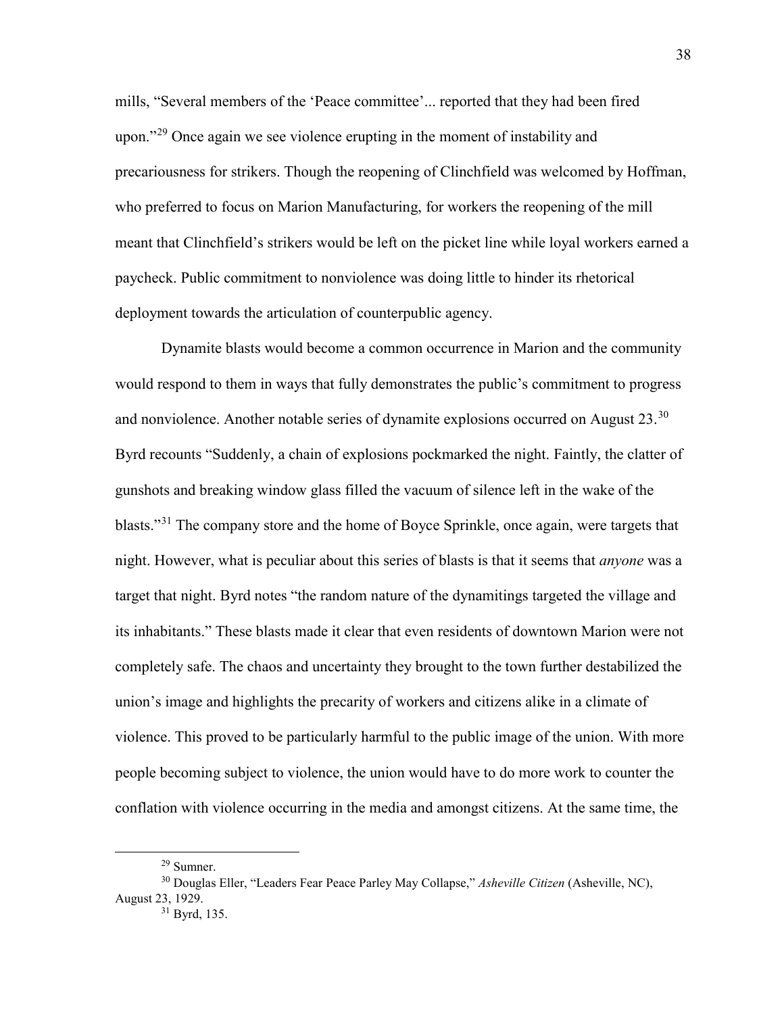mills, "Several members of the 'Peace committee'... reported that they had been fired upon."<sup>[29](#page-48-0)</sup> Once again we see violence erupting in the moment of instability and precariousness for strikers. Though the reopening of Clinchfield was welcomed by Hoffman, who preferred to focus on Marion Manufacturing, for workers the reopening of the mill meant that Clinchfield's strikers would be left on the picket line while loyal workers earned a paycheck. Public commitment to nonviolence was doing little to hinder its rhetorical deployment towards the articulation of counterpublic agency.

Dynamite blasts would become a common occurrence in Marion and the community would respond to them in ways that fully demonstrates the public's commitment to progress and nonviolence. Another notable series of dynamite explosions occurred on August  $23.^{30}$  $23.^{30}$  $23.^{30}$ Byrd recounts "Suddenly, a chain of explosions pockmarked the night. Faintly, the clatter of gunshots and breaking window glass filled the vacuum of silence left in the wake of the blasts."[31](#page-48-2) The company store and the home of Boyce Sprinkle, once again, were targets that night. However, what is peculiar about this series of blasts is that it seems that *anyone* was a target that night. Byrd notes "the random nature of the dynamitings targeted the village and its inhabitants." These blasts made it clear that even residents of downtown Marion were not completely safe. The chaos and uncertainty they brought to the town further destabilized the union's image and highlights the precarity of workers and citizens alike in a climate of violence. This proved to be particularly harmful to the public image of the union. With more people becoming subject to violence, the union would have to do more work to counter the conflation with violence occurring in the media and amongst citizens. At the same time, the

<sup>29</sup> Sumner.

<span id="page-48-2"></span><span id="page-48-1"></span><span id="page-48-0"></span><sup>30</sup> Douglas Eller, "Leaders Fear Peace Parley May Collapse," *Asheville Citizen* (Asheville, NC), August 23, 1929.

 $31$  Byrd, 135.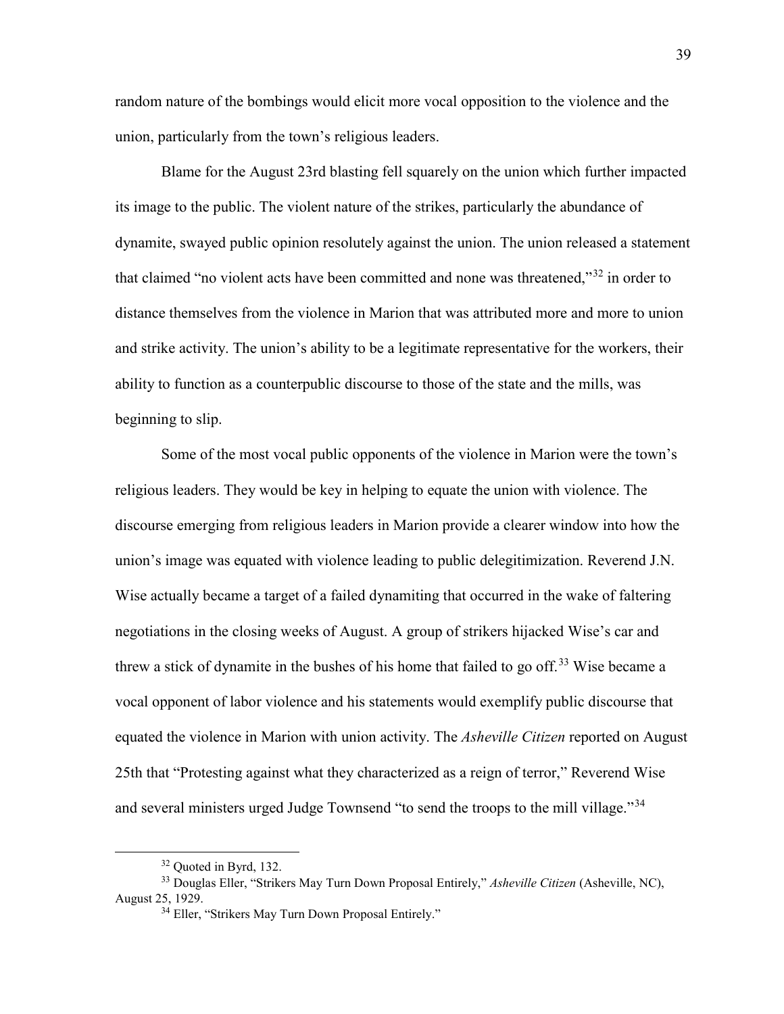random nature of the bombings would elicit more vocal opposition to the violence and the union, particularly from the town's religious leaders.

Blame for the August 23rd blasting fell squarely on the union which further impacted its image to the public. The violent nature of the strikes, particularly the abundance of dynamite, swayed public opinion resolutely against the union. The union released a statement that claimed "no violent acts have been committed and none was threatened,"[32](#page-49-0) in order to distance themselves from the violence in Marion that was attributed more and more to union and strike activity. The union's ability to be a legitimate representative for the workers, their ability to function as a counterpublic discourse to those of the state and the mills, was beginning to slip.

Some of the most vocal public opponents of the violence in Marion were the town's religious leaders. They would be key in helping to equate the union with violence. The discourse emerging from religious leaders in Marion provide a clearer window into how the union's image was equated with violence leading to public delegitimization. Reverend J.N. Wise actually became a target of a failed dynamiting that occurred in the wake of faltering negotiations in the closing weeks of August. A group of strikers hijacked Wise's car and threw a stick of dynamite in the bushes of his home that failed to go off.<sup>[33](#page-49-1)</sup> Wise became a vocal opponent of labor violence and his statements would exemplify public discourse that equated the violence in Marion with union activity. The *Asheville Citizen* reported on August 25th that "Protesting against what they characterized as a reign of terror," Reverend Wise and several ministers urged Judge Townsend "to send the troops to the mill village."<sup>[34](#page-49-2)</sup>

<sup>32</sup> Quoted in Byrd, 132.

<span id="page-49-2"></span><span id="page-49-1"></span><span id="page-49-0"></span><sup>33</sup> Douglas Eller, "Strikers May Turn Down Proposal Entirely," *Asheville Citizen* (Asheville, NC), August 25, 1929.

<sup>&</sup>lt;sup>34</sup> Eller, "Strikers May Turn Down Proposal Entirely."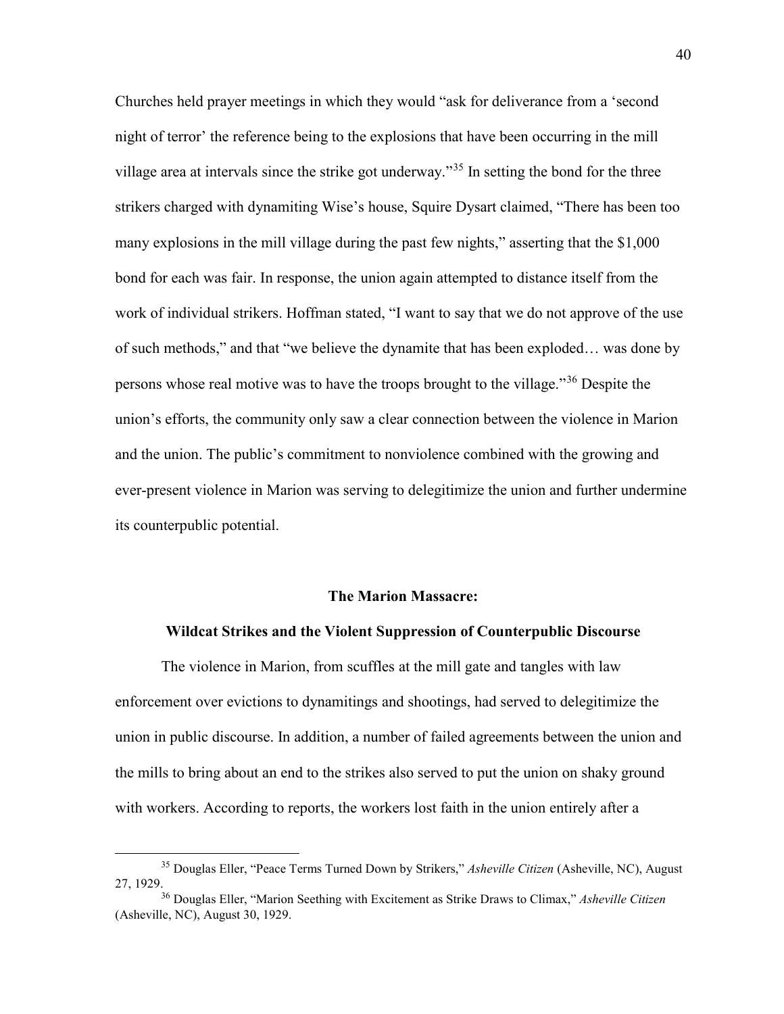Churches held prayer meetings in which they would "ask for deliverance from a 'second night of terror' the reference being to the explosions that have been occurring in the mill village area at intervals since the strike got underway."<sup>[35](#page-50-0)</sup> In setting the bond for the three strikers charged with dynamiting Wise's house, Squire Dysart claimed, "There has been too many explosions in the mill village during the past few nights," asserting that the \$1,000 bond for each was fair. In response, the union again attempted to distance itself from the work of individual strikers. Hoffman stated, "I want to say that we do not approve of the use of such methods," and that "we believe the dynamite that has been exploded… was done by persons whose real motive was to have the troops brought to the village."[36](#page-50-1) Despite the union's efforts, the community only saw a clear connection between the violence in Marion and the union. The public's commitment to nonviolence combined with the growing and ever-present violence in Marion was serving to delegitimize the union and further undermine its counterpublic potential.

#### **The Marion Massacre:**

#### **Wildcat Strikes and the Violent Suppression of Counterpublic Discourse**

The violence in Marion, from scuffles at the mill gate and tangles with law enforcement over evictions to dynamitings and shootings, had served to delegitimize the union in public discourse. In addition, a number of failed agreements between the union and the mills to bring about an end to the strikes also served to put the union on shaky ground with workers. According to reports, the workers lost faith in the union entirely after a

<span id="page-50-0"></span><sup>35</sup> Douglas Eller, "Peace Terms Turned Down by Strikers," *Asheville Citizen* (Asheville, NC), August 27, 1929.

<span id="page-50-1"></span><sup>36</sup> Douglas Eller, "Marion Seething with Excitement as Strike Draws to Climax," *Asheville Citizen*  (Asheville, NC), August 30, 1929.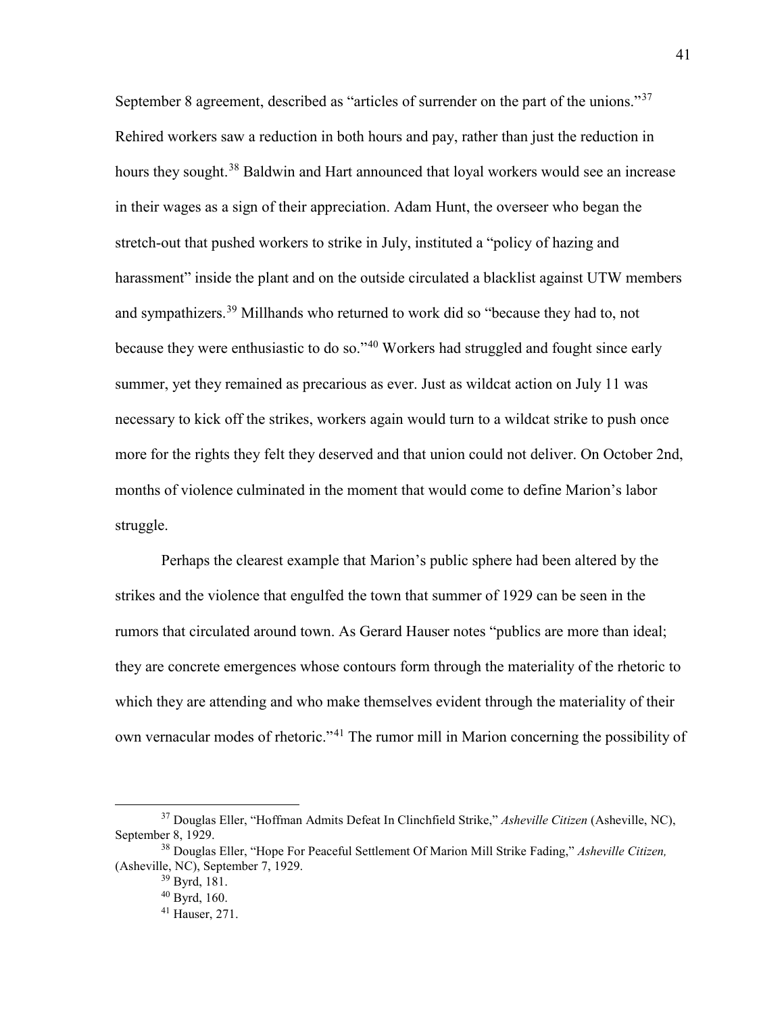September 8 agreement, described as "articles of surrender on the part of the unions."<sup>[37](#page-51-0)</sup> Rehired workers saw a reduction in both hours and pay, rather than just the reduction in hours they sought.<sup>[38](#page-51-1)</sup> Baldwin and Hart announced that loyal workers would see an increase in their wages as a sign of their appreciation. Adam Hunt, the overseer who began the stretch-out that pushed workers to strike in July, instituted a "policy of hazing and harassment" inside the plant and on the outside circulated a blacklist against UTW members and sympathizers.<sup>[39](#page-51-2)</sup> Millhands who returned to work did so "because they had to, not because they were enthusiastic to do so."[40](#page-51-3) Workers had struggled and fought since early summer, yet they remained as precarious as ever. Just as wildcat action on July 11 was necessary to kick off the strikes, workers again would turn to a wildcat strike to push once more for the rights they felt they deserved and that union could not deliver. On October 2nd, months of violence culminated in the moment that would come to define Marion's labor struggle.

Perhaps the clearest example that Marion's public sphere had been altered by the strikes and the violence that engulfed the town that summer of 1929 can be seen in the rumors that circulated around town. As Gerard Hauser notes "publics are more than ideal; they are concrete emergences whose contours form through the materiality of the rhetoric to which they are attending and who make themselves evident through the materiality of their own vernacular modes of rhetoric."<sup>[41](#page-51-4)</sup> The rumor mill in Marion concerning the possibility of

<span id="page-51-0"></span><sup>37</sup> Douglas Eller, "Hoffman Admits Defeat In Clinchfield Strike," *Asheville Citizen* (Asheville, NC), September 8, 1929.

<span id="page-51-4"></span><span id="page-51-3"></span><span id="page-51-2"></span><span id="page-51-1"></span><sup>38</sup> Douglas Eller, "Hope For Peaceful Settlement Of Marion Mill Strike Fading," *Asheville Citizen,*  (Asheville, NC), September 7, 1929.

<sup>39</sup> Byrd, 181.

 $40$  Byrd, 160.

<sup>41</sup> Hauser, 271.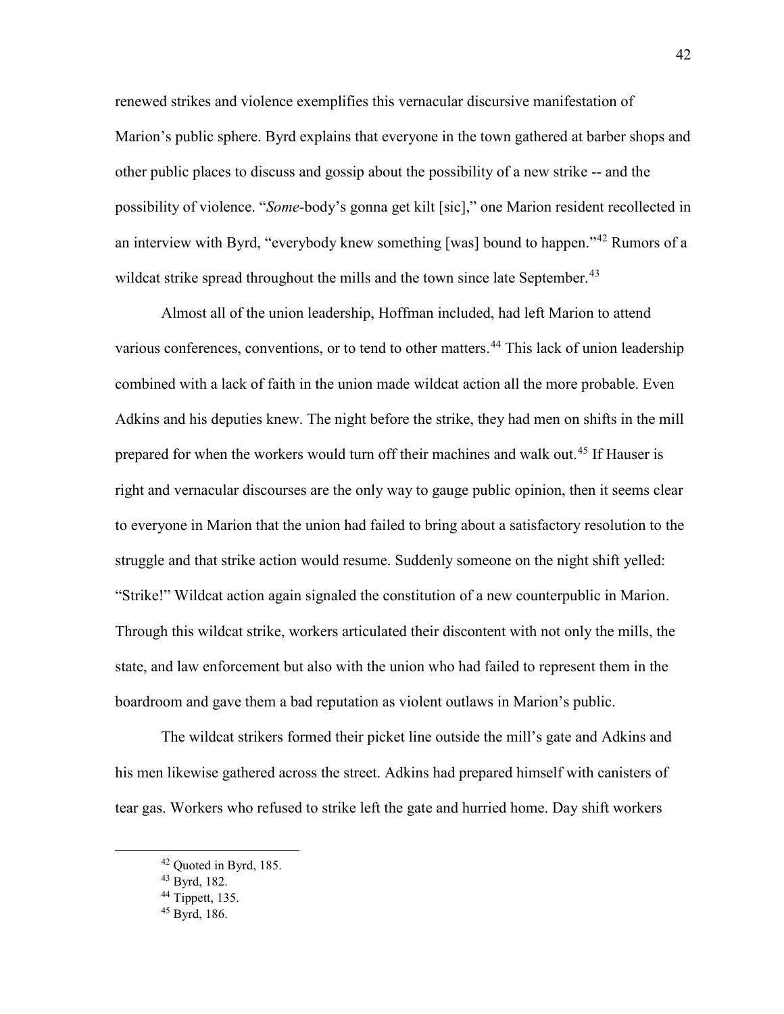renewed strikes and violence exemplifies this vernacular discursive manifestation of Marion's public sphere. Byrd explains that everyone in the town gathered at barber shops and other public places to discuss and gossip about the possibility of a new strike -- and the possibility of violence. "*Some-*body's gonna get kilt [sic]," one Marion resident recollected in an interview with Byrd, "everybody knew something [was] bound to happen."<sup>[42](#page-52-0)</sup> Rumors of a wildcat strike spread throughout the mills and the town since late September.<sup>[43](#page-52-1)</sup>

Almost all of the union leadership, Hoffman included, had left Marion to attend various conferences, conventions, or to tend to other matters.<sup>[44](#page-52-2)</sup> This lack of union leadership combined with a lack of faith in the union made wildcat action all the more probable. Even Adkins and his deputies knew. The night before the strike, they had men on shifts in the mill prepared for when the workers would turn off their machines and walk out.<sup>[45](#page-52-3)</sup> If Hauser is right and vernacular discourses are the only way to gauge public opinion, then it seems clear to everyone in Marion that the union had failed to bring about a satisfactory resolution to the struggle and that strike action would resume. Suddenly someone on the night shift yelled: "Strike!" Wildcat action again signaled the constitution of a new counterpublic in Marion. Through this wildcat strike, workers articulated their discontent with not only the mills, the state, and law enforcement but also with the union who had failed to represent them in the boardroom and gave them a bad reputation as violent outlaws in Marion's public.

The wildcat strikers formed their picket line outside the mill's gate and Adkins and his men likewise gathered across the street. Adkins had prepared himself with canisters of tear gas. Workers who refused to strike left the gate and hurried home. Day shift workers

<span id="page-52-0"></span><sup>42</sup> Quoted in Byrd, 185.

<span id="page-52-1"></span><sup>43</sup> Byrd, 182.

<span id="page-52-3"></span><span id="page-52-2"></span> $44$  Tippett, 135.

 $45$  Byrd, 186.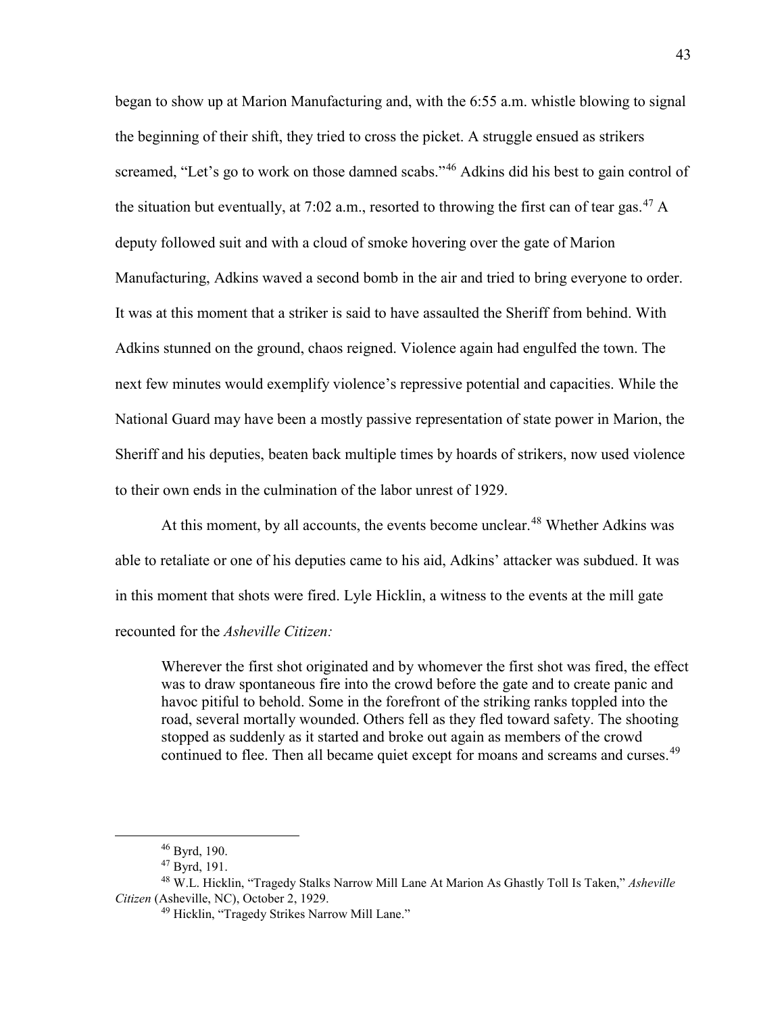began to show up at Marion Manufacturing and, with the 6:55 a.m. whistle blowing to signal the beginning of their shift, they tried to cross the picket. A struggle ensued as strikers screamed, "Let's go to work on those damned scabs."<sup>[46](#page-53-0)</sup> Adkins did his best to gain control of the situation but eventually, at 7:02 a.m., resorted to throwing the first can of tear gas.<sup>[47](#page-53-1)</sup> A deputy followed suit and with a cloud of smoke hovering over the gate of Marion Manufacturing, Adkins waved a second bomb in the air and tried to bring everyone to order. It was at this moment that a striker is said to have assaulted the Sheriff from behind. With Adkins stunned on the ground, chaos reigned. Violence again had engulfed the town. The next few minutes would exemplify violence's repressive potential and capacities. While the National Guard may have been a mostly passive representation of state power in Marion, the Sheriff and his deputies, beaten back multiple times by hoards of strikers, now used violence to their own ends in the culmination of the labor unrest of 1929.

At this moment, by all accounts, the events become unclear.<sup>[48](#page-53-2)</sup> Whether Adkins was able to retaliate or one of his deputies came to his aid, Adkins' attacker was subdued. It was in this moment that shots were fired. Lyle Hicklin, a witness to the events at the mill gate recounted for the *Asheville Citizen:*

Wherever the first shot originated and by whomever the first shot was fired, the effect was to draw spontaneous fire into the crowd before the gate and to create panic and havoc pitiful to behold. Some in the forefront of the striking ranks toppled into the road, several mortally wounded. Others fell as they fled toward safety. The shooting stopped as suddenly as it started and broke out again as members of the crowd continued to flee. Then all became quiet except for moans and screams and curses.<sup>[49](#page-53-3)</sup>

<sup>46</sup> Byrd, 190.

<sup>47</sup> Byrd, 191.

<span id="page-53-3"></span><span id="page-53-2"></span><span id="page-53-1"></span><span id="page-53-0"></span><sup>48</sup> W.L. Hicklin, "Tragedy Stalks Narrow Mill Lane At Marion As Ghastly Toll Is Taken," *Asheville Citizen* (Asheville, NC), October 2, 1929.

<sup>49</sup> Hicklin, "Tragedy Strikes Narrow Mill Lane."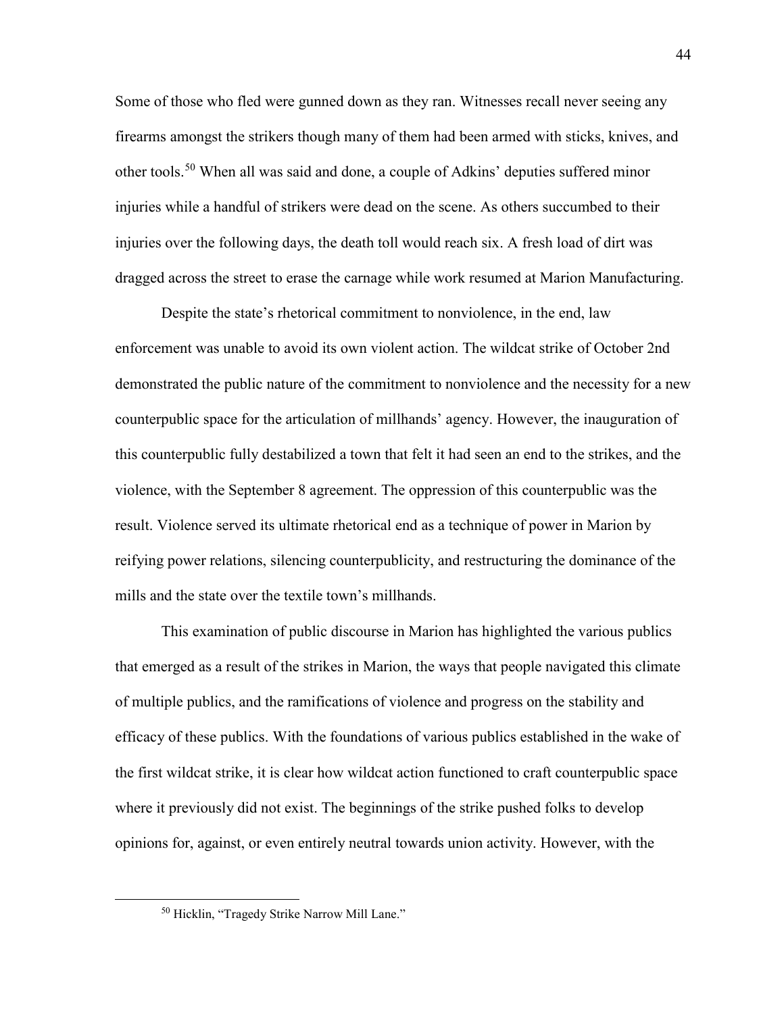Some of those who fled were gunned down as they ran. Witnesses recall never seeing any firearms amongst the strikers though many of them had been armed with sticks, knives, and other tools.<sup>[50](#page-54-0)</sup> When all was said and done, a couple of Adkins' deputies suffered minor injuries while a handful of strikers were dead on the scene. As others succumbed to their injuries over the following days, the death toll would reach six. A fresh load of dirt was dragged across the street to erase the carnage while work resumed at Marion Manufacturing.

Despite the state's rhetorical commitment to nonviolence, in the end, law enforcement was unable to avoid its own violent action. The wildcat strike of October 2nd demonstrated the public nature of the commitment to nonviolence and the necessity for a new counterpublic space for the articulation of millhands' agency. However, the inauguration of this counterpublic fully destabilized a town that felt it had seen an end to the strikes, and the violence, with the September 8 agreement. The oppression of this counterpublic was the result. Violence served its ultimate rhetorical end as a technique of power in Marion by reifying power relations, silencing counterpublicity, and restructuring the dominance of the mills and the state over the textile town's millhands.

This examination of public discourse in Marion has highlighted the various publics that emerged as a result of the strikes in Marion, the ways that people navigated this climate of multiple publics, and the ramifications of violence and progress on the stability and efficacy of these publics. With the foundations of various publics established in the wake of the first wildcat strike, it is clear how wildcat action functioned to craft counterpublic space where it previously did not exist. The beginnings of the strike pushed folks to develop opinions for, against, or even entirely neutral towards union activity. However, with the

<span id="page-54-0"></span><sup>50</sup> Hicklin, "Tragedy Strike Narrow Mill Lane."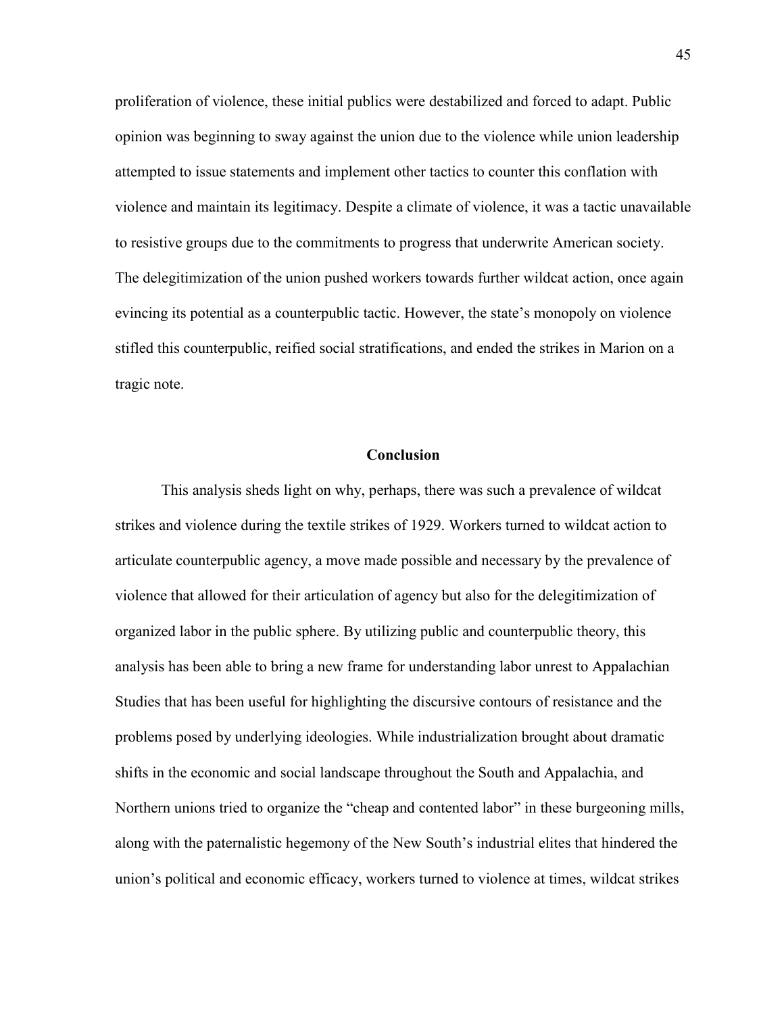proliferation of violence, these initial publics were destabilized and forced to adapt. Public opinion was beginning to sway against the union due to the violence while union leadership attempted to issue statements and implement other tactics to counter this conflation with violence and maintain its legitimacy. Despite a climate of violence, it was a tactic unavailable to resistive groups due to the commitments to progress that underwrite American society. The delegitimization of the union pushed workers towards further wildcat action, once again evincing its potential as a counterpublic tactic. However, the state's monopoly on violence stifled this counterpublic, reified social stratifications, and ended the strikes in Marion on a tragic note.

## **Conclusion**

This analysis sheds light on why, perhaps, there was such a prevalence of wildcat strikes and violence during the textile strikes of 1929. Workers turned to wildcat action to articulate counterpublic agency, a move made possible and necessary by the prevalence of violence that allowed for their articulation of agency but also for the delegitimization of organized labor in the public sphere. By utilizing public and counterpublic theory, this analysis has been able to bring a new frame for understanding labor unrest to Appalachian Studies that has been useful for highlighting the discursive contours of resistance and the problems posed by underlying ideologies. While industrialization brought about dramatic shifts in the economic and social landscape throughout the South and Appalachia, and Northern unions tried to organize the "cheap and contented labor" in these burgeoning mills, along with the paternalistic hegemony of the New South's industrial elites that hindered the union's political and economic efficacy, workers turned to violence at times, wildcat strikes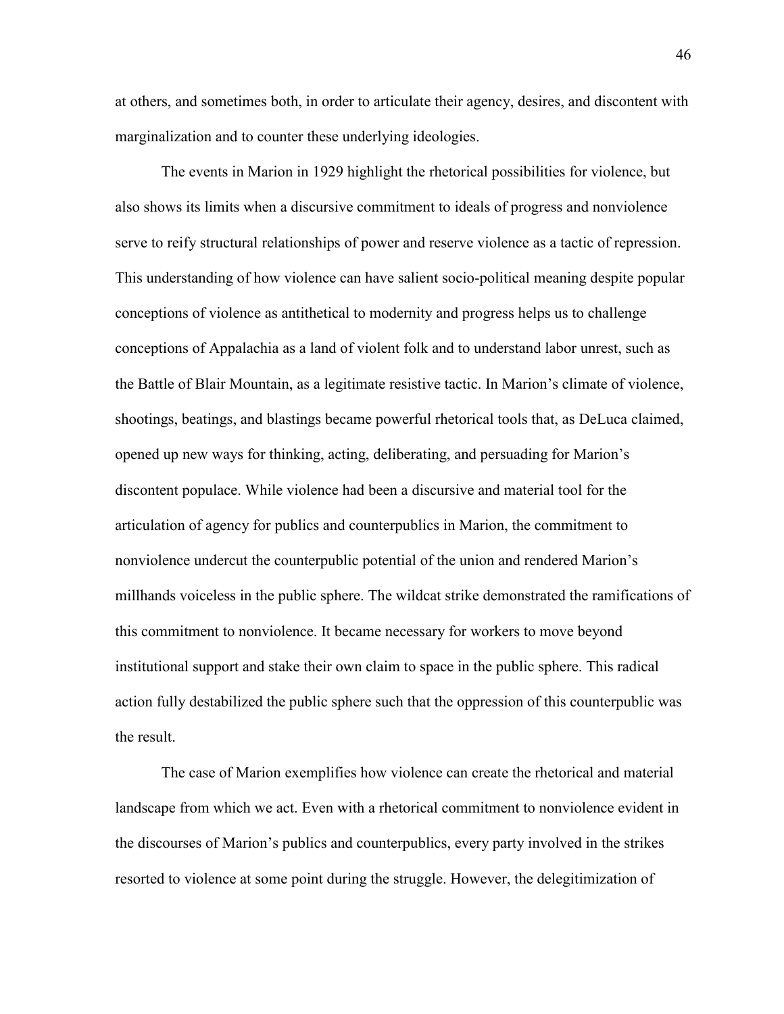at others, and sometimes both, in order to articulate their agency, desires, and discontent with marginalization and to counter these underlying ideologies.

The events in Marion in 1929 highlight the rhetorical possibilities for violence, but also shows its limits when a discursive commitment to ideals of progress and nonviolence serve to reify structural relationships of power and reserve violence as a tactic of repression. This understanding of how violence can have salient socio-political meaning despite popular conceptions of violence as antithetical to modernity and progress helps us to challenge conceptions of Appalachia as a land of violent folk and to understand labor unrest, such as the Battle of Blair Mountain, as a legitimate resistive tactic. In Marion's climate of violence, shootings, beatings, and blastings became powerful rhetorical tools that, as DeLuca claimed, opened up new ways for thinking, acting, deliberating, and persuading for Marion's discontent populace. While violence had been a discursive and material tool for the articulation of agency for publics and counterpublics in Marion, the commitment to nonviolence undercut the counterpublic potential of the union and rendered Marion's millhands voiceless in the public sphere. The wildcat strike demonstrated the ramifications of this commitment to nonviolence. It became necessary for workers to move beyond institutional support and stake their own claim to space in the public sphere. This radical action fully destabilized the public sphere such that the oppression of this counterpublic was the result.

The case of Marion exemplifies how violence can create the rhetorical and material landscape from which we act. Even with a rhetorical commitment to nonviolence evident in the discourses of Marion's publics and counterpublics, every party involved in the strikes resorted to violence at some point during the struggle. However, the delegitimization of

46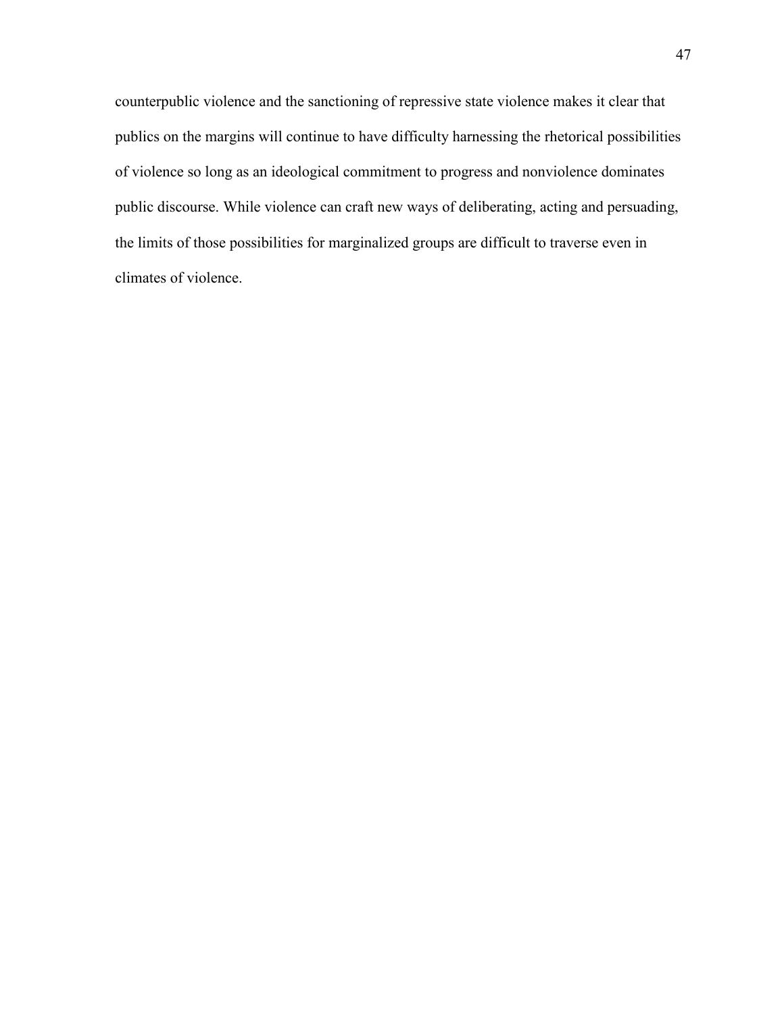counterpublic violence and the sanctioning of repressive state violence makes it clear that publics on the margins will continue to have difficulty harnessing the rhetorical possibilities of violence so long as an ideological commitment to progress and nonviolence dominates public discourse. While violence can craft new ways of deliberating, acting and persuading, the limits of those possibilities for marginalized groups are difficult to traverse even in climates of violence.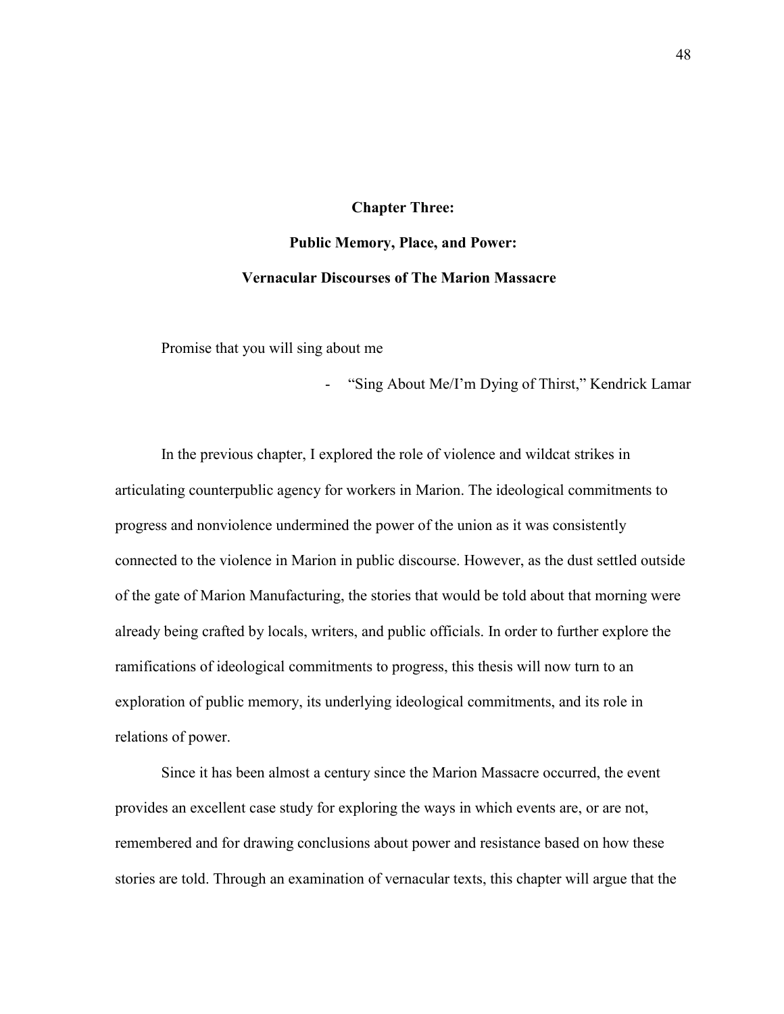#### **Chapter Three:**

# **Public Memory, Place, and Power: Vernacular Discourses of The Marion Massacre**

Promise that you will sing about me

"Sing About Me/I'm Dying of Thirst," Kendrick Lamar

In the previous chapter, I explored the role of violence and wildcat strikes in articulating counterpublic agency for workers in Marion. The ideological commitments to progress and nonviolence undermined the power of the union as it was consistently connected to the violence in Marion in public discourse. However, as the dust settled outside of the gate of Marion Manufacturing, the stories that would be told about that morning were already being crafted by locals, writers, and public officials. In order to further explore the ramifications of ideological commitments to progress, this thesis will now turn to an exploration of public memory, its underlying ideological commitments, and its role in relations of power.

Since it has been almost a century since the Marion Massacre occurred, the event provides an excellent case study for exploring the ways in which events are, or are not, remembered and for drawing conclusions about power and resistance based on how these stories are told. Through an examination of vernacular texts, this chapter will argue that the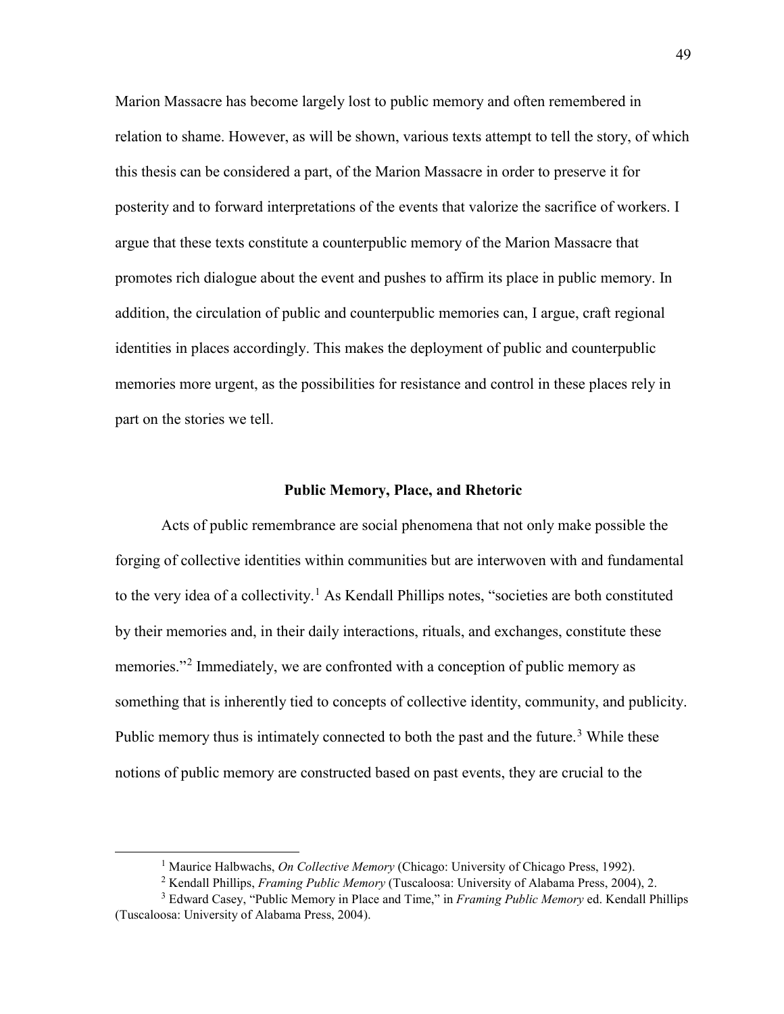Marion Massacre has become largely lost to public memory and often remembered in relation to shame. However, as will be shown, various texts attempt to tell the story, of which this thesis can be considered a part, of the Marion Massacre in order to preserve it for posterity and to forward interpretations of the events that valorize the sacrifice of workers. I argue that these texts constitute a counterpublic memory of the Marion Massacre that promotes rich dialogue about the event and pushes to affirm its place in public memory. In addition, the circulation of public and counterpublic memories can, I argue, craft regional identities in places accordingly. This makes the deployment of public and counterpublic memories more urgent, as the possibilities for resistance and control in these places rely in part on the stories we tell.

## **Public Memory, Place, and Rhetoric**

Acts of public remembrance are social phenomena that not only make possible the forging of collective identities within communities but are interwoven with and fundamental to the very idea of a collectivity.<sup>[1](#page-59-0)</sup> As Kendall Phillips notes, "societies are both constituted by their memories and, in their daily interactions, rituals, and exchanges, constitute these memories."<sup>[2](#page-59-1)</sup> Immediately, we are confronted with a conception of public memory as something that is inherently tied to concepts of collective identity, community, and publicity. Public memory thus is intimately connected to both the past and the future.<sup>[3](#page-59-2)</sup> While these notions of public memory are constructed based on past events, they are crucial to the

<sup>&</sup>lt;sup>1</sup> Maurice Halbwachs, *On Collective Memory* (Chicago: University of Chicago Press, 1992).

<sup>2</sup> Kendall Phillips, *Framing Public Memory* (Tuscaloosa: University of Alabama Press, 2004), 2.

<span id="page-59-2"></span><span id="page-59-1"></span><span id="page-59-0"></span><sup>3</sup> Edward Casey, "Public Memory in Place and Time," in *Framing Public Memory* ed. Kendall Phillips (Tuscaloosa: University of Alabama Press, 2004).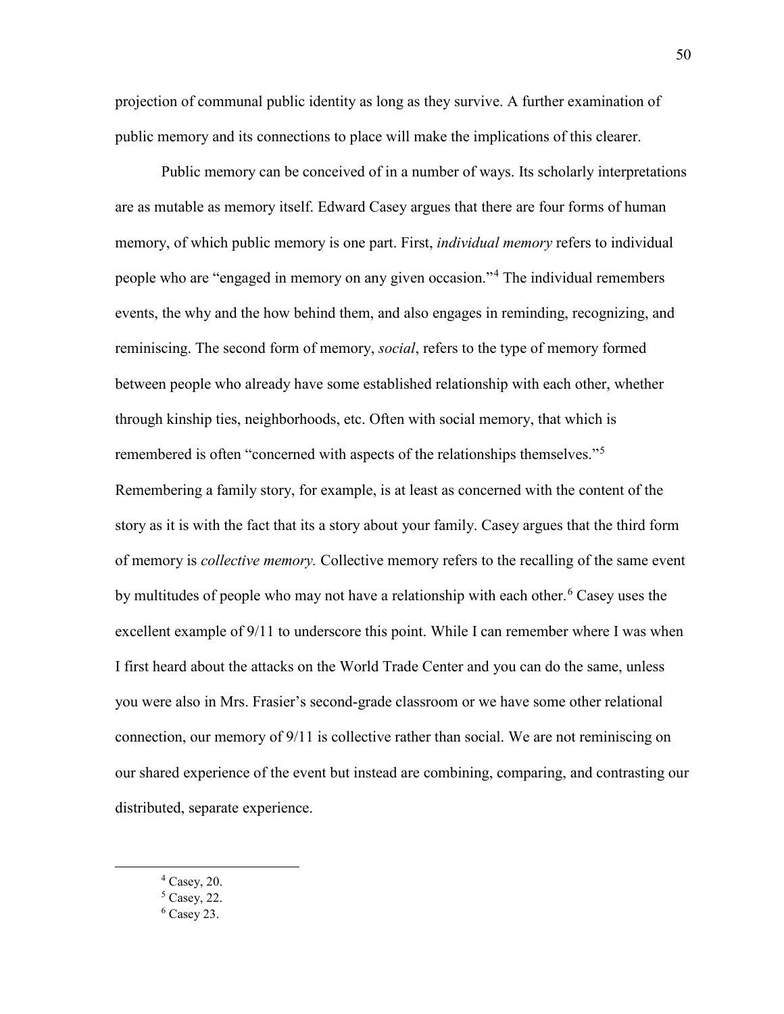projection of communal public identity as long as they survive. A further examination of public memory and its connections to place will make the implications of this clearer.

Public memory can be conceived of in a number of ways. Its scholarly interpretations are as mutable as memory itself. Edward Casey argues that there are four forms of human memory, of which public memory is one part. First, *individual memory* refers to individual people who are "engaged in memory on any given occasion."[4](#page-60-0) The individual remembers events, the why and the how behind them, and also engages in reminding, recognizing, and reminiscing. The second form of memory, *social*, refers to the type of memory formed between people who already have some established relationship with each other, whether through kinship ties, neighborhoods, etc. Often with social memory, that which is remembered is often "concerned with aspects of the relationships themselves."[5](#page-60-1) Remembering a family story, for example, is at least as concerned with the content of the story as it is with the fact that its a story about your family. Casey argues that the third form of memory is *collective memory.* Collective memory refers to the recalling of the same event by multitudes of people who may not have a relationship with each other.<sup>[6](#page-60-2)</sup> Casey uses the excellent example of 9/11 to underscore this point. While I can remember where I was when I first heard about the attacks on the World Trade Center and you can do the same, unless you were also in Mrs. Frasier's second-grade classroom or we have some other relational connection, our memory of 9/11 is collective rather than social. We are not reminiscing on our shared experience of the event but instead are combining, comparing, and contrasting our distributed, separate experience.

<span id="page-60-0"></span><sup>4</sup> Casey, 20.

<span id="page-60-2"></span><span id="page-60-1"></span> $5$  Casey, 22.

 $6$  Casey 23.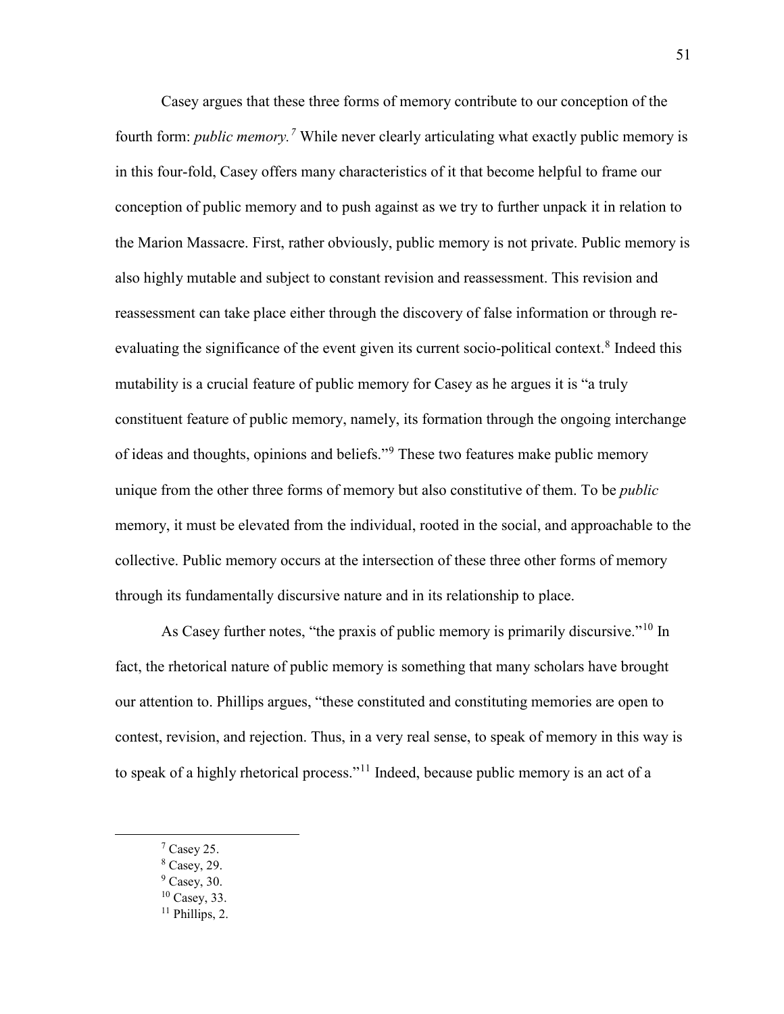Casey argues that these three forms of memory contribute to our conception of the fourth form: *public memory.[7](#page-61-0)* While never clearly articulating what exactly public memory is in this four-fold, Casey offers many characteristics of it that become helpful to frame our conception of public memory and to push against as we try to further unpack it in relation to the Marion Massacre. First, rather obviously, public memory is not private. Public memory is also highly mutable and subject to constant revision and reassessment. This revision and reassessment can take place either through the discovery of false information or through re-evaluating the significance of the event given its current socio-political context.<sup>[8](#page-61-1)</sup> Indeed this mutability is a crucial feature of public memory for Casey as he argues it is "a truly constituent feature of public memory, namely, its formation through the ongoing interchange of ideas and thoughts, opinions and beliefs."[9](#page-61-2) These two features make public memory unique from the other three forms of memory but also constitutive of them. To be *public* memory, it must be elevated from the individual, rooted in the social, and approachable to the collective. Public memory occurs at the intersection of these three other forms of memory through its fundamentally discursive nature and in its relationship to place.

As Casey further notes, "the praxis of public memory is primarily discursive."<sup>[10](#page-61-3)</sup> In fact, the rhetorical nature of public memory is something that many scholars have brought our attention to. Phillips argues, "these constituted and constituting memories are open to contest, revision, and rejection. Thus, in a very real sense, to speak of memory in this way is to speak of a highly rhetorical process."<sup>[11](#page-61-4)</sup> Indeed, because public memory is an act of a

 $7$  Casey 25.

<span id="page-61-1"></span><span id="page-61-0"></span><sup>8</sup> Casey, 29.

<span id="page-61-3"></span><span id="page-61-2"></span> $9$  Casey, 30.

<span id="page-61-4"></span><sup>10</sup> Casey, 33.

<sup>&</sup>lt;sup>11</sup> Phillips, 2.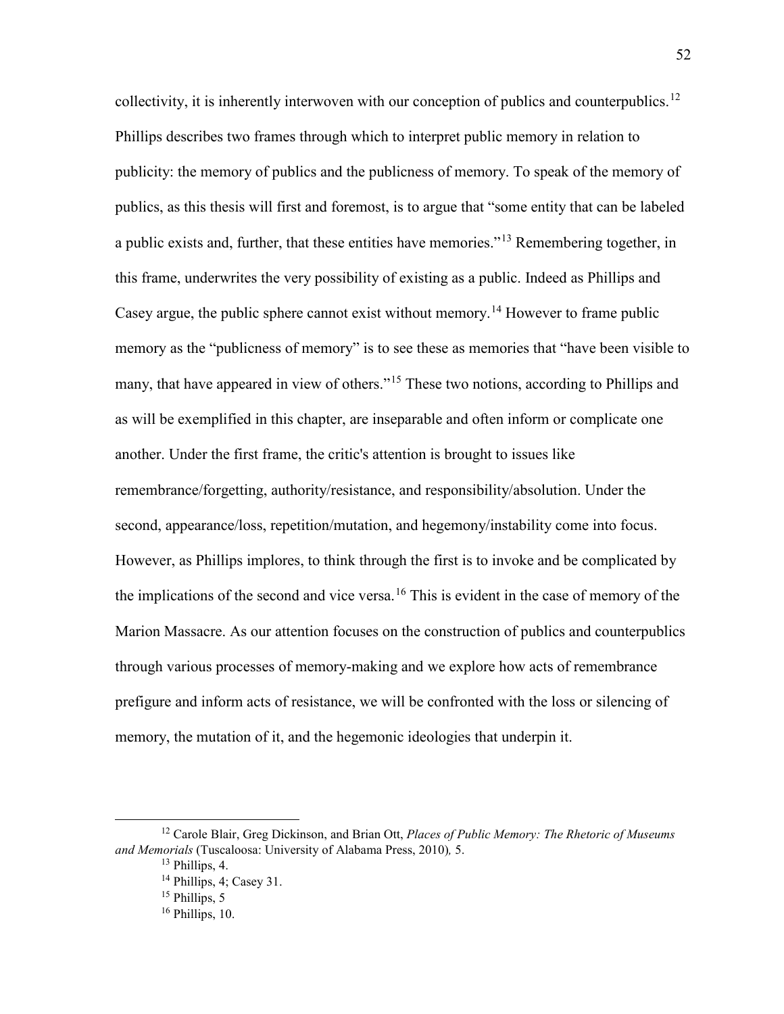collectivity, it is inherently interwoven with our conception of publics and counterpublics.<sup>[12](#page-62-0)</sup> Phillips describes two frames through which to interpret public memory in relation to publicity: the memory of publics and the publicness of memory. To speak of the memory of publics, as this thesis will first and foremost, is to argue that "some entity that can be labeled a public exists and, further, that these entities have memories."<sup>[13](#page-62-1)</sup> Remembering together, in this frame, underwrites the very possibility of existing as a public. Indeed as Phillips and Casey argue, the public sphere cannot exist without memory.[14](#page-62-2) However to frame public memory as the "publicness of memory" is to see these as memories that "have been visible to many, that have appeared in view of others."<sup>[15](#page-62-3)</sup> These two notions, according to Phillips and as will be exemplified in this chapter, are inseparable and often inform or complicate one another. Under the first frame, the critic's attention is brought to issues like remembrance/forgetting, authority/resistance, and responsibility/absolution. Under the second, appearance/loss, repetition/mutation, and hegemony/instability come into focus. However, as Phillips implores, to think through the first is to invoke and be complicated by the implications of the second and vice versa.<sup>[16](#page-62-4)</sup> This is evident in the case of memory of the Marion Massacre. As our attention focuses on the construction of publics and counterpublics through various processes of memory-making and we explore how acts of remembrance prefigure and inform acts of resistance, we will be confronted with the loss or silencing of memory, the mutation of it, and the hegemonic ideologies that underpin it.

<span id="page-62-4"></span><span id="page-62-3"></span><span id="page-62-2"></span><span id="page-62-1"></span><span id="page-62-0"></span><sup>12</sup> Carole Blair, Greg Dickinson, and Brian Ott, *Places of Public Memory: The Rhetoric of Museums and Memorials* (Tuscaloosa: University of Alabama Press, 2010)*,* 5.

<sup>&</sup>lt;sup>13</sup> Phillips, 4.

<sup>&</sup>lt;sup>14</sup> Phillips, 4; Casey 31.

 $15$  Phillips, 5

<sup>&</sup>lt;sup>16</sup> Phillips, 10.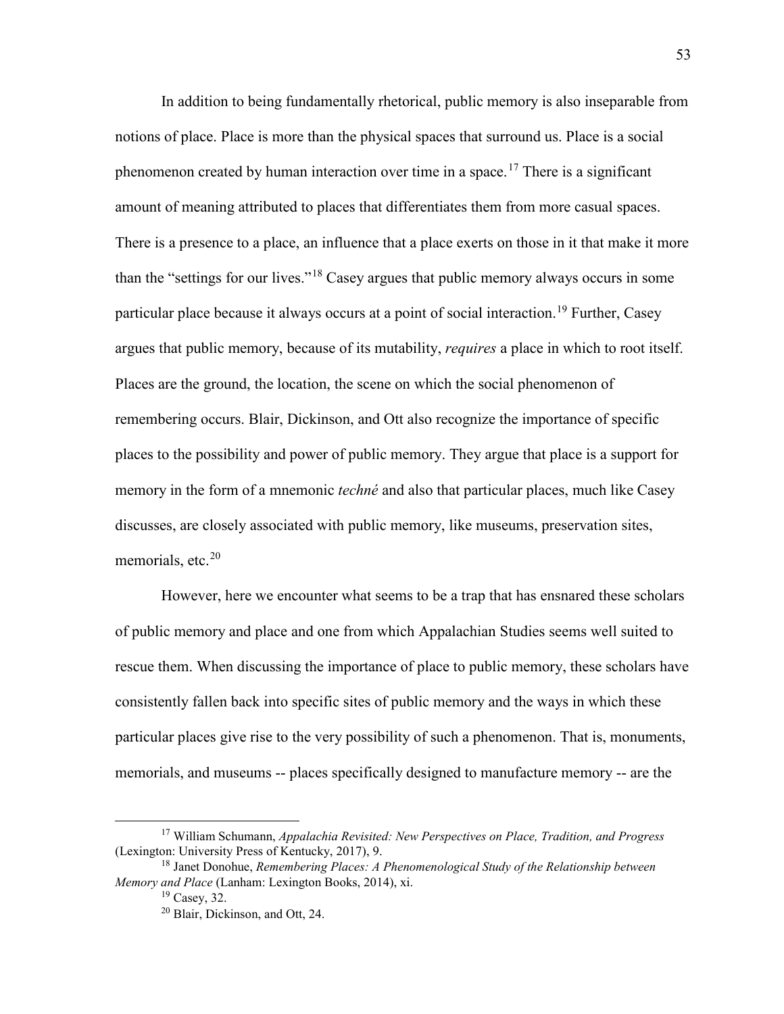In addition to being fundamentally rhetorical, public memory is also inseparable from notions of place. Place is more than the physical spaces that surround us. Place is a social phenomenon created by human interaction over time in a space.<sup>[17](#page-63-0)</sup> There is a significant amount of meaning attributed to places that differentiates them from more casual spaces. There is a presence to a place, an influence that a place exerts on those in it that make it more than the "settings for our lives."[18](#page-63-1) Casey argues that public memory always occurs in some particular place because it always occurs at a point of social interaction.<sup>[19](#page-63-2)</sup> Further, Casey argues that public memory, because of its mutability, *requires* a place in which to root itself. Places are the ground, the location, the scene on which the social phenomenon of remembering occurs. Blair, Dickinson, and Ott also recognize the importance of specific places to the possibility and power of public memory. They argue that place is a support for memory in the form of a mnemonic *techné* and also that particular places, much like Casey discusses, are closely associated with public memory, like museums, preservation sites, memorials, etc.<sup>[20](#page-63-3)</sup>

However, here we encounter what seems to be a trap that has ensnared these scholars of public memory and place and one from which Appalachian Studies seems well suited to rescue them. When discussing the importance of place to public memory, these scholars have consistently fallen back into specific sites of public memory and the ways in which these particular places give rise to the very possibility of such a phenomenon. That is, monuments, memorials, and museums -- places specifically designed to manufacture memory -- are the

<span id="page-63-0"></span><sup>17</sup> William Schumann, *Appalachia Revisited: New Perspectives on Place, Tradition, and Progress*  (Lexington: University Press of Kentucky, 2017), 9.

<span id="page-63-3"></span><span id="page-63-2"></span><span id="page-63-1"></span><sup>18</sup> Janet Donohue, *Remembering Places: A Phenomenological Study of the Relationship between Memory and Place* (Lanham: Lexington Books, 2014), xi.

 $19$  Casey, 32.

<sup>20</sup> Blair, Dickinson, and Ott, 24.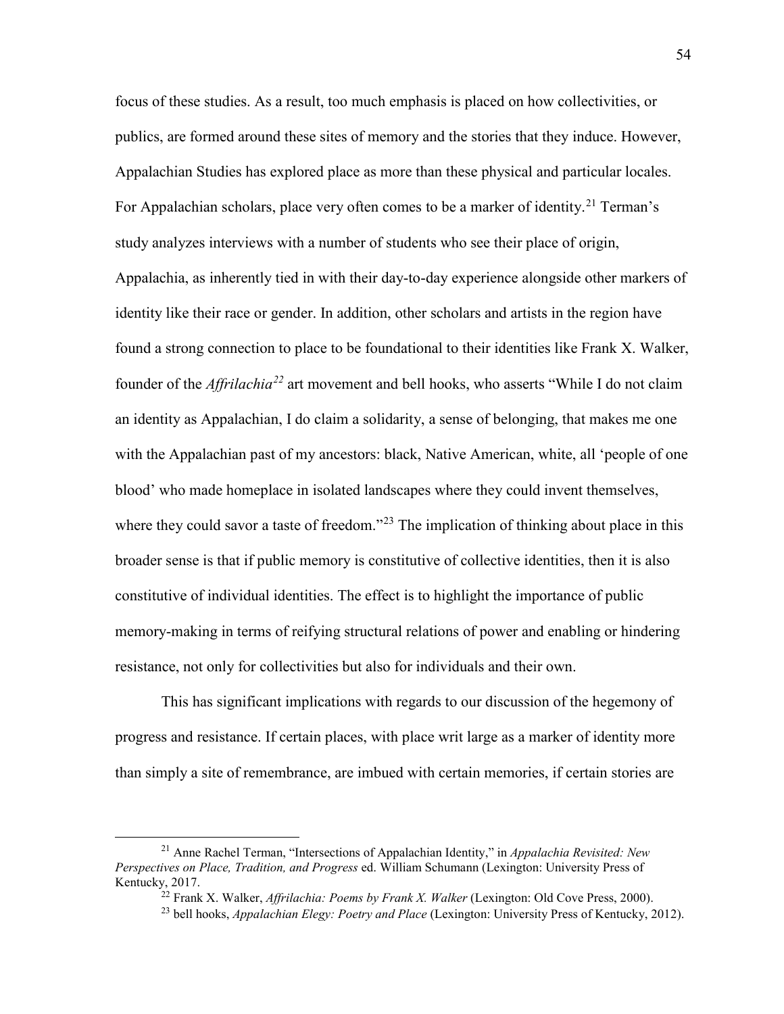focus of these studies. As a result, too much emphasis is placed on how collectivities, or publics, are formed around these sites of memory and the stories that they induce. However, Appalachian Studies has explored place as more than these physical and particular locales. For Appalachian scholars, place very often comes to be a marker of identity.<sup>[21](#page-64-0)</sup> Terman's study analyzes interviews with a number of students who see their place of origin, Appalachia, as inherently tied in with their day-to-day experience alongside other markers of identity like their race or gender. In addition, other scholars and artists in the region have found a strong connection to place to be foundational to their identities like Frank X. Walker, founder of the *Affrilachia[22](#page-64-1)* art movement and bell hooks, who asserts "While I do not claim an identity as Appalachian, I do claim a solidarity, a sense of belonging, that makes me one with the Appalachian past of my ancestors: black, Native American, white, all 'people of one blood' who made homeplace in isolated landscapes where they could invent themselves, where they could savor a taste of freedom."<sup>[23](#page-64-2)</sup> The implication of thinking about place in this broader sense is that if public memory is constitutive of collective identities, then it is also constitutive of individual identities. The effect is to highlight the importance of public memory-making in terms of reifying structural relations of power and enabling or hindering resistance, not only for collectivities but also for individuals and their own.

This has significant implications with regards to our discussion of the hegemony of progress and resistance. If certain places, with place writ large as a marker of identity more than simply a site of remembrance, are imbued with certain memories, if certain stories are

<span id="page-64-2"></span><span id="page-64-1"></span><span id="page-64-0"></span><sup>21</sup> Anne Rachel Terman, "Intersections of Appalachian Identity," in *Appalachia Revisited: New Perspectives on Place, Tradition, and Progress* ed. William Schumann (Lexington: University Press of Kentucky, 2017.

<sup>22</sup> Frank X. Walker, *Affrilachia: Poems by Frank X. Walker* (Lexington: Old Cove Press, 2000).

<sup>23</sup> bell hooks, *Appalachian Elegy: Poetry and Place* (Lexington: University Press of Kentucky, 2012).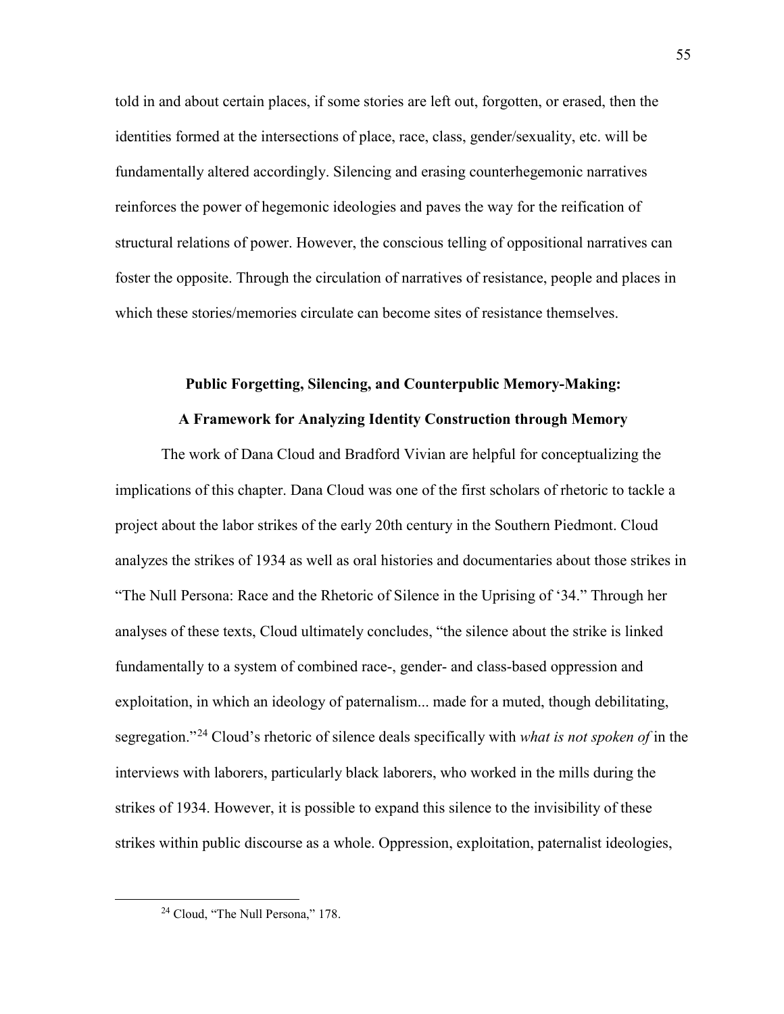told in and about certain places, if some stories are left out, forgotten, or erased, then the identities formed at the intersections of place, race, class, gender/sexuality, etc. will be fundamentally altered accordingly. Silencing and erasing counterhegemonic narratives reinforces the power of hegemonic ideologies and paves the way for the reification of structural relations of power. However, the conscious telling of oppositional narratives can foster the opposite. Through the circulation of narratives of resistance, people and places in which these stories/memories circulate can become sites of resistance themselves.

## **Public Forgetting, Silencing, and Counterpublic Memory-Making:**

## **A Framework for Analyzing Identity Construction through Memory**

The work of Dana Cloud and Bradford Vivian are helpful for conceptualizing the implications of this chapter. Dana Cloud was one of the first scholars of rhetoric to tackle a project about the labor strikes of the early 20th century in the Southern Piedmont. Cloud analyzes the strikes of 1934 as well as oral histories and documentaries about those strikes in "The Null Persona: Race and the Rhetoric of Silence in the Uprising of '34." Through her analyses of these texts, Cloud ultimately concludes, "the silence about the strike is linked fundamentally to a system of combined race-, gender- and class-based oppression and exploitation, in which an ideology of paternalism... made for a muted, though debilitating, segregation."[24](#page-65-0) Cloud's rhetoric of silence deals specifically with *what is not spoken of* in the interviews with laborers, particularly black laborers, who worked in the mills during the strikes of 1934. However, it is possible to expand this silence to the invisibility of these strikes within public discourse as a whole. Oppression, exploitation, paternalist ideologies,

<span id="page-65-0"></span><sup>&</sup>lt;sup>24</sup> Cloud, "The Null Persona," 178.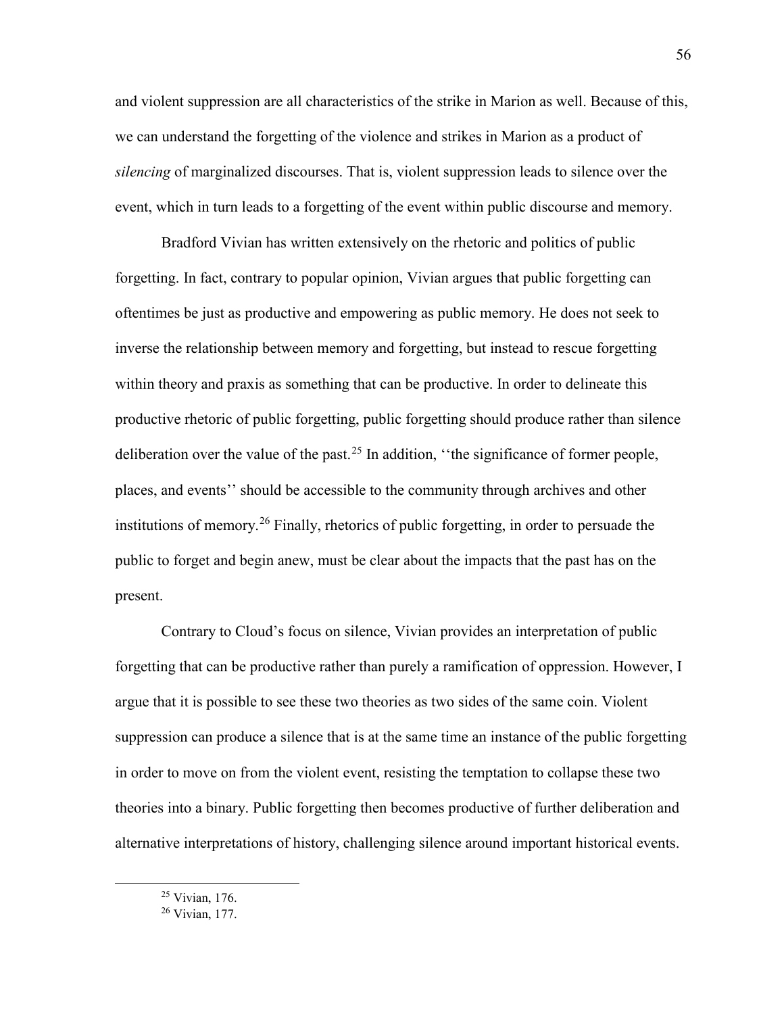and violent suppression are all characteristics of the strike in Marion as well. Because of this, we can understand the forgetting of the violence and strikes in Marion as a product of *silencing* of marginalized discourses. That is, violent suppression leads to silence over the event, which in turn leads to a forgetting of the event within public discourse and memory.

Bradford Vivian has written extensively on the rhetoric and politics of public forgetting. In fact, contrary to popular opinion, Vivian argues that public forgetting can oftentimes be just as productive and empowering as public memory. He does not seek to inverse the relationship between memory and forgetting, but instead to rescue forgetting within theory and praxis as something that can be productive. In order to delineate this productive rhetoric of public forgetting, public forgetting should produce rather than silence deliberation over the value of the past.<sup>[25](#page-66-0)</sup> In addition, "the significance of former people, places, and events'' should be accessible to the community through archives and other institutions of memory.[26](#page-66-1) Finally, rhetorics of public forgetting, in order to persuade the public to forget and begin anew, must be clear about the impacts that the past has on the present.

Contrary to Cloud's focus on silence, Vivian provides an interpretation of public forgetting that can be productive rather than purely a ramification of oppression. However, I argue that it is possible to see these two theories as two sides of the same coin. Violent suppression can produce a silence that is at the same time an instance of the public forgetting in order to move on from the violent event, resisting the temptation to collapse these two theories into a binary. Public forgetting then becomes productive of further deliberation and alternative interpretations of history, challenging silence around important historical events.

<span id="page-66-0"></span><sup>25</sup> Vivian, 176.

<span id="page-66-1"></span><sup>26</sup> Vivian, 177.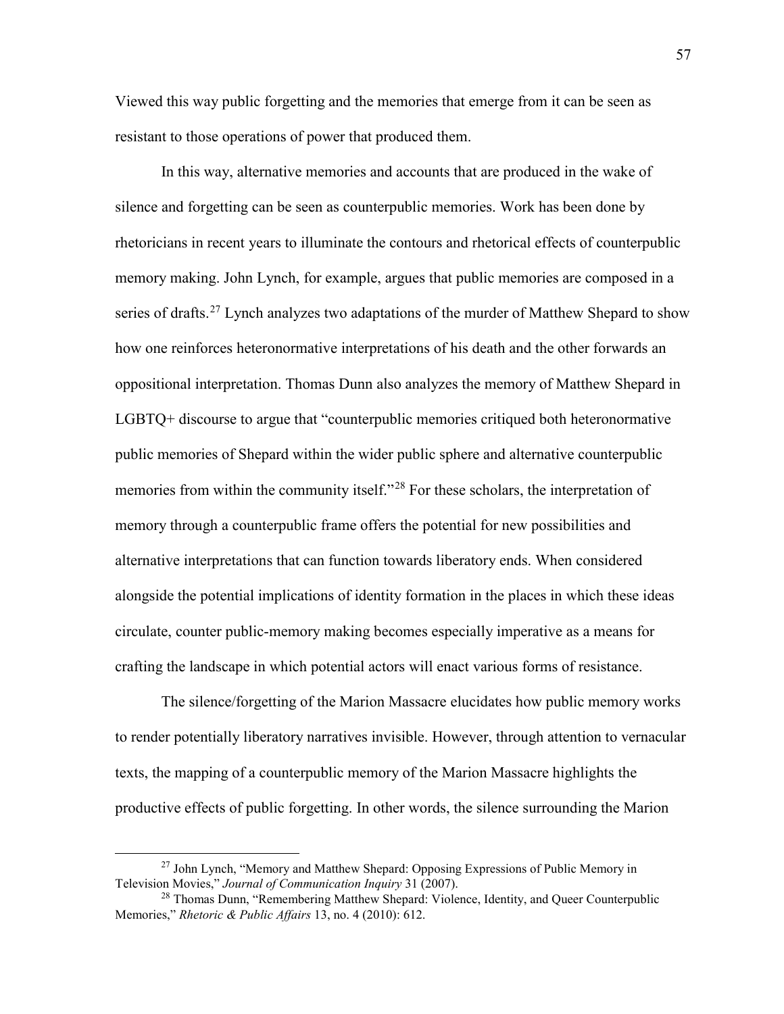Viewed this way public forgetting and the memories that emerge from it can be seen as resistant to those operations of power that produced them.

In this way, alternative memories and accounts that are produced in the wake of silence and forgetting can be seen as counterpublic memories. Work has been done by rhetoricians in recent years to illuminate the contours and rhetorical effects of counterpublic memory making. John Lynch, for example, argues that public memories are composed in a series of drafts.<sup>[27](#page-67-0)</sup> Lynch analyzes two adaptations of the murder of Matthew Shepard to show how one reinforces heteronormative interpretations of his death and the other forwards an oppositional interpretation. Thomas Dunn also analyzes the memory of Matthew Shepard in LGBTQ+ discourse to argue that "counterpublic memories critiqued both heteronormative public memories of Shepard within the wider public sphere and alternative counterpublic memories from within the community itself."<sup>[28](#page-67-1)</sup> For these scholars, the interpretation of memory through a counterpublic frame offers the potential for new possibilities and alternative interpretations that can function towards liberatory ends. When considered alongside the potential implications of identity formation in the places in which these ideas circulate, counter public-memory making becomes especially imperative as a means for crafting the landscape in which potential actors will enact various forms of resistance.

The silence/forgetting of the Marion Massacre elucidates how public memory works to render potentially liberatory narratives invisible. However, through attention to vernacular texts, the mapping of a counterpublic memory of the Marion Massacre highlights the productive effects of public forgetting. In other words, the silence surrounding the Marion

<span id="page-67-0"></span><sup>&</sup>lt;sup>27</sup> John Lynch, "Memory and Matthew Shepard: Opposing Expressions of Public Memory in Television Movies," *Journal of Communication Inquiry* 31 (2007).

<span id="page-67-1"></span><sup>&</sup>lt;sup>28</sup> Thomas Dunn, "Remembering Matthew Shepard: Violence, Identity, and Queer Counterpublic Memories," *Rhetoric & Public Affairs* 13, no. 4 (2010): 612.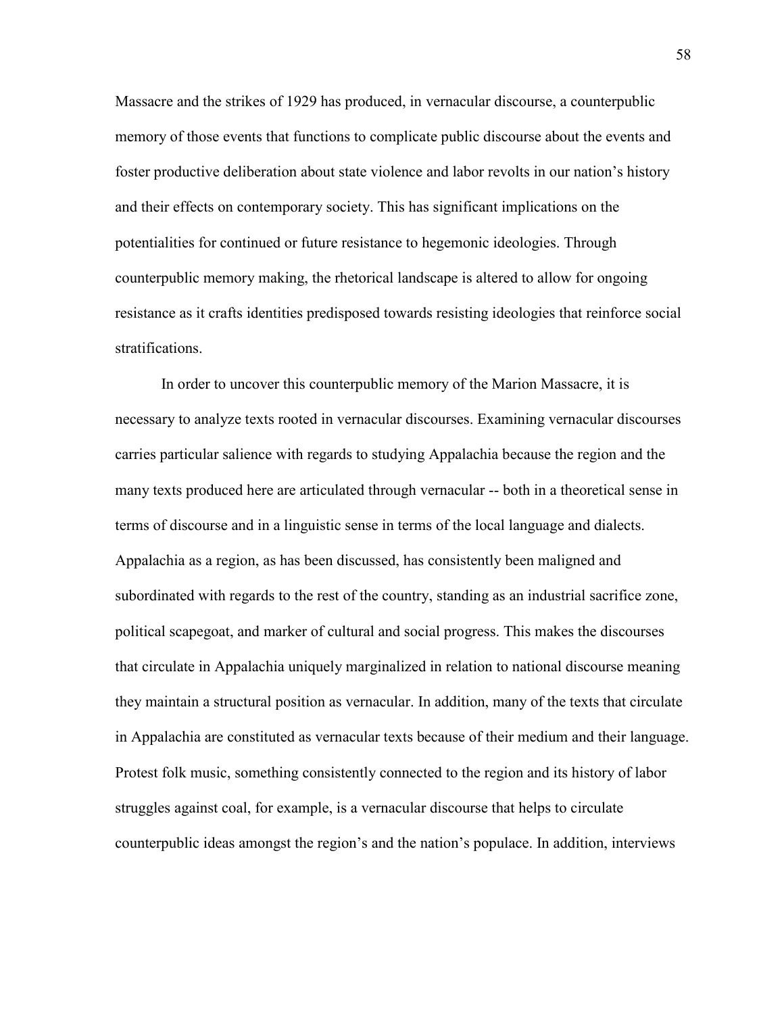Massacre and the strikes of 1929 has produced, in vernacular discourse, a counterpublic memory of those events that functions to complicate public discourse about the events and foster productive deliberation about state violence and labor revolts in our nation's history and their effects on contemporary society. This has significant implications on the potentialities for continued or future resistance to hegemonic ideologies. Through counterpublic memory making, the rhetorical landscape is altered to allow for ongoing resistance as it crafts identities predisposed towards resisting ideologies that reinforce social stratifications.

In order to uncover this counterpublic memory of the Marion Massacre, it is necessary to analyze texts rooted in vernacular discourses. Examining vernacular discourses carries particular salience with regards to studying Appalachia because the region and the many texts produced here are articulated through vernacular -- both in a theoretical sense in terms of discourse and in a linguistic sense in terms of the local language and dialects. Appalachia as a region, as has been discussed, has consistently been maligned and subordinated with regards to the rest of the country, standing as an industrial sacrifice zone, political scapegoat, and marker of cultural and social progress. This makes the discourses that circulate in Appalachia uniquely marginalized in relation to national discourse meaning they maintain a structural position as vernacular. In addition, many of the texts that circulate in Appalachia are constituted as vernacular texts because of their medium and their language. Protest folk music, something consistently connected to the region and its history of labor struggles against coal, for example, is a vernacular discourse that helps to circulate counterpublic ideas amongst the region's and the nation's populace. In addition, interviews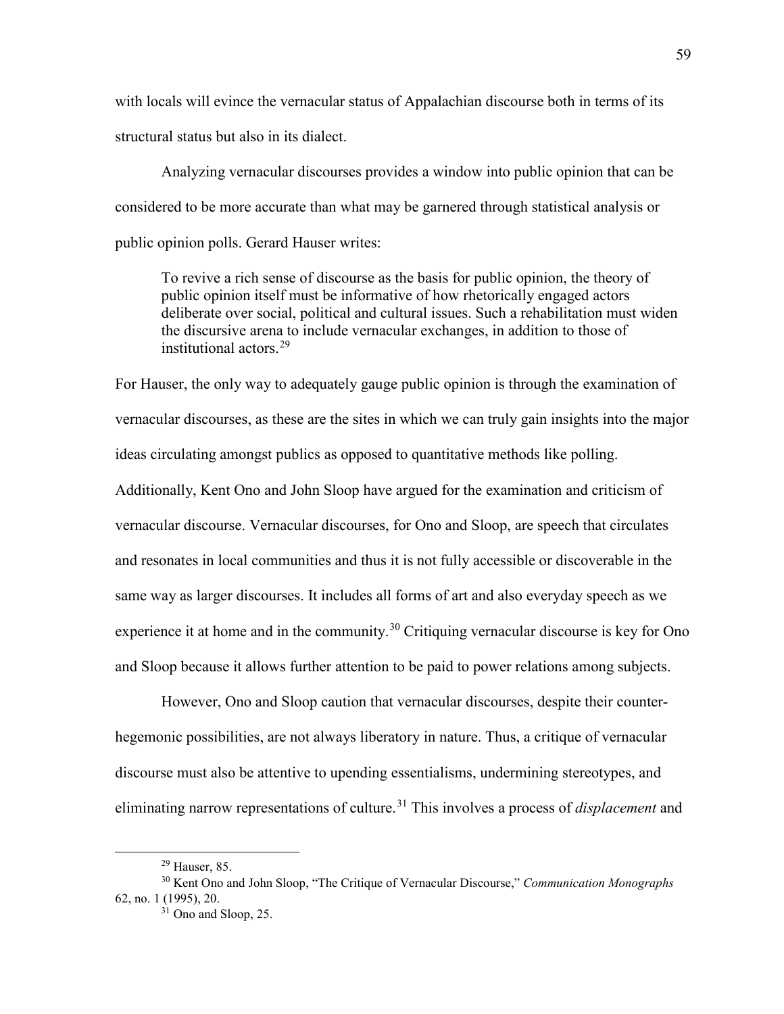with locals will evince the vernacular status of Appalachian discourse both in terms of its structural status but also in its dialect.

Analyzing vernacular discourses provides a window into public opinion that can be considered to be more accurate than what may be garnered through statistical analysis or public opinion polls. Gerard Hauser writes:

To revive a rich sense of discourse as the basis for public opinion, the theory of public opinion itself must be informative of how rhetorically engaged actors deliberate over social, political and cultural issues. Such a rehabilitation must widen the discursive arena to include vernacular exchanges, in addition to those of institutional actors.[29](#page-69-0)

For Hauser, the only way to adequately gauge public opinion is through the examination of vernacular discourses, as these are the sites in which we can truly gain insights into the major ideas circulating amongst publics as opposed to quantitative methods like polling. Additionally, Kent Ono and John Sloop have argued for the examination and criticism of vernacular discourse. Vernacular discourses, for Ono and Sloop, are speech that circulates and resonates in local communities and thus it is not fully accessible or discoverable in the same way as larger discourses. It includes all forms of art and also everyday speech as we experience it at home and in the community.<sup>[30](#page-69-1)</sup> Critiquing vernacular discourse is key for Ono and Sloop because it allows further attention to be paid to power relations among subjects.

However, Ono and Sloop caution that vernacular discourses, despite their counterhegemonic possibilities, are not always liberatory in nature. Thus, a critique of vernacular discourse must also be attentive to upending essentialisms, undermining stereotypes, and eliminating narrow representations of culture.<sup>[31](#page-69-2)</sup> This involves a process of *displacement* and

 $29$  Hauser, 85.

<span id="page-69-2"></span><span id="page-69-1"></span><span id="page-69-0"></span><sup>30</sup> Kent Ono and John Sloop, "The Critique of Vernacular Discourse," *Communication Monographs*  62, no. 1 (1995), 20.

<sup>&</sup>lt;sup>31</sup> Ono and Sloop, 25.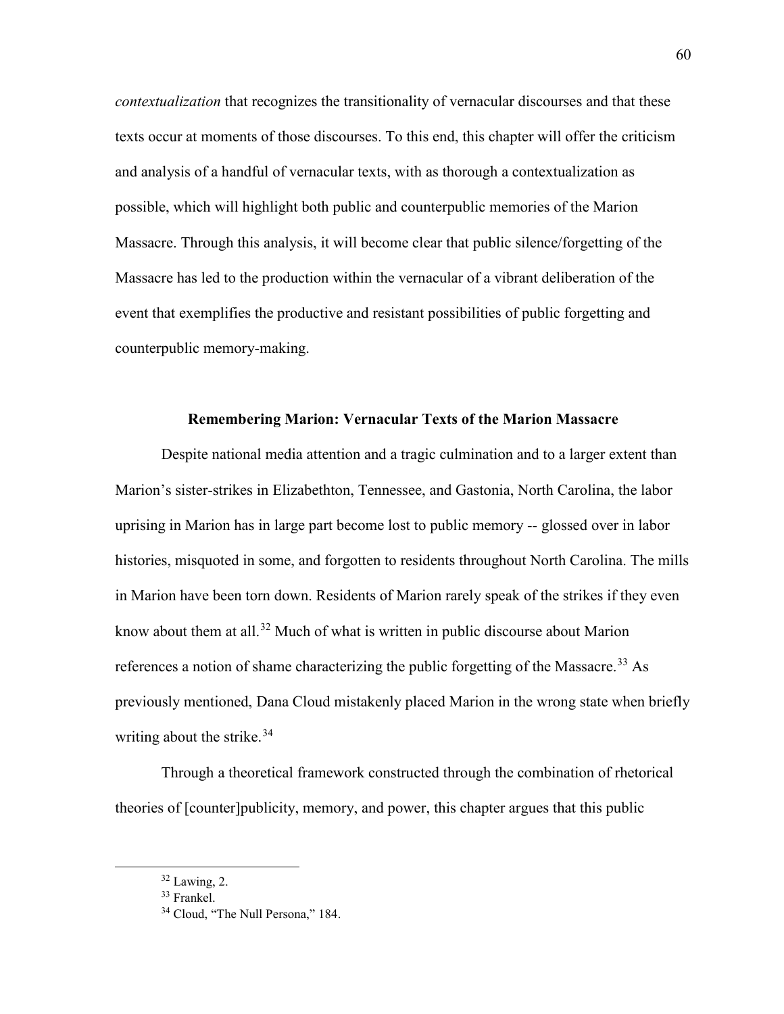*contextualization* that recognizes the transitionality of vernacular discourses and that these texts occur at moments of those discourses. To this end, this chapter will offer the criticism and analysis of a handful of vernacular texts, with as thorough a contextualization as possible, which will highlight both public and counterpublic memories of the Marion Massacre. Through this analysis, it will become clear that public silence/forgetting of the Massacre has led to the production within the vernacular of a vibrant deliberation of the event that exemplifies the productive and resistant possibilities of public forgetting and counterpublic memory-making.

## **Remembering Marion: Vernacular Texts of the Marion Massacre**

Despite national media attention and a tragic culmination and to a larger extent than Marion's sister-strikes in Elizabethton, Tennessee, and Gastonia, North Carolina, the labor uprising in Marion has in large part become lost to public memory -- glossed over in labor histories, misquoted in some, and forgotten to residents throughout North Carolina. The mills in Marion have been torn down. Residents of Marion rarely speak of the strikes if they even know about them at all.<sup>[32](#page-70-0)</sup> Much of what is written in public discourse about Marion references a notion of shame characterizing the public forgetting of the Massacre.<sup>[33](#page-70-1)</sup> As previously mentioned, Dana Cloud mistakenly placed Marion in the wrong state when briefly writing about the strike.<sup>[34](#page-70-2)</sup>

<span id="page-70-0"></span>Through a theoretical framework constructed through the combination of rhetorical theories of [counter]publicity, memory, and power, this chapter argues that this public

<span id="page-70-1"></span> $32$  Lawing, 2.

<sup>33</sup> Frankel.

<span id="page-70-2"></span><sup>&</sup>lt;sup>34</sup> Cloud, "The Null Persona," 184.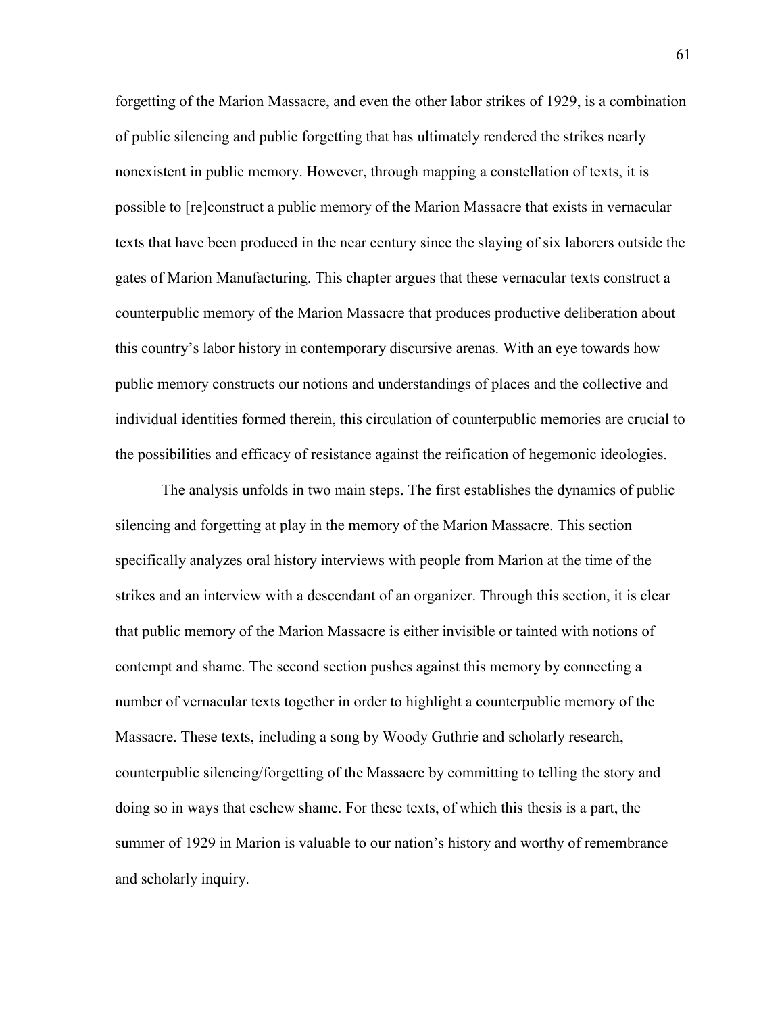forgetting of the Marion Massacre, and even the other labor strikes of 1929, is a combination of public silencing and public forgetting that has ultimately rendered the strikes nearly nonexistent in public memory. However, through mapping a constellation of texts, it is possible to [re]construct a public memory of the Marion Massacre that exists in vernacular texts that have been produced in the near century since the slaying of six laborers outside the gates of Marion Manufacturing. This chapter argues that these vernacular texts construct a counterpublic memory of the Marion Massacre that produces productive deliberation about this country's labor history in contemporary discursive arenas. With an eye towards how public memory constructs our notions and understandings of places and the collective and individual identities formed therein, this circulation of counterpublic memories are crucial to the possibilities and efficacy of resistance against the reification of hegemonic ideologies.

The analysis unfolds in two main steps. The first establishes the dynamics of public silencing and forgetting at play in the memory of the Marion Massacre. This section specifically analyzes oral history interviews with people from Marion at the time of the strikes and an interview with a descendant of an organizer. Through this section, it is clear that public memory of the Marion Massacre is either invisible or tainted with notions of contempt and shame. The second section pushes against this memory by connecting a number of vernacular texts together in order to highlight a counterpublic memory of the Massacre. These texts, including a song by Woody Guthrie and scholarly research, counterpublic silencing/forgetting of the Massacre by committing to telling the story and doing so in ways that eschew shame. For these texts, of which this thesis is a part, the summer of 1929 in Marion is valuable to our nation's history and worthy of remembrance and scholarly inquiry.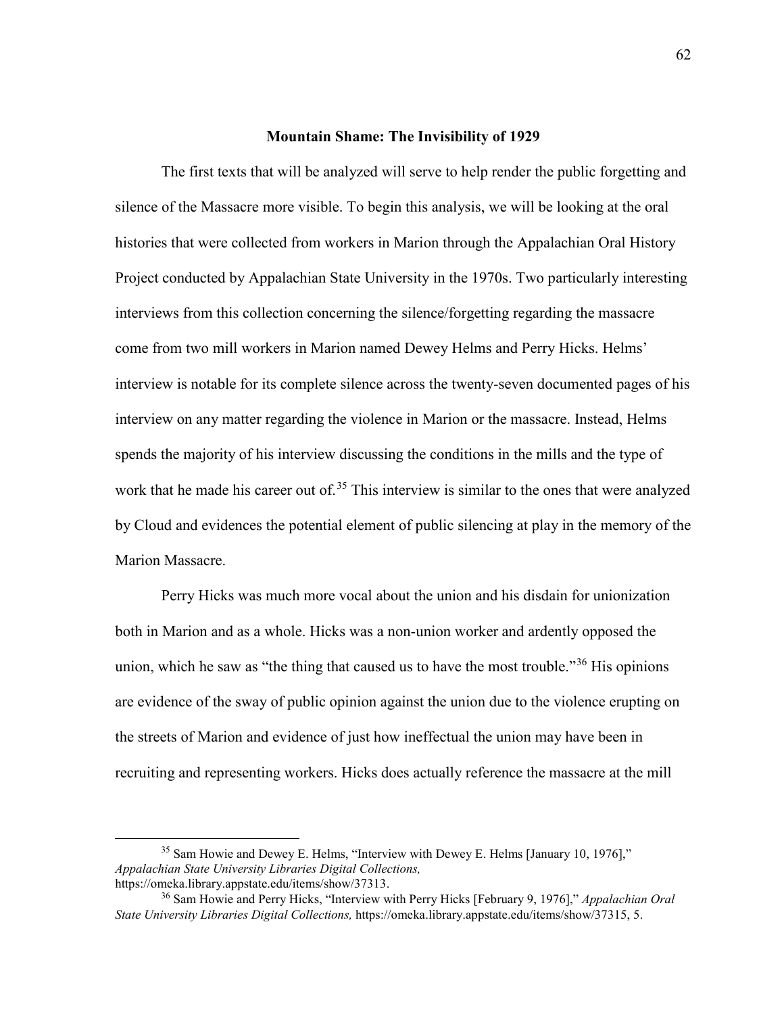#### **Mountain Shame: The Invisibility of 1929**

The first texts that will be analyzed will serve to help render the public forgetting and silence of the Massacre more visible. To begin this analysis, we will be looking at the oral histories that were collected from workers in Marion through the Appalachian Oral History Project conducted by Appalachian State University in the 1970s. Two particularly interesting interviews from this collection concerning the silence/forgetting regarding the massacre come from two mill workers in Marion named Dewey Helms and Perry Hicks. Helms' interview is notable for its complete silence across the twenty-seven documented pages of his interview on any matter regarding the violence in Marion or the massacre. Instead, Helms spends the majority of his interview discussing the conditions in the mills and the type of work that he made his career out of.<sup>[35](#page-72-0)</sup> This interview is similar to the ones that were analyzed by Cloud and evidences the potential element of public silencing at play in the memory of the Marion Massacre.

Perry Hicks was much more vocal about the union and his disdain for unionization both in Marion and as a whole. Hicks was a non-union worker and ardently opposed the union, which he saw as "the thing that caused us to have the most trouble."<sup>[36](#page-72-1)</sup> His opinions are evidence of the sway of public opinion against the union due to the violence erupting on the streets of Marion and evidence of just how ineffectual the union may have been in recruiting and representing workers. Hicks does actually reference the massacre at the mill

<span id="page-72-0"></span><sup>&</sup>lt;sup>35</sup> Sam Howie and Dewey E. Helms, "Interview with Dewey E. Helms [January 10, 1976]," *Appalachian State University Libraries Digital Collections,*  https://omeka.library.appstate.edu/items/show/37313.

<span id="page-72-1"></span><sup>36</sup> Sam Howie and Perry Hicks, "Interview with Perry Hicks [February 9, 1976]," *Appalachian Oral State University Libraries Digital Collections,* https://omeka.library.appstate.edu/items/show/37315, 5.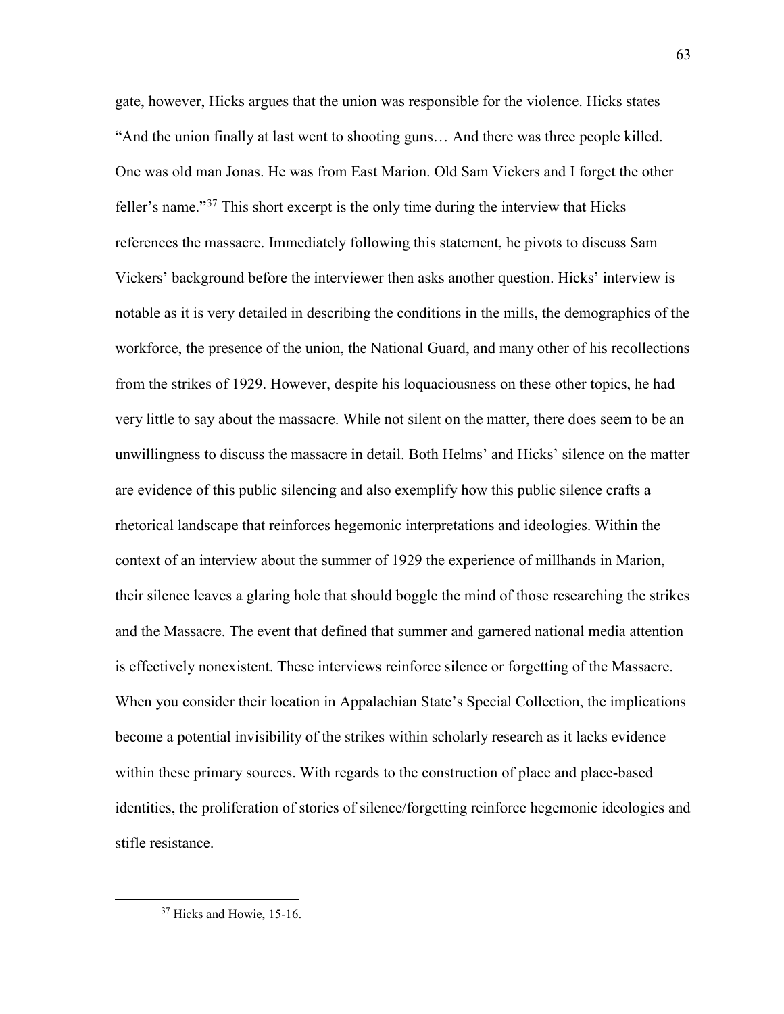gate, however, Hicks argues that the union was responsible for the violence. Hicks states "And the union finally at last went to shooting guns… And there was three people killed. One was old man Jonas. He was from East Marion. Old Sam Vickers and I forget the other feller's name."[37](#page-73-0) This short excerpt is the only time during the interview that Hicks references the massacre. Immediately following this statement, he pivots to discuss Sam Vickers' background before the interviewer then asks another question. Hicks' interview is notable as it is very detailed in describing the conditions in the mills, the demographics of the workforce, the presence of the union, the National Guard, and many other of his recollections from the strikes of 1929. However, despite his loquaciousness on these other topics, he had very little to say about the massacre. While not silent on the matter, there does seem to be an unwillingness to discuss the massacre in detail. Both Helms' and Hicks' silence on the matter are evidence of this public silencing and also exemplify how this public silence crafts a rhetorical landscape that reinforces hegemonic interpretations and ideologies. Within the context of an interview about the summer of 1929 the experience of millhands in Marion, their silence leaves a glaring hole that should boggle the mind of those researching the strikes and the Massacre. The event that defined that summer and garnered national media attention is effectively nonexistent. These interviews reinforce silence or forgetting of the Massacre. When you consider their location in Appalachian State's Special Collection, the implications become a potential invisibility of the strikes within scholarly research as it lacks evidence within these primary sources. With regards to the construction of place and place-based identities, the proliferation of stories of silence/forgetting reinforce hegemonic ideologies and stifle resistance.

<span id="page-73-0"></span><sup>&</sup>lt;sup>37</sup> Hicks and Howie, 15-16.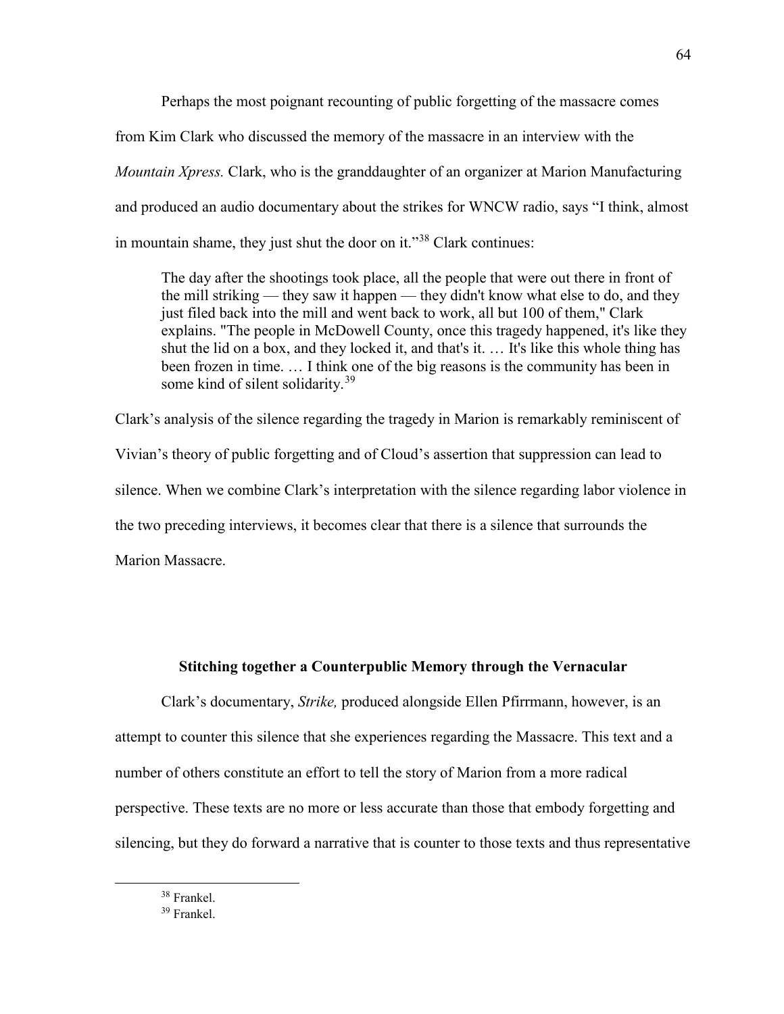Perhaps the most poignant recounting of public forgetting of the massacre comes from Kim Clark who discussed the memory of the massacre in an interview with the *Mountain Xpress.* Clark, who is the granddaughter of an organizer at Marion Manufacturing and produced an audio documentary about the strikes for WNCW radio, says "I think, almost in mountain shame, they just shut the door on it."<sup>[38](#page-74-0)</sup> Clark continues:

The day after the shootings took place, all the people that were out there in front of the mill striking — they saw it happen — they didn't know what else to do, and they just filed back into the mill and went back to work, all but 100 of them," Clark explains. "The people in McDowell County, once this tragedy happened, it's like they shut the lid on a box, and they locked it, and that's it. … It's like this whole thing has been frozen in time. … I think one of the big reasons is the community has been in some kind of silent solidarity.<sup>[39](#page-74-1)</sup>

Clark's analysis of the silence regarding the tragedy in Marion is remarkably reminiscent of Vivian's theory of public forgetting and of Cloud's assertion that suppression can lead to silence. When we combine Clark's interpretation with the silence regarding labor violence in the two preceding interviews, it becomes clear that there is a silence that surrounds the Marion Massacre.

# **Stitching together a Counterpublic Memory through the Vernacular**

Clark's documentary, *Strike,* produced alongside Ellen Pfirrmann, however, is an attempt to counter this silence that she experiences regarding the Massacre. This text and a number of others constitute an effort to tell the story of Marion from a more radical perspective. These texts are no more or less accurate than those that embody forgetting and silencing, but they do forward a narrative that is counter to those texts and thus representative

<span id="page-74-1"></span><span id="page-74-0"></span> $\ddot{\phantom{a}}$ 

<sup>38</sup> Frankel.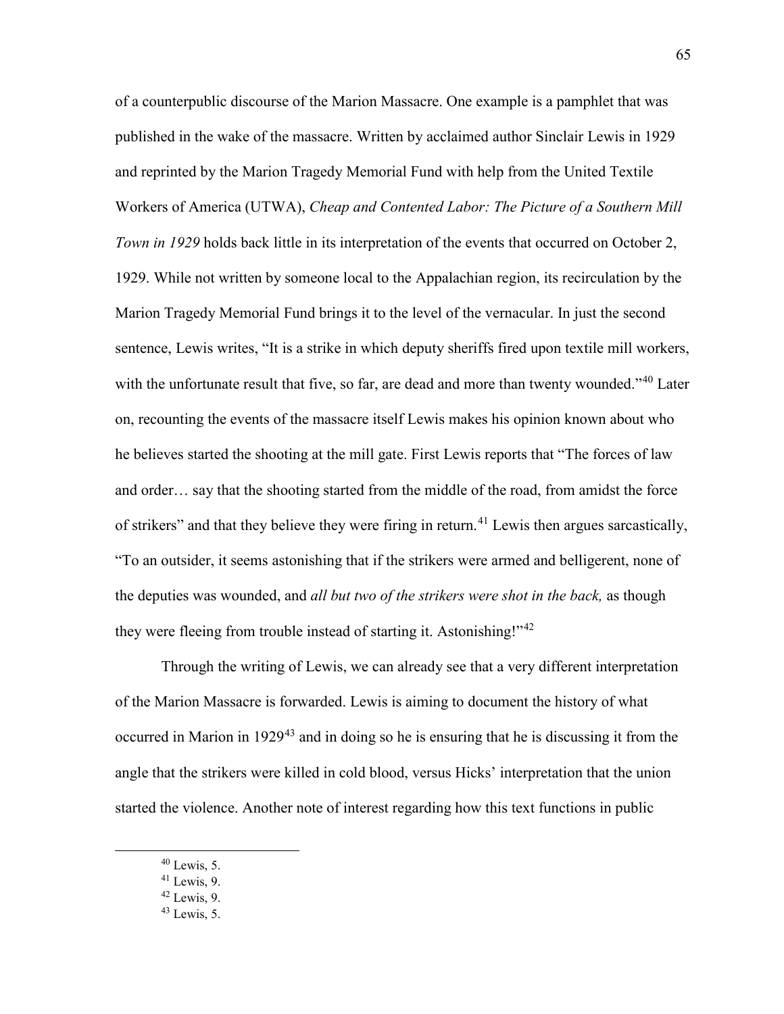of a counterpublic discourse of the Marion Massacre. One example is a pamphlet that was published in the wake of the massacre. Written by acclaimed author Sinclair Lewis in 1929 and reprinted by the Marion Tragedy Memorial Fund with help from the United Textile Workers of America (UTWA), *Cheap and Contented Labor: The Picture of a Southern Mill Town in 1929* holds back little in its interpretation of the events that occurred on October 2, 1929. While not written by someone local to the Appalachian region, its recirculation by the Marion Tragedy Memorial Fund brings it to the level of the vernacular. In just the second sentence, Lewis writes, "It is a strike in which deputy sheriffs fired upon textile mill workers, with the unfortunate result that five, so far, are dead and more than twenty wounded."<sup>[40](#page-75-0)</sup> Later on, recounting the events of the massacre itself Lewis makes his opinion known about who he believes started the shooting at the mill gate. First Lewis reports that "The forces of law and order… say that the shooting started from the middle of the road, from amidst the force of strikers" and that they believe they were firing in return.<sup>[41](#page-75-1)</sup> Lewis then argues sarcastically, "To an outsider, it seems astonishing that if the strikers were armed and belligerent, none of the deputies was wounded, and *all but two of the strikers were shot in the back,* as though they were fleeing from trouble instead of starting it. Astonishing!"<sup>[42](#page-75-2)</sup>

Through the writing of Lewis, we can already see that a very different interpretation of the Marion Massacre is forwarded. Lewis is aiming to document the history of what occurred in Marion in 1929<sup>[43](#page-75-3)</sup> and in doing so he is ensuring that he is discussing it from the angle that the strikers were killed in cold blood, versus Hicks' interpretation that the union started the violence. Another note of interest regarding how this text functions in public

<span id="page-75-0"></span> $40$  Lewis, 5.

<span id="page-75-1"></span><sup>41</sup> Lewis, 9.

<span id="page-75-3"></span><span id="page-75-2"></span> $42$  Lewis, 9.

 $43$  Lewis, 5.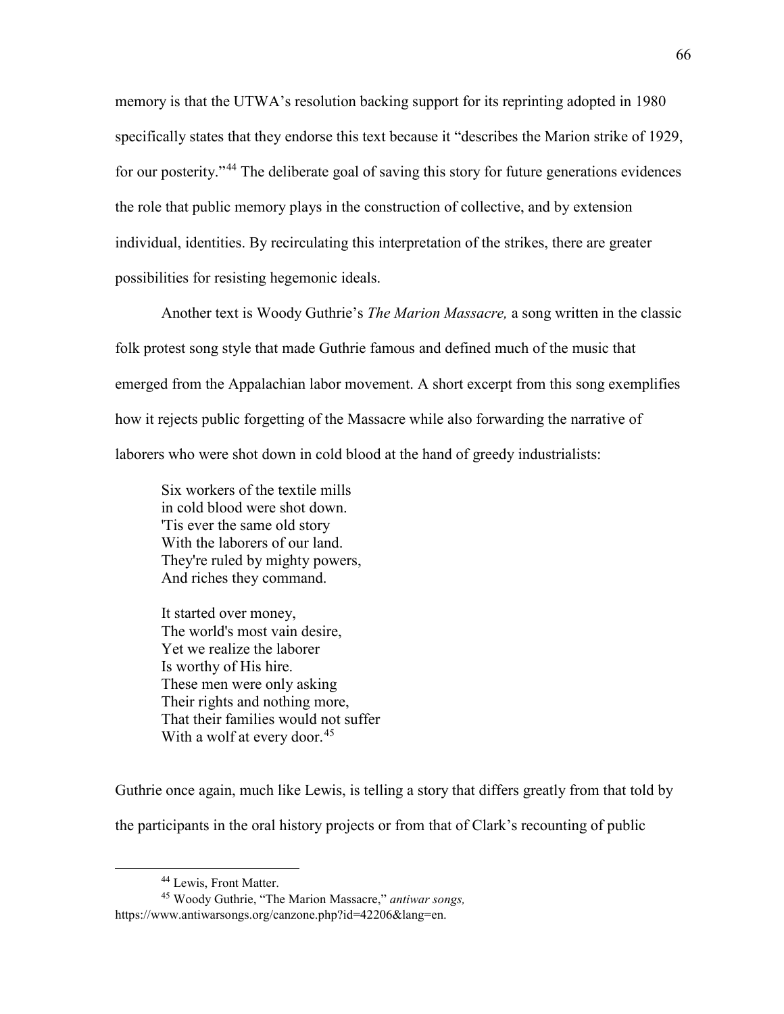memory is that the UTWA's resolution backing support for its reprinting adopted in 1980 specifically states that they endorse this text because it "describes the Marion strike of 1929, for our posterity."[44](#page-76-0) The deliberate goal of saving this story for future generations evidences the role that public memory plays in the construction of collective, and by extension individual, identities. By recirculating this interpretation of the strikes, there are greater possibilities for resisting hegemonic ideals.

Another text is Woody Guthrie's *The Marion Massacre,* a song written in the classic folk protest song style that made Guthrie famous and defined much of the music that emerged from the Appalachian labor movement. A short excerpt from this song exemplifies how it rejects public forgetting of the Massacre while also forwarding the narrative of laborers who were shot down in cold blood at the hand of greedy industrialists:

Six workers of the textile mills in cold blood were shot down. 'Tis ever the same old story With the laborers of our land. They're ruled by mighty powers, And riches they command.

It started over money, The world's most vain desire, Yet we realize the laborer Is worthy of His hire. These men were only asking Their rights and nothing more, That their families would not suffer With a wolf at every door.<sup>[45](#page-76-1)</sup>

Guthrie once again, much like Lewis, is telling a story that differs greatly from that told by the participants in the oral history projects or from that of Clark's recounting of public

 $\ddot{\phantom{a}}$ 

<sup>44</sup> Lewis, Front Matter.

<span id="page-76-1"></span><span id="page-76-0"></span><sup>45</sup> Woody Guthrie, "The Marion Massacre," *antiwar songs,*  https://www.antiwarsongs.org/canzone.php?id=42206&lang=en.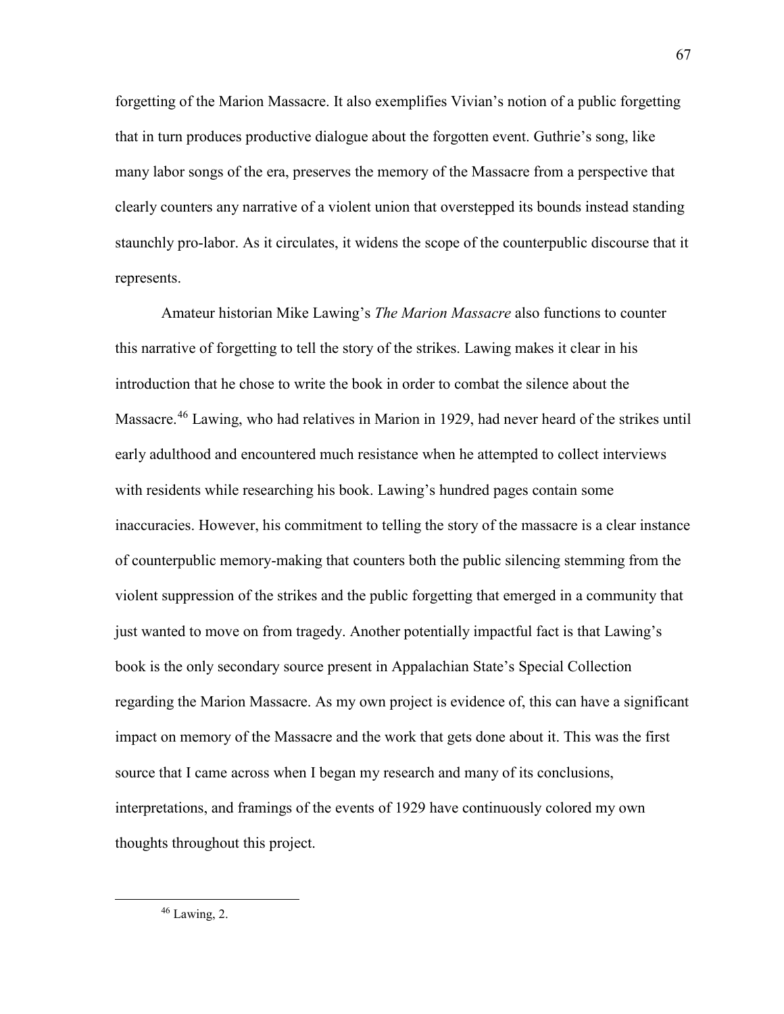forgetting of the Marion Massacre. It also exemplifies Vivian's notion of a public forgetting that in turn produces productive dialogue about the forgotten event. Guthrie's song, like many labor songs of the era, preserves the memory of the Massacre from a perspective that clearly counters any narrative of a violent union that overstepped its bounds instead standing staunchly pro-labor. As it circulates, it widens the scope of the counterpublic discourse that it represents.

Amateur historian Mike Lawing's *The Marion Massacre* also functions to counter this narrative of forgetting to tell the story of the strikes. Lawing makes it clear in his introduction that he chose to write the book in order to combat the silence about the Massacre.<sup>[46](#page-77-0)</sup> Lawing, who had relatives in Marion in 1929, had never heard of the strikes until early adulthood and encountered much resistance when he attempted to collect interviews with residents while researching his book. Lawing's hundred pages contain some inaccuracies. However, his commitment to telling the story of the massacre is a clear instance of counterpublic memory-making that counters both the public silencing stemming from the violent suppression of the strikes and the public forgetting that emerged in a community that just wanted to move on from tragedy. Another potentially impactful fact is that Lawing's book is the only secondary source present in Appalachian State's Special Collection regarding the Marion Massacre. As my own project is evidence of, this can have a significant impact on memory of the Massacre and the work that gets done about it. This was the first source that I came across when I began my research and many of its conclusions, interpretations, and framings of the events of 1929 have continuously colored my own thoughts throughout this project.

<span id="page-77-0"></span><sup>46</sup> Lawing, 2.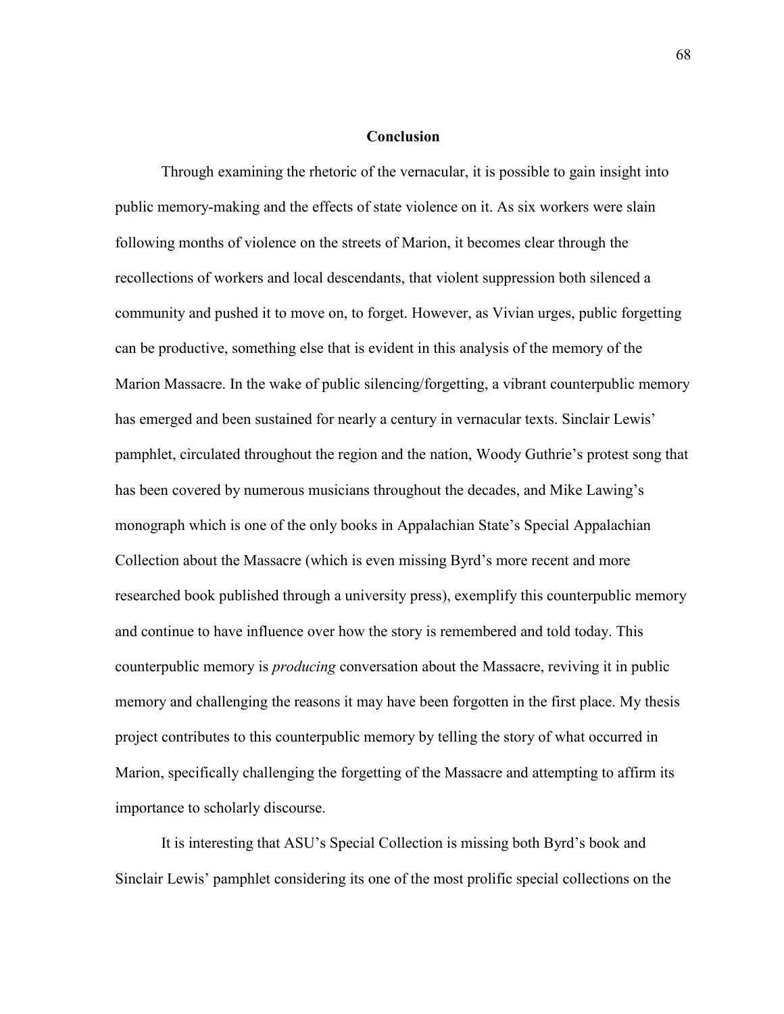#### **Conclusion**

Through examining the rhetoric of the vernacular, it is possible to gain insight into public memory-making and the effects of state violence on it. As six workers were slain following months of violence on the streets of Marion, it becomes clear through the recollections of workers and local descendants, that violent suppression both silenced a community and pushed it to move on, to forget. However, as Vivian urges, public forgetting can be productive, something else that is evident in this analysis of the memory of the Marion Massacre. In the wake of public silencing/forgetting, a vibrant counterpublic memory has emerged and been sustained for nearly a century in vernacular texts. Sinclair Lewis' pamphlet, circulated throughout the region and the nation, Woody Guthrie's protest song that has been covered by numerous musicians throughout the decades, and Mike Lawing's monograph which is one of the only books in Appalachian State's Special Appalachian Collection about the Massacre (which is even missing Byrd's more recent and more researched book published through a university press), exemplify this counterpublic memory and continue to have influence over how the story is remembered and told today. This counterpublic memory is *producing* conversation about the Massacre, reviving it in public memory and challenging the reasons it may have been forgotten in the first place. My thesis project contributes to this counterpublic memory by telling the story of what occurred in Marion, specifically challenging the forgetting of the Massacre and attempting to affirm its importance to scholarly discourse.

It is interesting that ASU's Special Collection is missing both Byrd's book and Sinclair Lewis' pamphlet considering its one of the most prolific special collections on the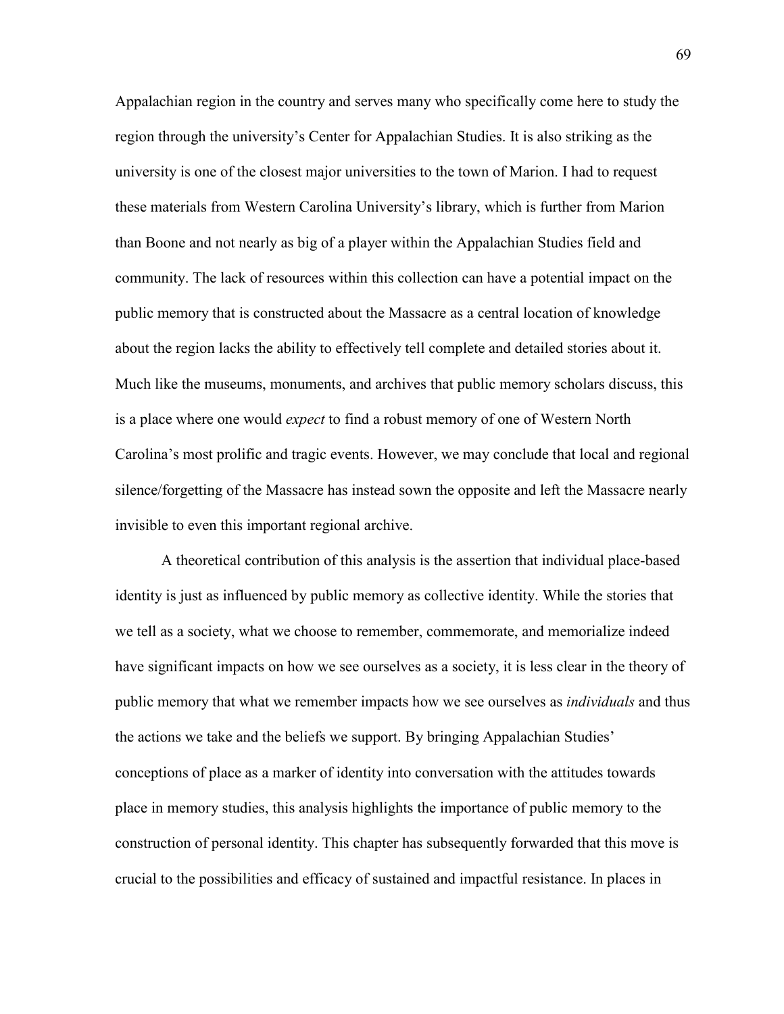Appalachian region in the country and serves many who specifically come here to study the region through the university's Center for Appalachian Studies. It is also striking as the university is one of the closest major universities to the town of Marion. I had to request these materials from Western Carolina University's library, which is further from Marion than Boone and not nearly as big of a player within the Appalachian Studies field and community. The lack of resources within this collection can have a potential impact on the public memory that is constructed about the Massacre as a central location of knowledge about the region lacks the ability to effectively tell complete and detailed stories about it. Much like the museums, monuments, and archives that public memory scholars discuss, this is a place where one would *expect* to find a robust memory of one of Western North Carolina's most prolific and tragic events. However, we may conclude that local and regional silence/forgetting of the Massacre has instead sown the opposite and left the Massacre nearly invisible to even this important regional archive.

A theoretical contribution of this analysis is the assertion that individual place-based identity is just as influenced by public memory as collective identity. While the stories that we tell as a society, what we choose to remember, commemorate, and memorialize indeed have significant impacts on how we see ourselves as a society, it is less clear in the theory of public memory that what we remember impacts how we see ourselves as *individuals* and thus the actions we take and the beliefs we support. By bringing Appalachian Studies' conceptions of place as a marker of identity into conversation with the attitudes towards place in memory studies, this analysis highlights the importance of public memory to the construction of personal identity. This chapter has subsequently forwarded that this move is crucial to the possibilities and efficacy of sustained and impactful resistance. In places in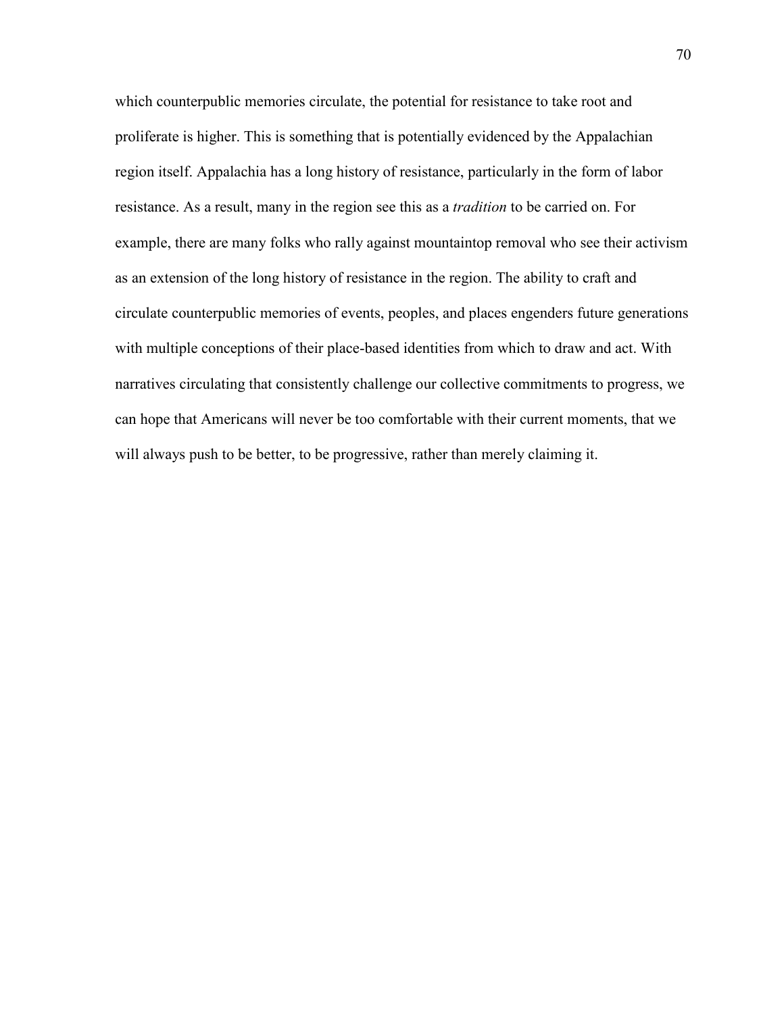which counterpublic memories circulate, the potential for resistance to take root and proliferate is higher. This is something that is potentially evidenced by the Appalachian region itself. Appalachia has a long history of resistance, particularly in the form of labor resistance. As a result, many in the region see this as a *tradition* to be carried on. For example, there are many folks who rally against mountaintop removal who see their activism as an extension of the long history of resistance in the region. The ability to craft and circulate counterpublic memories of events, peoples, and places engenders future generations with multiple conceptions of their place-based identities from which to draw and act. With narratives circulating that consistently challenge our collective commitments to progress, we can hope that Americans will never be too comfortable with their current moments, that we will always push to be better, to be progressive, rather than merely claiming it.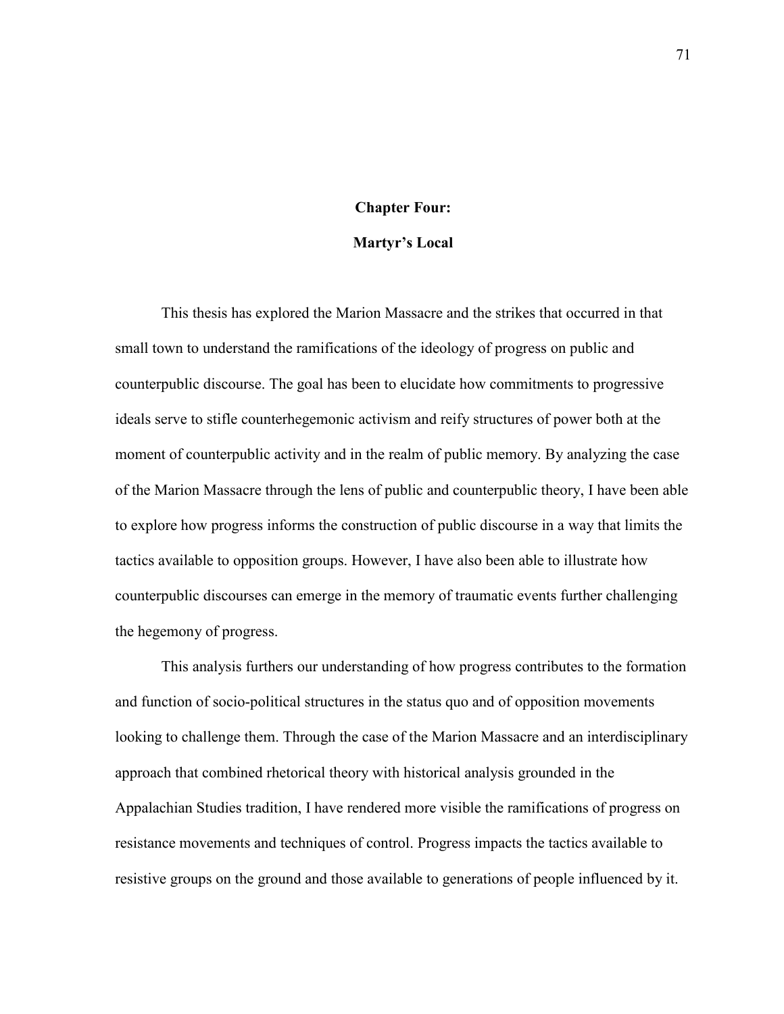# **Chapter Four:**

#### **Martyr's Local**

This thesis has explored the Marion Massacre and the strikes that occurred in that small town to understand the ramifications of the ideology of progress on public and counterpublic discourse. The goal has been to elucidate how commitments to progressive ideals serve to stifle counterhegemonic activism and reify structures of power both at the moment of counterpublic activity and in the realm of public memory. By analyzing the case of the Marion Massacre through the lens of public and counterpublic theory, I have been able to explore how progress informs the construction of public discourse in a way that limits the tactics available to opposition groups. However, I have also been able to illustrate how counterpublic discourses can emerge in the memory of traumatic events further challenging the hegemony of progress.

This analysis furthers our understanding of how progress contributes to the formation and function of socio-political structures in the status quo and of opposition movements looking to challenge them. Through the case of the Marion Massacre and an interdisciplinary approach that combined rhetorical theory with historical analysis grounded in the Appalachian Studies tradition, I have rendered more visible the ramifications of progress on resistance movements and techniques of control. Progress impacts the tactics available to resistive groups on the ground and those available to generations of people influenced by it.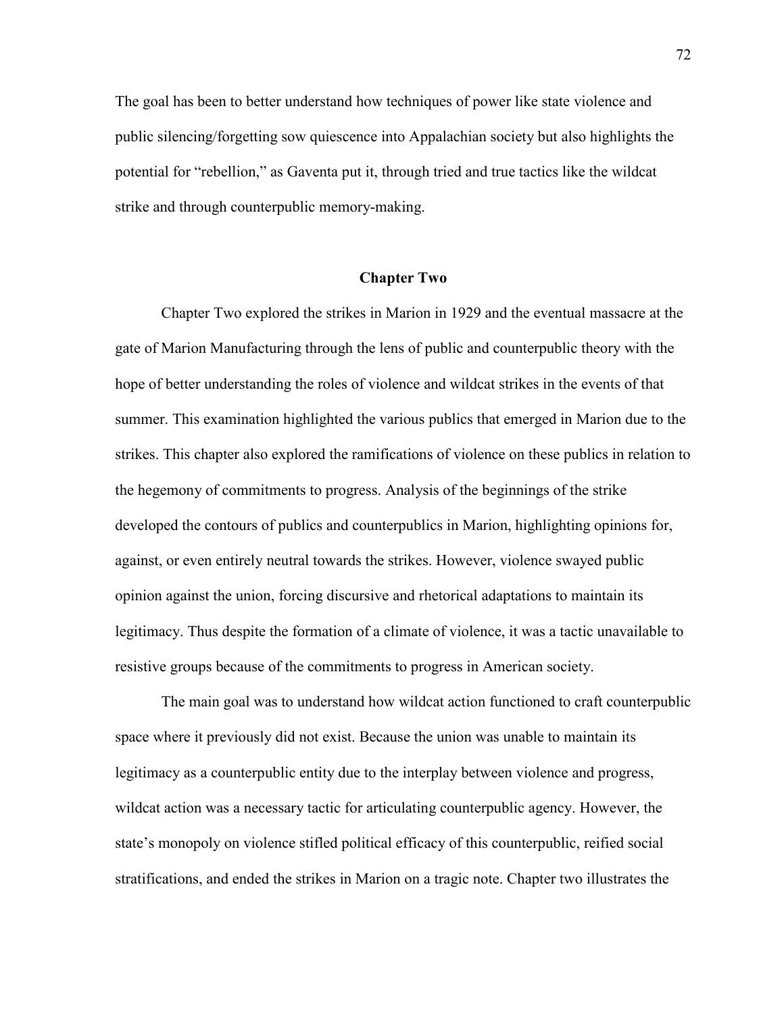The goal has been to better understand how techniques of power like state violence and public silencing/forgetting sow quiescence into Appalachian society but also highlights the potential for "rebellion," as Gaventa put it, through tried and true tactics like the wildcat strike and through counterpublic memory-making.

## **Chapter Two**

Chapter Two explored the strikes in Marion in 1929 and the eventual massacre at the gate of Marion Manufacturing through the lens of public and counterpublic theory with the hope of better understanding the roles of violence and wildcat strikes in the events of that summer. This examination highlighted the various publics that emerged in Marion due to the strikes. This chapter also explored the ramifications of violence on these publics in relation to the hegemony of commitments to progress. Analysis of the beginnings of the strike developed the contours of publics and counterpublics in Marion, highlighting opinions for, against, or even entirely neutral towards the strikes. However, violence swayed public opinion against the union, forcing discursive and rhetorical adaptations to maintain its legitimacy. Thus despite the formation of a climate of violence, it was a tactic unavailable to resistive groups because of the commitments to progress in American society.

The main goal was to understand how wildcat action functioned to craft counterpublic space where it previously did not exist. Because the union was unable to maintain its legitimacy as a counterpublic entity due to the interplay between violence and progress, wildcat action was a necessary tactic for articulating counterpublic agency. However, the state's monopoly on violence stifled political efficacy of this counterpublic, reified social stratifications, and ended the strikes in Marion on a tragic note. Chapter two illustrates the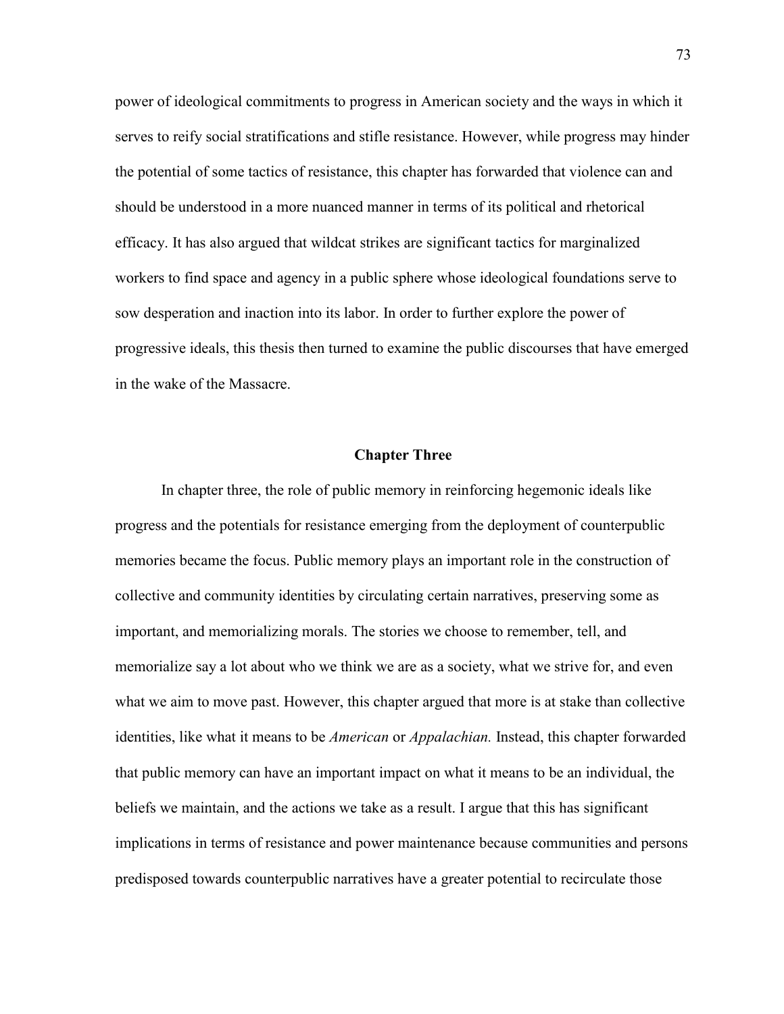power of ideological commitments to progress in American society and the ways in which it serves to reify social stratifications and stifle resistance. However, while progress may hinder the potential of some tactics of resistance, this chapter has forwarded that violence can and should be understood in a more nuanced manner in terms of its political and rhetorical efficacy. It has also argued that wildcat strikes are significant tactics for marginalized workers to find space and agency in a public sphere whose ideological foundations serve to sow desperation and inaction into its labor. In order to further explore the power of progressive ideals, this thesis then turned to examine the public discourses that have emerged in the wake of the Massacre.

### **Chapter Three**

In chapter three, the role of public memory in reinforcing hegemonic ideals like progress and the potentials for resistance emerging from the deployment of counterpublic memories became the focus. Public memory plays an important role in the construction of collective and community identities by circulating certain narratives, preserving some as important, and memorializing morals. The stories we choose to remember, tell, and memorialize say a lot about who we think we are as a society, what we strive for, and even what we aim to move past. However, this chapter argued that more is at stake than collective identities, like what it means to be *American* or *Appalachian.* Instead, this chapter forwarded that public memory can have an important impact on what it means to be an individual, the beliefs we maintain, and the actions we take as a result. I argue that this has significant implications in terms of resistance and power maintenance because communities and persons predisposed towards counterpublic narratives have a greater potential to recirculate those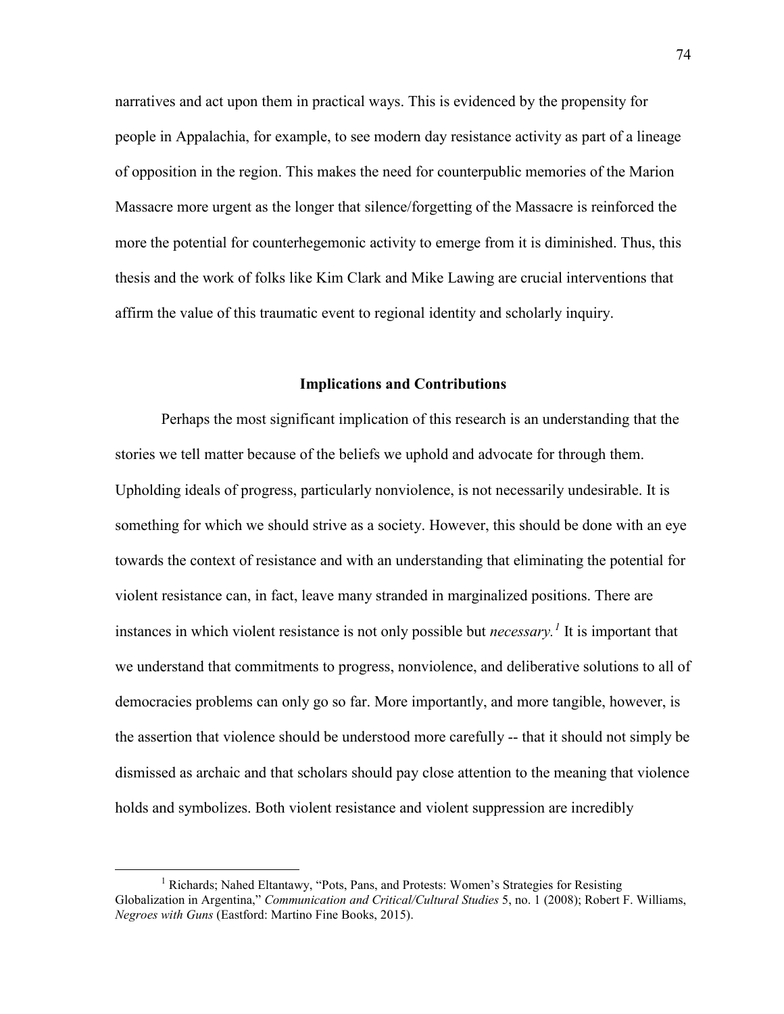narratives and act upon them in practical ways. This is evidenced by the propensity for people in Appalachia, for example, to see modern day resistance activity as part of a lineage of opposition in the region. This makes the need for counterpublic memories of the Marion Massacre more urgent as the longer that silence/forgetting of the Massacre is reinforced the more the potential for counterhegemonic activity to emerge from it is diminished. Thus, this thesis and the work of folks like Kim Clark and Mike Lawing are crucial interventions that affirm the value of this traumatic event to regional identity and scholarly inquiry.

### **Implications and Contributions**

Perhaps the most significant implication of this research is an understanding that the stories we tell matter because of the beliefs we uphold and advocate for through them. Upholding ideals of progress, particularly nonviolence, is not necessarily undesirable. It is something for which we should strive as a society. However, this should be done with an eye towards the context of resistance and with an understanding that eliminating the potential for violent resistance can, in fact, leave many stranded in marginalized positions. There are instances in which violent resistance is not only possible but *necessary.[1](#page-84-0)* It is important that we understand that commitments to progress, nonviolence, and deliberative solutions to all of democracies problems can only go so far. More importantly, and more tangible, however, is the assertion that violence should be understood more carefully -- that it should not simply be dismissed as archaic and that scholars should pay close attention to the meaning that violence holds and symbolizes. Both violent resistance and violent suppression are incredibly

<span id="page-84-0"></span><sup>&</sup>lt;sup>1</sup> Richards; Nahed Eltantawy, "Pots, Pans, and Protests: Women's Strategies for Resisting Globalization in Argentina," *Communication and Critical/Cultural Studies* 5, no. 1 (2008); Robert F. Williams, *Negroes with Guns* (Eastford: Martino Fine Books, 2015).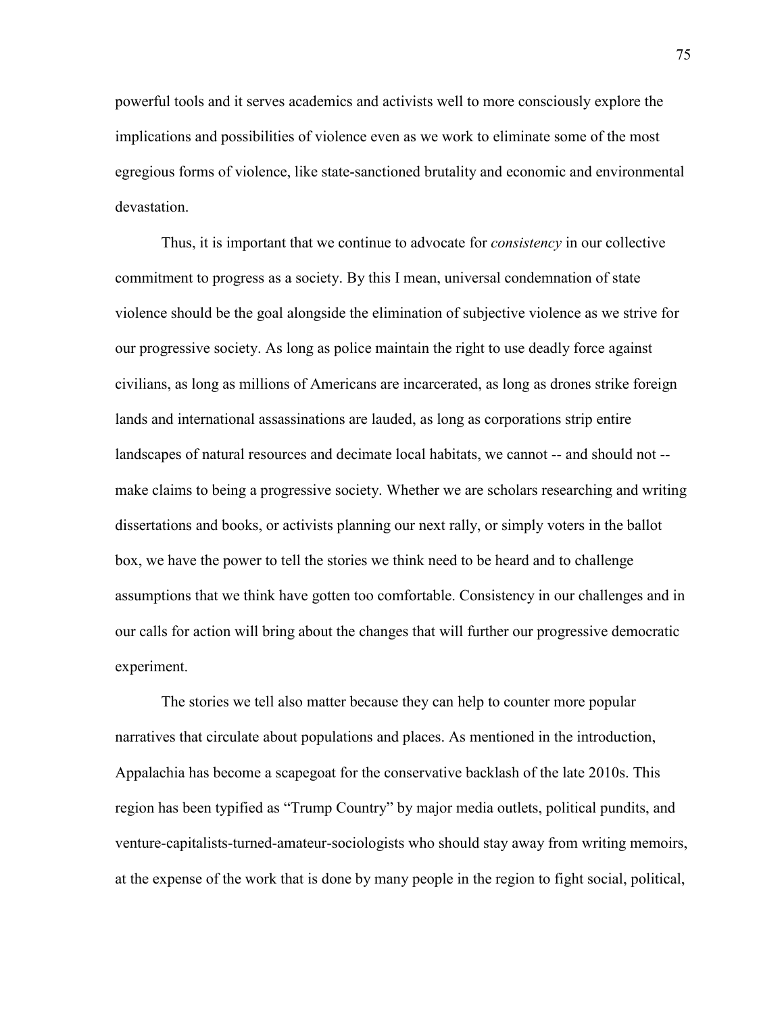powerful tools and it serves academics and activists well to more consciously explore the implications and possibilities of violence even as we work to eliminate some of the most egregious forms of violence, like state-sanctioned brutality and economic and environmental devastation.

Thus, it is important that we continue to advocate for *consistency* in our collective commitment to progress as a society. By this I mean, universal condemnation of state violence should be the goal alongside the elimination of subjective violence as we strive for our progressive society. As long as police maintain the right to use deadly force against civilians, as long as millions of Americans are incarcerated, as long as drones strike foreign lands and international assassinations are lauded, as long as corporations strip entire landscapes of natural resources and decimate local habitats, we cannot -- and should not - make claims to being a progressive society. Whether we are scholars researching and writing dissertations and books, or activists planning our next rally, or simply voters in the ballot box, we have the power to tell the stories we think need to be heard and to challenge assumptions that we think have gotten too comfortable. Consistency in our challenges and in our calls for action will bring about the changes that will further our progressive democratic experiment.

The stories we tell also matter because they can help to counter more popular narratives that circulate about populations and places. As mentioned in the introduction, Appalachia has become a scapegoat for the conservative backlash of the late 2010s. This region has been typified as "Trump Country" by major media outlets, political pundits, and venture-capitalists-turned-amateur-sociologists who should stay away from writing memoirs, at the expense of the work that is done by many people in the region to fight social, political,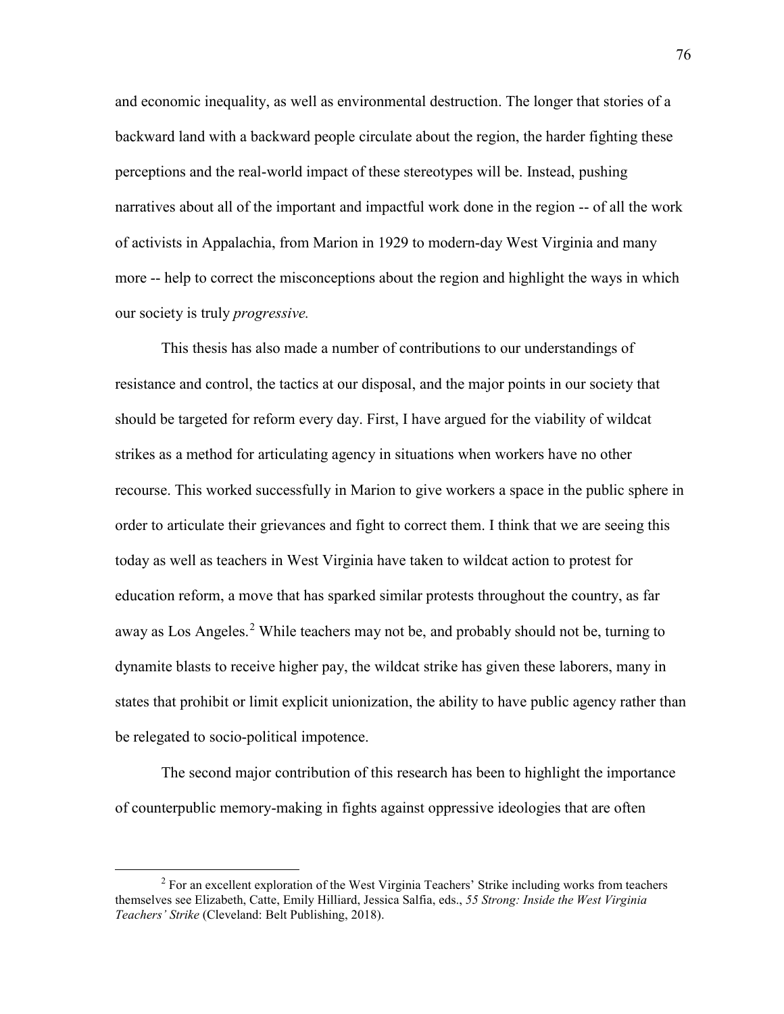and economic inequality, as well as environmental destruction. The longer that stories of a backward land with a backward people circulate about the region, the harder fighting these perceptions and the real-world impact of these stereotypes will be. Instead, pushing narratives about all of the important and impactful work done in the region -- of all the work of activists in Appalachia, from Marion in 1929 to modern-day West Virginia and many more -- help to correct the misconceptions about the region and highlight the ways in which our society is truly *progressive.* 

This thesis has also made a number of contributions to our understandings of resistance and control, the tactics at our disposal, and the major points in our society that should be targeted for reform every day. First, I have argued for the viability of wildcat strikes as a method for articulating agency in situations when workers have no other recourse. This worked successfully in Marion to give workers a space in the public sphere in order to articulate their grievances and fight to correct them. I think that we are seeing this today as well as teachers in West Virginia have taken to wildcat action to protest for education reform, a move that has sparked similar protests throughout the country, as far away as Los Angeles.<sup>[2](#page-86-0)</sup> While teachers may not be, and probably should not be, turning to dynamite blasts to receive higher pay, the wildcat strike has given these laborers, many in states that prohibit or limit explicit unionization, the ability to have public agency rather than be relegated to socio-political impotence.

The second major contribution of this research has been to highlight the importance of counterpublic memory-making in fights against oppressive ideologies that are often

<span id="page-86-0"></span><sup>&</sup>lt;sup>2</sup> For an excellent exploration of the West Virginia Teachers' Strike including works from teachers themselves see Elizabeth, Catte, Emily Hilliard, Jessica Salfia, eds., *55 Strong: Inside the West Virginia Teachers' Strike* (Cleveland: Belt Publishing, 2018).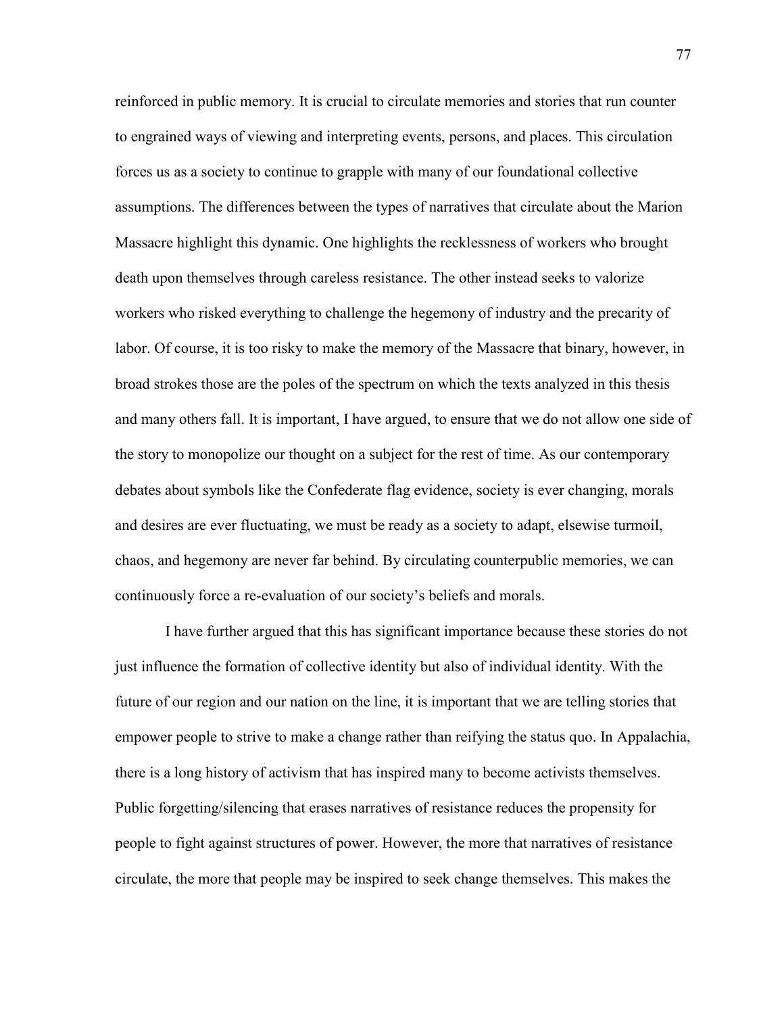reinforced in public memory. It is crucial to circulate memories and stories that run counter to engrained ways of viewing and interpreting events, persons, and places. This circulation forces us as a society to continue to grapple with many of our foundational collective assumptions. The differences between the types of narratives that circulate about the Marion Massacre highlight this dynamic. One highlights the recklessness of workers who brought death upon themselves through careless resistance. The other instead seeks to valorize workers who risked everything to challenge the hegemony of industry and the precarity of labor. Of course, it is too risky to make the memory of the Massacre that binary, however, in broad strokes those are the poles of the spectrum on which the texts analyzed in this thesis and many others fall. It is important, I have argued, to ensure that we do not allow one side of the story to monopolize our thought on a subject for the rest of time. As our contemporary debates about symbols like the Confederate flag evidence, society is ever changing, morals and desires are ever fluctuating, we must be ready as a society to adapt, elsewise turmoil, chaos, and hegemony are never far behind. By circulating counterpublic memories, we can continuously force a re-evaluation of our society's beliefs and morals.

I have further argued that this has significant importance because these stories do not just influence the formation of collective identity but also of individual identity. With the future of our region and our nation on the line, it is important that we are telling stories that empower people to strive to make a change rather than reifying the status quo. In Appalachia, there is a long history of activism that has inspired many to become activists themselves. Public forgetting/silencing that erases narratives of resistance reduces the propensity for people to fight against structures of power. However, the more that narratives of resistance circulate, the more that people may be inspired to seek change themselves. This makes the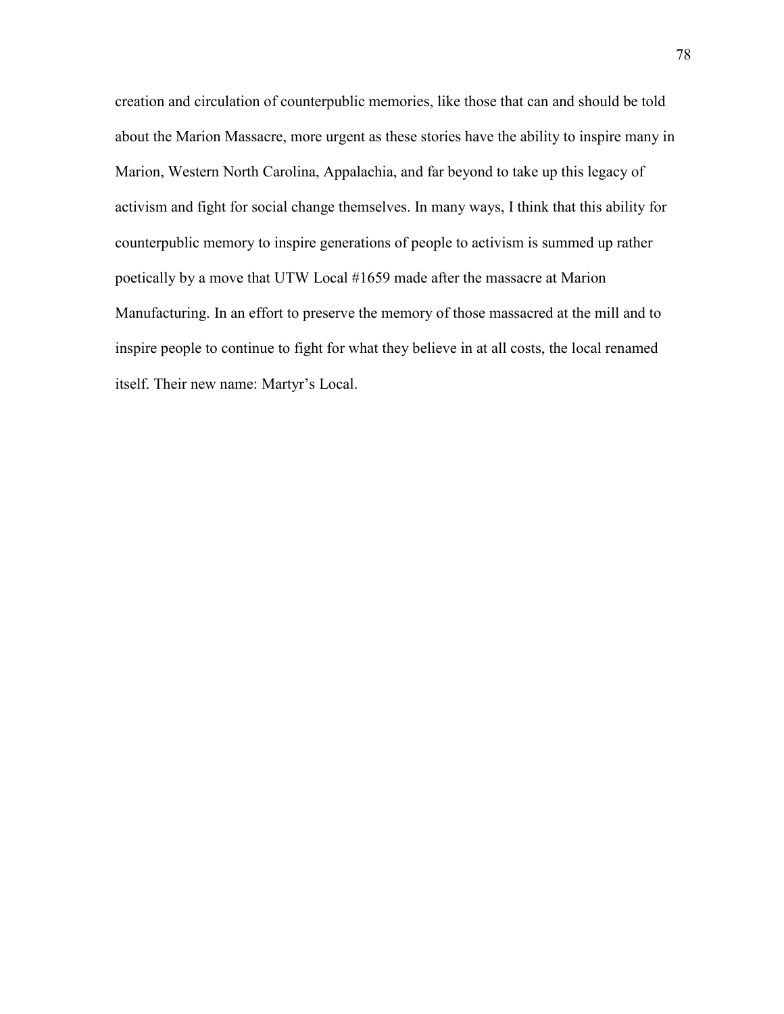creation and circulation of counterpublic memories, like those that can and should be told about the Marion Massacre, more urgent as these stories have the ability to inspire many in Marion, Western North Carolina, Appalachia, and far beyond to take up this legacy of activism and fight for social change themselves. In many ways, I think that this ability for counterpublic memory to inspire generations of people to activism is summed up rather poetically by a move that UTW Local #1659 made after the massacre at Marion Manufacturing. In an effort to preserve the memory of those massacred at the mill and to inspire people to continue to fight for what they believe in at all costs, the local renamed itself. Their new name: Martyr's Local.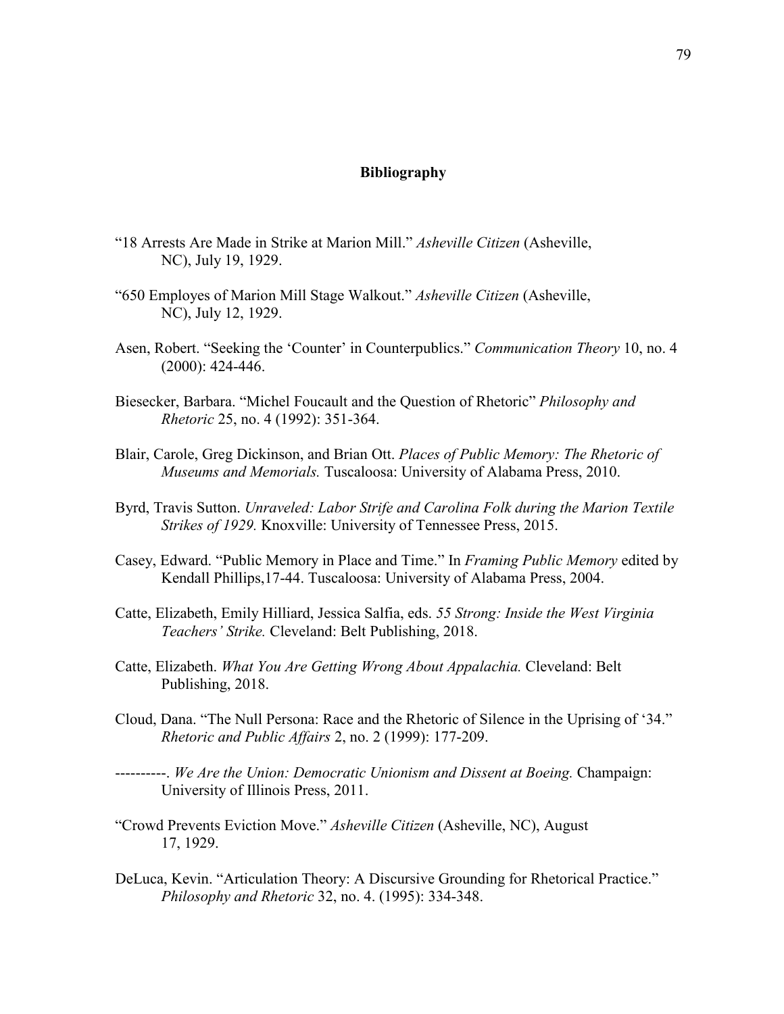## **Bibliography**

- "18 Arrests Are Made in Strike at Marion Mill." *Asheville Citizen* (Asheville, NC), July 19, 1929.
- "650 Employes of Marion Mill Stage Walkout." *Asheville Citizen* (Asheville, NC), July 12, 1929.
- Asen, Robert. "Seeking the 'Counter' in Counterpublics." *Communication Theory* 10, no. 4 (2000): 424-446.
- Biesecker, Barbara. "Michel Foucault and the Question of Rhetoric" *Philosophy and Rhetoric* 25, no. 4 (1992): 351-364.
- Blair, Carole, Greg Dickinson, and Brian Ott. *Places of Public Memory: The Rhetoric of Museums and Memorials.* Tuscaloosa: University of Alabama Press, 2010.
- Byrd, Travis Sutton. *Unraveled: Labor Strife and Carolina Folk during the Marion Textile Strikes of 1929.* Knoxville: University of Tennessee Press, 2015.
- Casey, Edward. "Public Memory in Place and Time." In *Framing Public Memory* edited by Kendall Phillips,17-44. Tuscaloosa: University of Alabama Press, 2004.
- Catte, Elizabeth, Emily Hilliard, Jessica Salfia, eds. *55 Strong: Inside the West Virginia Teachers' Strike.* Cleveland: Belt Publishing, 2018.
- Catte, Elizabeth. *What You Are Getting Wrong About Appalachia.* Cleveland: Belt Publishing, 2018.
- Cloud, Dana. "The Null Persona: Race and the Rhetoric of Silence in the Uprising of '34." *Rhetoric and Public Affairs* 2, no. 2 (1999): 177-209.
- ----------. *We Are the Union: Democratic Unionism and Dissent at Boeing.* Champaign: University of Illinois Press, 2011.
- "Crowd Prevents Eviction Move." *Asheville Citizen* (Asheville, NC), August 17, 1929.
- DeLuca, Kevin. "Articulation Theory: A Discursive Grounding for Rhetorical Practice." *Philosophy and Rhetoric* 32, no. 4. (1995): 334-348.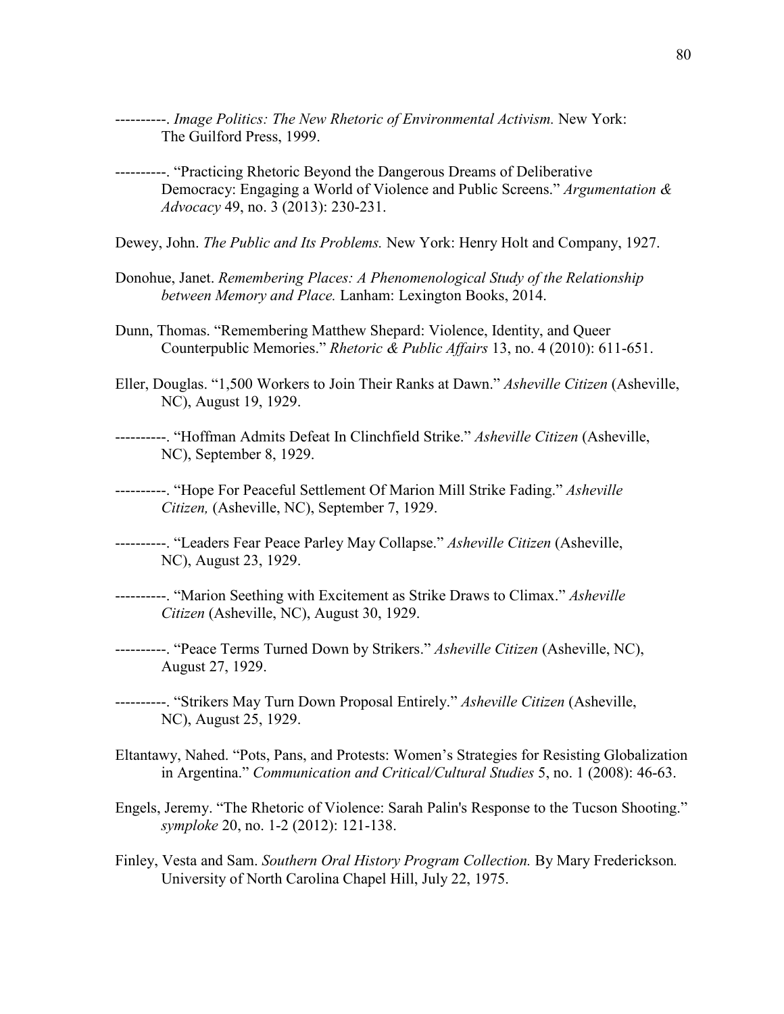- ----------. *Image Politics: The New Rhetoric of Environmental Activism.* New York: The Guilford Press, 1999.
- ----------. "Practicing Rhetoric Beyond the Dangerous Dreams of Deliberative Democracy: Engaging a World of Violence and Public Screens." *Argumentation & Advocacy* 49, no. 3 (2013): 230-231.
- Dewey, John. *The Public and Its Problems.* New York: Henry Holt and Company, 1927.
- Donohue, Janet. *Remembering Places: A Phenomenological Study of the Relationship between Memory and Place.* Lanham: Lexington Books, 2014.
- Dunn, Thomas. "Remembering Matthew Shepard: Violence, Identity, and Queer Counterpublic Memories." *Rhetoric & Public Affairs* 13, no. 4 (2010): 611-651.
- Eller, Douglas. "1,500 Workers to Join Their Ranks at Dawn." *Asheville Citizen* (Asheville, NC), August 19, 1929.
- ----------. "Hoffman Admits Defeat In Clinchfield Strike." *Asheville Citizen* (Asheville, NC), September 8, 1929.
- ----------. "Hope For Peaceful Settlement Of Marion Mill Strike Fading." *Asheville Citizen,* (Asheville, NC), September 7, 1929.
- ----------. "Leaders Fear Peace Parley May Collapse." *Asheville Citizen* (Asheville, NC), August 23, 1929.
- ----------. "Marion Seething with Excitement as Strike Draws to Climax." *Asheville Citizen* (Asheville, NC), August 30, 1929.
- ----------. "Peace Terms Turned Down by Strikers." *Asheville Citizen* (Asheville, NC), August 27, 1929.
- ----------. "Strikers May Turn Down Proposal Entirely." *Asheville Citizen* (Asheville, NC), August 25, 1929.
- Eltantawy, Nahed. "Pots, Pans, and Protests: Women's Strategies for Resisting Globalization in Argentina." *Communication and Critical/Cultural Studies* 5, no. 1 (2008): 46-63.
- Engels, Jeremy. "The Rhetoric of Violence: Sarah Palin's Response to the Tucson Shooting." *symploke* 20, no. 1-2 (2012): 121-138.
- Finley, Vesta and Sam. *Southern Oral History Program Collection.* By Mary Frederickson*.*  University of North Carolina Chapel Hill, July 22, 1975.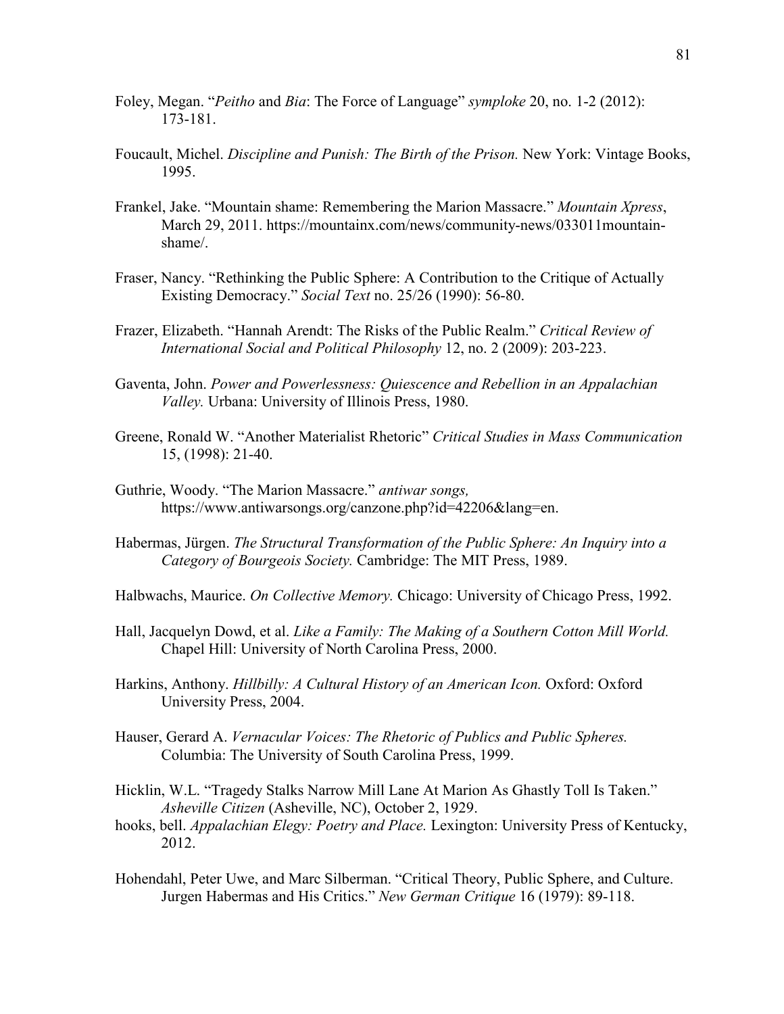- Foley, Megan. "*Peitho* and *Bia*: The Force of Language" *symploke* 20, no. 1-2 (2012): 173-181.
- Foucault, Michel. *Discipline and Punish: The Birth of the Prison.* New York: Vintage Books, 1995.
- Frankel, Jake. "Mountain shame: Remembering the Marion Massacre." *Mountain Xpress*, March 29, 2011. https://mountainx.com/news/community-news/033011mountainshame/.
- Fraser, Nancy. "Rethinking the Public Sphere: A Contribution to the Critique of Actually Existing Democracy." *Social Text* no. 25/26 (1990): 56-80.
- Frazer, Elizabeth. "Hannah Arendt: The Risks of the Public Realm." *Critical Review of International Social and Political Philosophy* 12, no. 2 (2009): 203-223.
- Gaventa, John. *Power and Powerlessness: Quiescence and Rebellion in an Appalachian Valley.* Urbana: University of Illinois Press, 1980.
- Greene, Ronald W. "Another Materialist Rhetoric" *Critical Studies in Mass Communication*  15, (1998): 21-40.
- Guthrie, Woody. "The Marion Massacre." *antiwar songs,*  https://www.antiwarsongs.org/canzone.php?id=42206&lang=en.
- Habermas, Jürgen. *The Structural Transformation of the Public Sphere: An Inquiry into a Category of Bourgeois Society.* Cambridge: The MIT Press, 1989.
- Halbwachs, Maurice. *On Collective Memory.* Chicago: University of Chicago Press, 1992.
- Hall, Jacquelyn Dowd, et al. *Like a Family: The Making of a Southern Cotton Mill World.*  Chapel Hill: University of North Carolina Press, 2000.
- Harkins, Anthony. *Hillbilly: A Cultural History of an American Icon.* Oxford: Oxford University Press, 2004.
- Hauser, Gerard A. *Vernacular Voices: The Rhetoric of Publics and Public Spheres.*  Columbia: The University of South Carolina Press, 1999.
- Hicklin, W.L. "Tragedy Stalks Narrow Mill Lane At Marion As Ghastly Toll Is Taken." *Asheville Citizen* (Asheville, NC), October 2, 1929.
- hooks, bell. *Appalachian Elegy: Poetry and Place.* Lexington: University Press of Kentucky, 2012.
- Hohendahl, Peter Uwe, and Marc Silberman. "Critical Theory, Public Sphere, and Culture. Jurgen Habermas and His Critics." *New German Critique* 16 (1979): 89-118.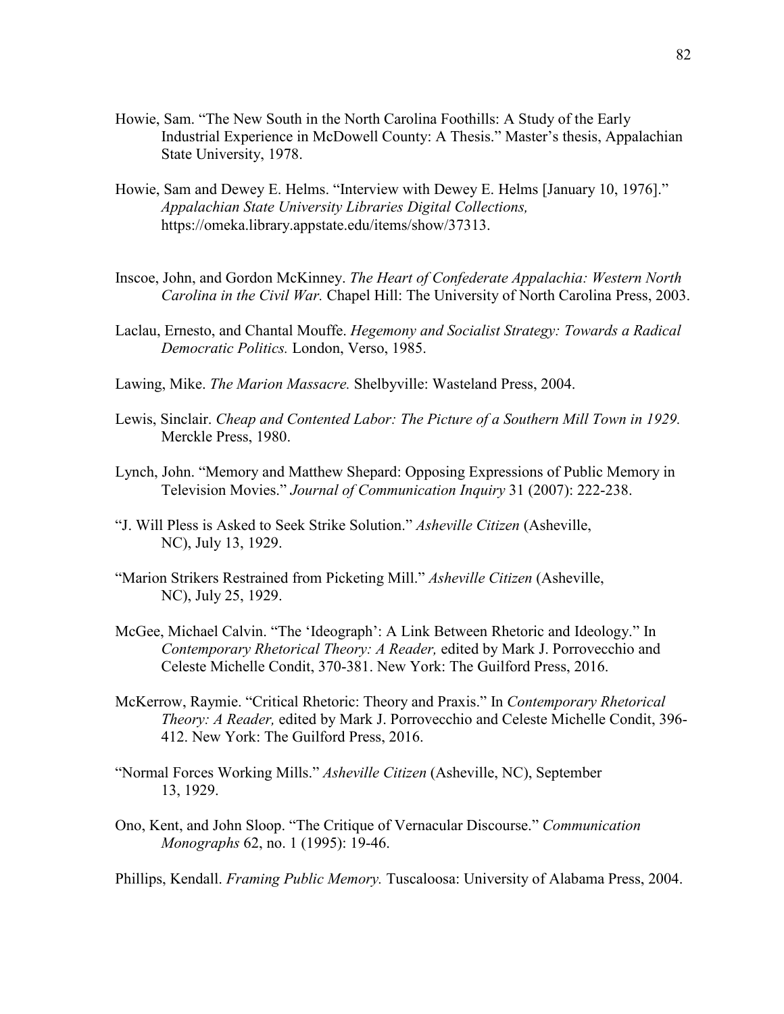- Howie, Sam. "The New South in the North Carolina Foothills: A Study of the Early Industrial Experience in McDowell County: A Thesis." Master's thesis, Appalachian State University, 1978.
- Howie, Sam and Dewey E. Helms. "Interview with Dewey E. Helms [January 10, 1976]." *Appalachian State University Libraries Digital Collections,*  https://omeka.library.appstate.edu/items/show/37313.
- Inscoe, John, and Gordon McKinney. *The Heart of Confederate Appalachia: Western North Carolina in the Civil War.* Chapel Hill: The University of North Carolina Press, 2003.
- Laclau, Ernesto, and Chantal Mouffe. *Hegemony and Socialist Strategy: Towards a Radical Democratic Politics.* London, Verso, 1985.
- Lawing, Mike. *The Marion Massacre.* Shelbyville: Wasteland Press, 2004.
- Lewis, Sinclair. *Cheap and Contented Labor: The Picture of a Southern Mill Town in 1929.*  Merckle Press, 1980.
- Lynch, John. "Memory and Matthew Shepard: Opposing Expressions of Public Memory in Television Movies." *Journal of Communication Inquiry* 31 (2007): 222-238.
- "J. Will Pless is Asked to Seek Strike Solution." *Asheville Citizen* (Asheville, NC), July 13, 1929.
- "Marion Strikers Restrained from Picketing Mill." *Asheville Citizen* (Asheville, NC), July 25, 1929.
- McGee, Michael Calvin. "The 'Ideograph': A Link Between Rhetoric and Ideology." In *Contemporary Rhetorical Theory: A Reader,* edited by Mark J. Porrovecchio and Celeste Michelle Condit, 370-381. New York: The Guilford Press, 2016.
- McKerrow, Raymie. "Critical Rhetoric: Theory and Praxis." In *Contemporary Rhetorical Theory: A Reader,* edited by Mark J. Porrovecchio and Celeste Michelle Condit, 396- 412. New York: The Guilford Press, 2016.
- "Normal Forces Working Mills." *Asheville Citizen* (Asheville, NC), September 13, 1929.
- Ono, Kent, and John Sloop. "The Critique of Vernacular Discourse." *Communication Monographs* 62, no. 1 (1995): 19-46.

Phillips, Kendall. *Framing Public Memory.* Tuscaloosa: University of Alabama Press, 2004.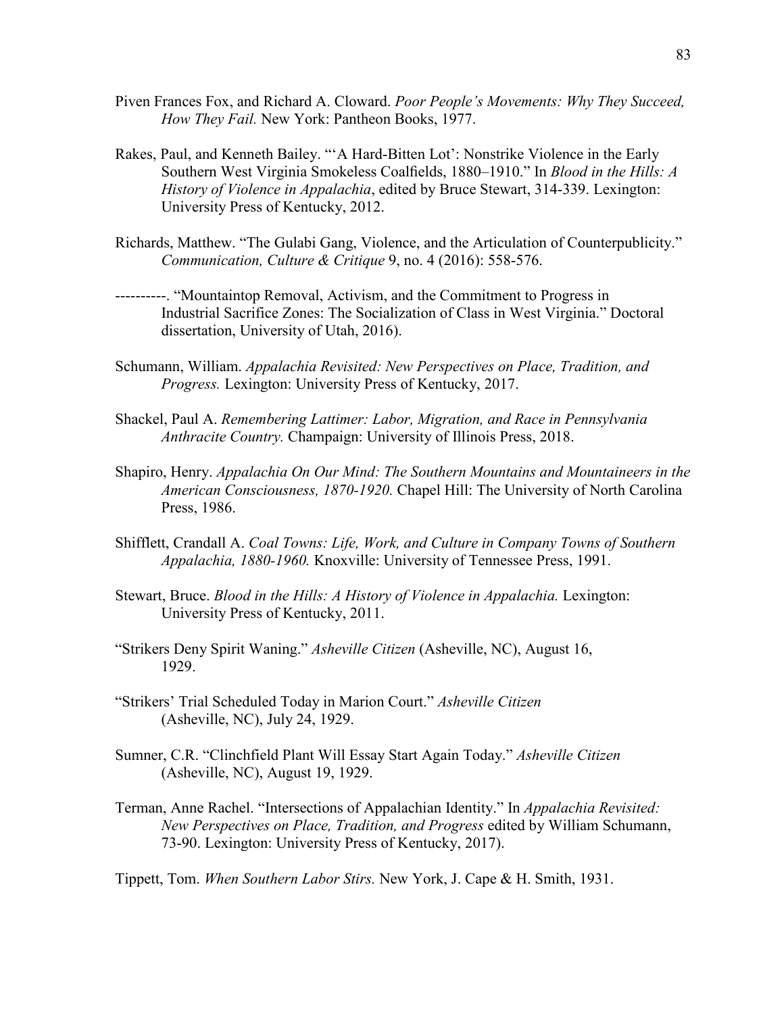- Piven Frances Fox, and Richard A. Cloward. *Poor People's Movements: Why They Succeed, How They Fail.* New York: Pantheon Books, 1977.
- Rakes, Paul, and Kenneth Bailey. "'A Hard-Bitten Lot': Nonstrike Violence in the Early Southern West Virginia Smokeless Coalfields, 1880–1910." In *Blood in the Hills: A History of Violence in Appalachia*, edited by Bruce Stewart, 314-339. Lexington: University Press of Kentucky, 2012.
- Richards, Matthew. "The Gulabi Gang, Violence, and the Articulation of Counterpublicity." *Communication, Culture & Critique* 9, no. 4 (2016): 558-576.
- ----------. "Mountaintop Removal, Activism, and the Commitment to Progress in Industrial Sacrifice Zones: The Socialization of Class in West Virginia." Doctoral dissertation, University of Utah, 2016).
- Schumann, William. *Appalachia Revisited: New Perspectives on Place, Tradition, and Progress.* Lexington: University Press of Kentucky, 2017.
- Shackel, Paul A. *Remembering Lattimer: Labor, Migration, and Race in Pennsylvania Anthracite Country.* Champaign: University of Illinois Press, 2018.
- Shapiro, Henry. *Appalachia On Our Mind: The Southern Mountains and Mountaineers in the American Consciousness, 1870-1920.* Chapel Hill: The University of North Carolina Press, 1986.
- Shifflett, Crandall A. *Coal Towns: Life, Work, and Culture in Company Towns of Southern Appalachia, 1880-1960.* Knoxville: University of Tennessee Press, 1991.
- Stewart, Bruce. *Blood in the Hills: A History of Violence in Appalachia*. Lexington: University Press of Kentucky, 2011.
- "Strikers Deny Spirit Waning." *Asheville Citizen* (Asheville, NC), August 16, 1929.
- "Strikers' Trial Scheduled Today in Marion Court." *Asheville Citizen*  (Asheville, NC), July 24, 1929.
- Sumner, C.R. "Clinchfield Plant Will Essay Start Again Today." *Asheville Citizen*  (Asheville, NC), August 19, 1929.
- Terman, Anne Rachel. "Intersections of Appalachian Identity." In *Appalachia Revisited: New Perspectives on Place, Tradition, and Progress* edited by William Schumann, 73-90. Lexington: University Press of Kentucky, 2017).

Tippett, Tom. *When Southern Labor Stirs.* New York, J. Cape & H. Smith, 1931.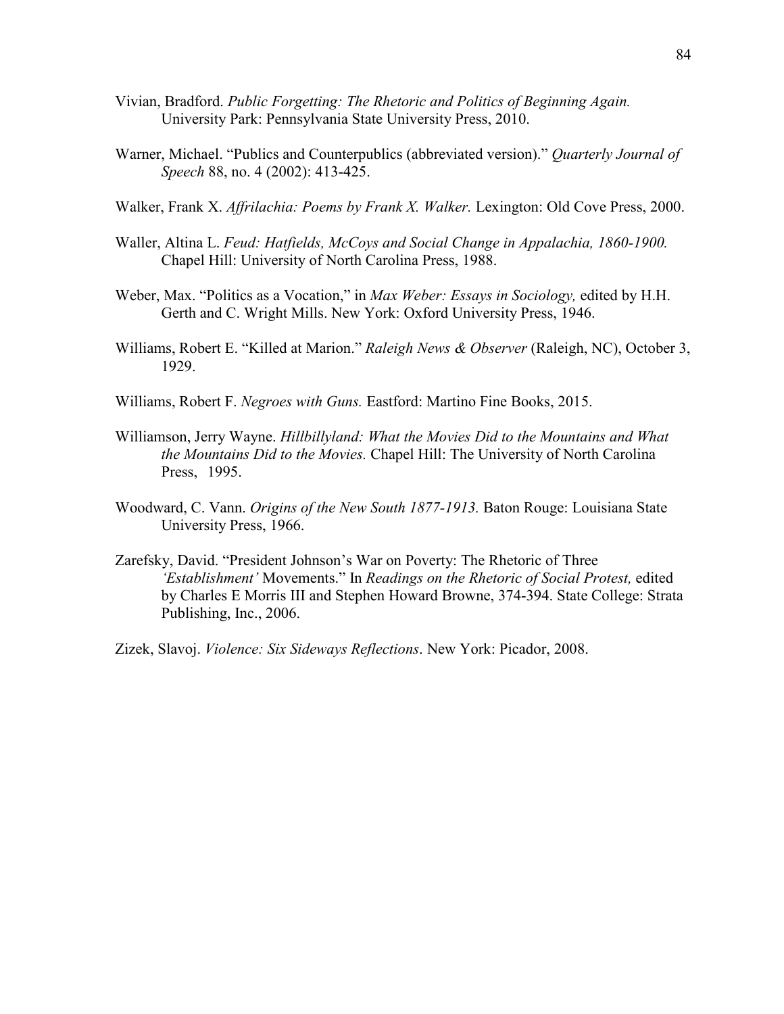- Vivian, Bradford. *Public Forgetting: The Rhetoric and Politics of Beginning Again.*  University Park: Pennsylvania State University Press, 2010.
- Warner, Michael. "Publics and Counterpublics (abbreviated version)." *Quarterly Journal of Speech* 88, no. 4 (2002): 413-425.
- Walker, Frank X. *Affrilachia: Poems by Frank X. Walker.* Lexington: Old Cove Press, 2000.
- Waller, Altina L. *Feud: Hatfields, McCoys and Social Change in Appalachia, 1860-1900.*  Chapel Hill: University of North Carolina Press, 1988.
- Weber, Max. "Politics as a Vocation," in *Max Weber: Essays in Sociology,* edited by H.H. Gerth and C. Wright Mills. New York: Oxford University Press, 1946.
- Williams, Robert E. "Killed at Marion." *Raleigh News & Observer* (Raleigh, NC), October 3, 1929.
- Williams, Robert F. *Negroes with Guns.* Eastford: Martino Fine Books, 2015.
- Williamson, Jerry Wayne. *Hillbillyland: What the Movies Did to the Mountains and What the Mountains Did to the Movies.* Chapel Hill: The University of North Carolina Press, 1995.
- Woodward, C. Vann. *Origins of the New South 1877-1913.* Baton Rouge: Louisiana State University Press, 1966.
- Zarefsky, David. "President Johnson's War on Poverty: The Rhetoric of Three *'Establishment'* Movements." In *Readings on the Rhetoric of Social Protest,* edited by Charles E Morris III and Stephen Howard Browne, 374-394. State College: Strata Publishing, Inc., 2006.
- Zizek, Slavoj. *Violence: Six Sideways Reflections*. New York: Picador, 2008.